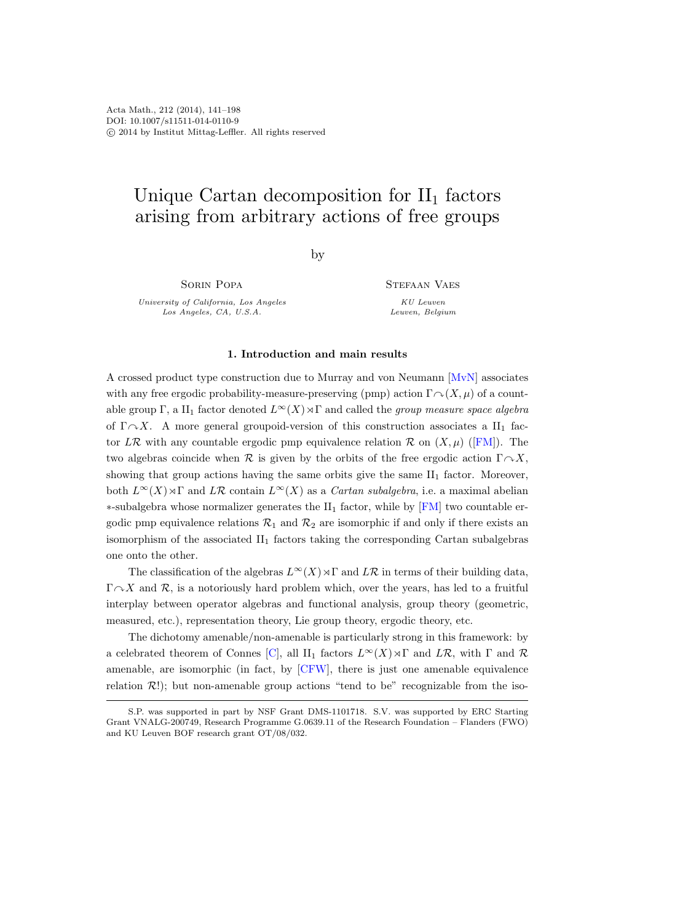# Unique Cartan decomposition for  $II_1$  factors arising from arbitrary actions of free groups

by

Sorin Popa

University of California, Los Angeles Los Angeles, CA, U.S.A.

STEFAAN VAES

KU Leuven Leuven, Belgium

# 1. Introduction and main results

A crossed product type construction due to Murray and von Neumann [\[MvN\]](#page-56-0) associates with any free ergodic probability-measure-preserving (pmp) action  $\Gamma \cap (X, \mu)$  of a countable group Γ, a II<sub>1</sub> factor denoted  $L^{\infty}(X) \rtimes \Gamma$  and called the *group measure space algebra* of  $\Gamma \cap X$ . A more general groupoid-version of this construction associates a II<sub>1</sub> fac-torLR with any countable ergodic pmp equivalence relation R on  $(X, \mu)$  ([\[FM\]](#page-55-0)). The two algebras coincide when  $\mathcal R$  is given by the orbits of the free ergodic action  $\Gamma \cap X$ , showing that group actions having the same orbits give the same II<sup>1</sup> factor. Moreover, both  $L^{\infty}(X) \rtimes \Gamma$  and  $L\mathcal{R}$  contain  $L^{\infty}(X)$  as a *Cartan subalgebra*, i.e. a maximal abelian ∗-subalgebra whose normalizer generates the II<sup>1</sup> factor, while by [\[FM\]](#page-55-0) two countable ergodic pmp equivalence relations  $\mathcal{R}_1$  and  $\mathcal{R}_2$  are isomorphic if and only if there exists an isomorphism of the associated  $II_1$  factors taking the corresponding Cartan subalgebras one onto the other.

The classification of the algebras  $L^{\infty}(X) \rtimes \Gamma$  and  $L\mathcal{R}$  in terms of their building data,  $\Gamma \cap X$  and R, is a notoriously hard problem which, over the years, has led to a fruitful interplay between operator algebras and functional analysis, group theory (geometric, measured, etc.), representation theory, Lie group theory, ergodic theory, etc.

The dichotomy amenable/non-amenable is particularly strong in this framework: by a celebrated theorem of Connes [\[C\]](#page-55-1), all II<sub>1</sub> factors  $L^{\infty}(X) \rtimes \Gamma$  and  $L\mathcal{R}$ , with  $\Gamma$  and  $\mathcal{R}$ amenable, are isomorphic (in fact, by [\[CFW\]](#page-55-2), there is just one amenable equivalence relation  $\mathcal{R}$ !); but non-amenable group actions "tend to be" recognizable from the iso-

S.P. was supported in part by NSF Grant DMS-1101718. S.V. was supported by ERC Starting Grant VNALG-200749, Research Programme G.0639.11 of the Research Foundation – Flanders (FWO) and KU Leuven BOF research grant OT/08/032.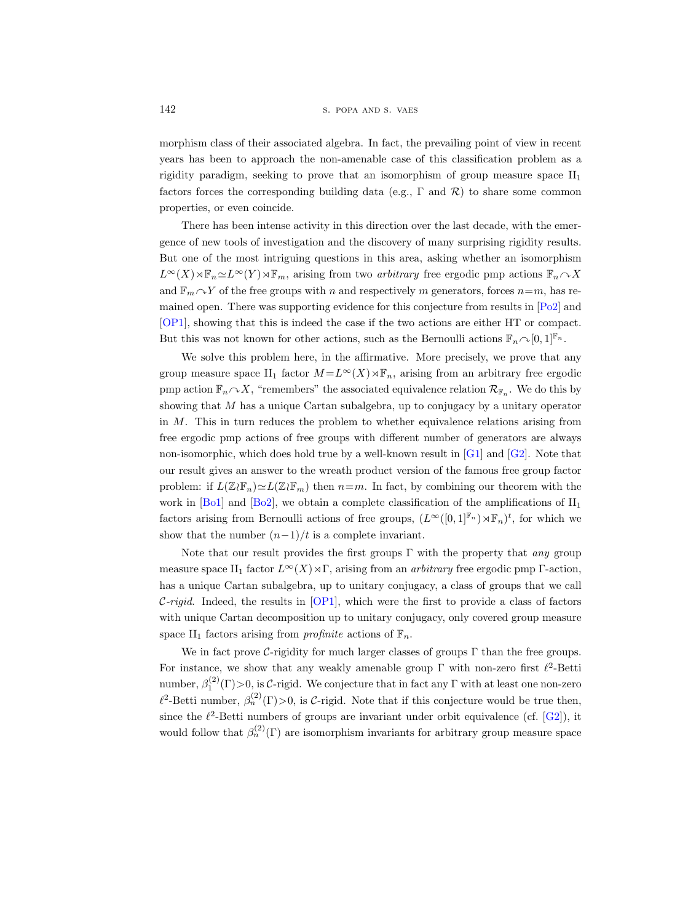morphism class of their associated algebra. In fact, the prevailing point of view in recent years has been to approach the non-amenable case of this classification problem as a rigidity paradigm, seeking to prove that an isomorphism of group measure space  $II_1$ factors forces the corresponding building data (e.g.,  $\Gamma$  and  $\mathcal{R}$ ) to share some common properties, or even coincide.

There has been intense activity in this direction over the last decade, with the emergence of new tools of investigation and the discovery of many surprising rigidity results. But one of the most intriguing questions in this area, asking whether an isomorphism  $L^{\infty}(X) \rtimes \mathbb{F}_n \simeq L^{\infty}(Y) \rtimes \mathbb{F}_m$ , arising from two *arbitrary* free ergodic pmp actions  $\mathbb{F}_n \sim X$ and  $\mathbb{F}_m \cap Y$  of the free groups with n and respectively m generators, forces  $n=m$ , has remained open. There was supporting evidence for this conjecture from results in [\[Po2\]](#page-56-1) and [\[OP1\]](#page-56-2), showing that this is indeed the case if the two actions are either HT or compact. But this was not known for other actions, such as the Bernoulli actions  $\mathbb{F}_n \cap [0, 1]^{\mathbb{F}_n}$ .

We solve this problem here, in the affirmative. More precisely, we prove that any group measure space II<sub>1</sub> factor  $M = L^{\infty}(X) \rtimes \mathbb{F}_n$ , arising from an arbitrary free ergodic pmp action  $\mathbb{F}_n \cap X$ , "remembers" the associated equivalence relation  $\mathcal{R}_{\mathbb{F}_n}$ . We do this by showing that M has a unique Cartan subalgebra, up to conjugacy by a unitary operator in M. This in turn reduces the problem to whether equivalence relations arising from free ergodic pmp actions of free groups with different number of generators are always non-isomorphic, which does hold true by a well-known result in  $[G1]$  and  $[G2]$ . Note that our result gives an answer to the wreath product version of the famous free group factor problem: if  $L(\mathbb{Z}\wr \mathbb{F}_n)\simeq L(\mathbb{Z}\wr \mathbb{F}_m)$  then  $n=m$ . In fact, by combining our theorem with the work in [\[Bo1\]](#page-55-5) and [\[Bo2\]](#page-55-6), we obtain a complete classification of the amplifications of  $II_1$ factors arising from Bernoulli actions of free groups,  $(L^{\infty}([0,1]^{\mathbb{F}_n}) \rtimes \mathbb{F}_n)^t$ , for which we show that the number  $(n-1)/t$  is a complete invariant.

Note that our result provides the first groups  $\Gamma$  with the property that any group measure space II<sub>1</sub> factor  $L^{\infty}(X) \rtimes \Gamma$ , arising from an *arbitrary* free ergodic pmp Γ-action, has a unique Cartan subalgebra, up to unitary conjugacy, a class of groups that we call  $\mathcal{C}\text{-rigid}$ . Indeed, the results in [\[OP1\]](#page-56-2), which were the first to provide a class of factors with unique Cartan decomposition up to unitary conjugacy, only covered group measure space II<sub>1</sub> factors arising from *profinite* actions of  $\mathbb{F}_n$ .

We in fact prove C-rigidity for much larger classes of groups  $\Gamma$  than the free groups. For instance, we show that any weakly amenable group  $\Gamma$  with non-zero first  $\ell^2$ -Betti number,  $\beta_1^{(2)}(\Gamma) > 0$ , is C-rigid. We conjecture that in fact any  $\Gamma$  with at least one non-zero  $\ell^2$ -Betti number,  $\beta_n^{(2)}(\Gamma) > 0$ , is C-rigid. Note that if this conjecture would be true then, since the  $\ell^2$ -Betti numbers of groups are invariant under orbit equivalence (cf. [\[G2\]](#page-55-4)), it would follow that  $\beta_n^{(2)}(\Gamma)$  are isomorphism invariants for arbitrary group measure space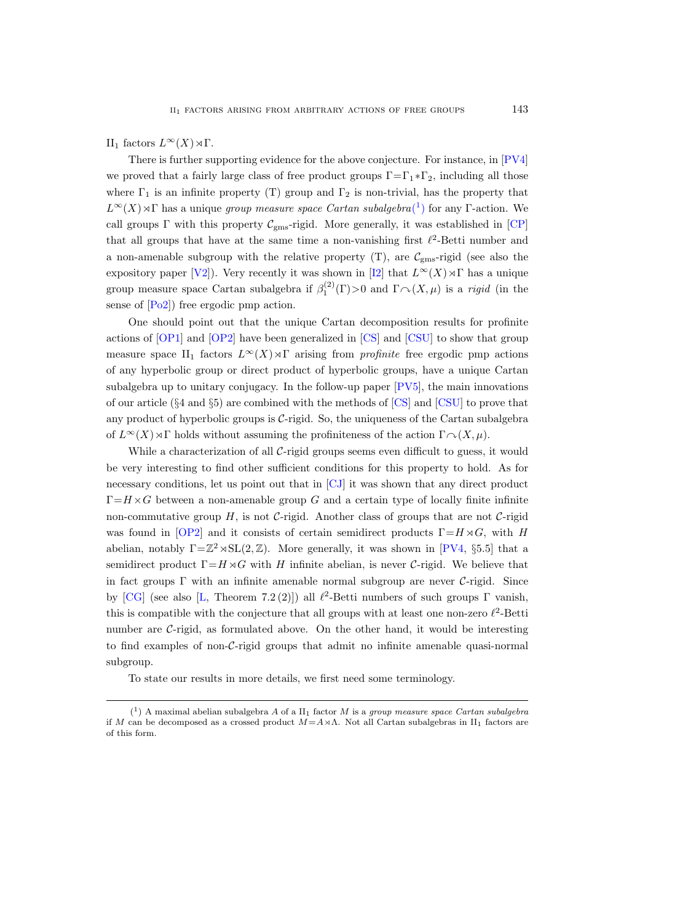II<sub>1</sub> factors  $L^{\infty}(X) \rtimes Γ$ .

There is further supporting evidence for the above conjecture. For instance, in [\[PV4\]](#page-56-3) we proved that a fairly large class of free product groups  $\Gamma = \Gamma_1 * \Gamma_2$ , including all those where  $\Gamma_1$  is an infinite property (T) group and  $\Gamma_2$  is non-trivial, has the property that  $L^{\infty}(X) \rtimes \Gamma$  $L^{\infty}(X) \rtimes \Gamma$  $L^{\infty}(X) \rtimes \Gamma$  has a unique group measure space Cartan subalgebra(<sup>1</sup>) for any Γ-action. We call groups  $\Gamma$  with this property  $C_{\text{gms}}$ -rigid. More generally, it was established in [\[CP\]](#page-55-7) that all groups that have at the same time a non-vanishing first  $\ell^2$ -Betti number and a non-amenable subgroup with the relative property  $(T)$ , are  $\mathcal{C}_{\text{gms}}$ -rigid (see also the expository paper [\[V2\]](#page-57-0)). Very recently it was shown in [\[I2\]](#page-56-4) that  $L^{\infty}(X) \rtimes \Gamma$  has a unique group measure space Cartan subalgebra if  $\beta_1^{(2)}(\Gamma) > 0$  and  $\Gamma \cap (X, \mu)$  is a rigid (in the sense of [\[Po2\]](#page-56-1)) free ergodic pmp action.

One should point out that the unique Cartan decomposition results for profinite actions of [\[OP1\]](#page-56-2) and [\[OP2\]](#page-56-5) have been generalized in [\[CS\]](#page-55-8) and [\[CSU\]](#page-55-9) to show that group measure space II<sub>1</sub> factors  $L^{\infty}(X) \rtimes \Gamma$  arising from *profinite* free ergodic pmp actions of any hyperbolic group or direct product of hyperbolic groups, have a unique Cartan subalgebra up to unitary conjugacy. In the follow-up paper [\[PV5\]](#page-57-1), the main innovations of our article (§4 and §5) are combined with the methods of [\[CS\]](#page-55-8) and [\[CSU\]](#page-55-9) to prove that any product of hyperbolic groups is C-rigid. So, the uniqueness of the Cartan subalgebra of  $L^{\infty}(X) \rtimes \Gamma$  holds without assuming the profiniteness of the action  $\Gamma \curvearrowright (X, \mu)$ .

While a characterization of all C-rigid groups seems even difficult to guess, it would be very interesting to find other sufficient conditions for this property to hold. As for necessary conditions, let us point out that in [\[CJ\]](#page-55-10) it was shown that any direct product  $\Gamma = H \times G$  between a non-amenable group G and a certain type of locally finite infinite non-commutative group  $H$ , is not C-rigid. Another class of groups that are not C-rigid was found in [\[OP2\]](#page-56-5) and it consists of certain semidirect products  $\Gamma = H \rtimes G$ , with H abelian, notably  $\Gamma = \mathbb{Z}^2 \rtimes SL(2, \mathbb{Z})$ . More generally, it was shown in [\[PV4,](#page-56-3) §5.5] that a semidirect product  $\Gamma = H \rtimes G$  with H infinite abelian, is never C-rigid. We believe that in fact groups  $\Gamma$  with an infinite amenable normal subgroup are never  $\mathcal{C}\text{-rigid}$ . Since by [\[CG\]](#page-55-11) (see also [\[L,](#page-56-6) Theorem 7.2(2)]) all  $\ell^2$ -Betti numbers of such groups  $\Gamma$  vanish, this is compatible with the conjecture that all groups with at least one non-zero  $\ell^2$ -Betti number are C-rigid, as formulated above. On the other hand, it would be interesting to find examples of non-C-rigid groups that admit no infinite amenable quasi-normal subgroup.

<span id="page-2-0"></span>To state our results in more details, we first need some terminology.

 $(1)$  A maximal abelian subalgebra A of a II<sub>1</sub> factor M is a group measure space Cartan subalgebra if M can be decomposed as a crossed product  $M=A\rtimes\Lambda$ . Not all Cartan subalgebras in II<sub>1</sub> factors are of this form.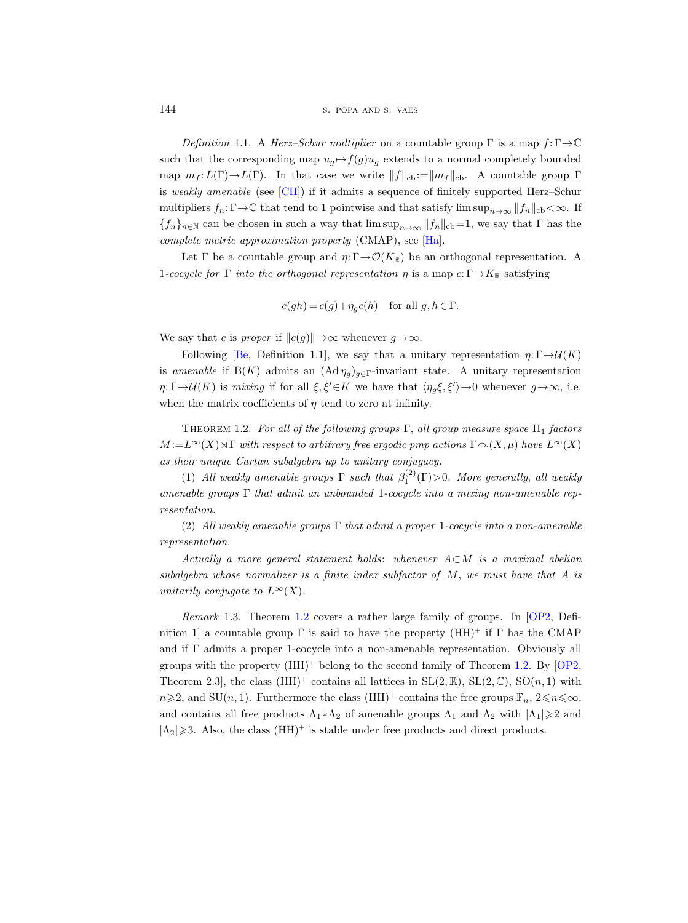144 S. POPA AND S. VAES

Definition 1.1. A Herz–Schur multiplier on a countable group  $\Gamma$  is a map  $f:\Gamma\to\mathbb{C}$ such that the corresponding map  $u_g \mapsto f(g)u_g$  extends to a normal completely bounded map  $m_f : L(\Gamma) \to L(\Gamma)$ . In that case we write  $||f||_{cb} := ||m_f||_{cb}$ . A countable group Γ is weakly amenable (see [\[CH\]](#page-55-12)) if it admits a sequence of finitely supported Herz–Schur multipliers  $f_n: \Gamma \to \mathbb{C}$  that tend to 1 pointwise and that satisfy lim  $\sup_{n\to\infty} ||f_n||_{cb} < \infty$ . If  ${f_n}_{n\in\mathbb{N}}$  can be chosen in such a way that  $\limsup_{n\to\infty} ||f_n||_{cb}=1$ , we say that  $\Gamma$  has the complete metric approximation property (CMAP), see [\[Ha\]](#page-55-13).

Let  $\Gamma$  be a countable group and  $\eta: \Gamma \to \mathcal{O}(K_{\mathbb{R}})$  be an orthogonal representation. A 1-cocycle for  $\Gamma$  into the orthogonal representation  $\eta$  is a map  $c: \Gamma \to K_{\mathbb{R}}$  satisfying

$$
c(gh) = c(g) + \eta_g c(h)
$$
 for all  $g, h \in \Gamma$ .

We say that c is proper if  $||c(g)|| \rightarrow \infty$  whenever  $g \rightarrow \infty$ .

Following [\[Be,](#page-55-14) Definition 1.1], we say that a unitary representation  $\eta: \Gamma \to \mathcal{U}(K)$ is amenable if  $B(K)$  admits an  $(Ad \eta_q)_{q \in \Gamma}$ -invariant state. A unitary representation  $\eta:\Gamma\to\mathcal U(K)$  is mixing if for all  $\xi,\xi'\in K$  we have that  $\langle \eta_g\xi,\xi'\rangle\to 0$  whenever  $g\to\infty$ , i.e. when the matrix coefficients of  $\eta$  tend to zero at infinity.

<span id="page-3-0"></span>THEOREM 1.2. For all of the following groups  $\Gamma$ , all group measure space  $II_1$  factors  $M := L^{\infty}(X) \rtimes \Gamma$  with respect to arbitrary free ergodic pmp actions  $\Gamma \curvearrowright (X, \mu)$  have  $L^{\infty}(X)$ as their unique Cartan subalgebra up to unitary conjugacy.

(1) All weakly amenable groups  $\Gamma$  such that  $\beta_1^{(2)}(\Gamma) > 0$ . More generally, all weakly amenable groups  $\Gamma$  that admit an unbounded 1-cocycle into a mixing non-amenable representation.

(2) All weakly amenable groups  $\Gamma$  that admit a proper 1-cocycle into a non-amenable representation.

Actually a more general statement holds: whenever  $A\subset M$  is a maximal abelian subalgebra whose normalizer is a finite index subfactor of  $M$ , we must have that  $A$  is unitarily conjugate to  $L^{\infty}(X)$ .

Remark 1.3. Theorem [1.2](#page-3-0) covers a rather large family of groups. In [\[OP2,](#page-56-5) Definition 1 a countable group  $\Gamma$  is said to have the property  $(HH)^+$  if  $\Gamma$  has the CMAP and if  $\Gamma$  admits a proper 1-cocycle into a non-amenable representation. Obviously all groups with the property  $(HH)^+$  belong to the second family of Theorem [1.2.](#page-3-0) By [\[OP2,](#page-56-5) Theorem 2.3, the class  $(HH)^+$  contains all lattices in  $SL(2,\mathbb{R})$ ,  $SL(2,\mathbb{C})$ ,  $SO(n,1)$  with  $n\geqslant 2$ , and SU(n, 1). Furthermore the class (HH)<sup>+</sup> contains the free groups  $\mathbb{F}_n$ ,  $2\leqslant n\leqslant\infty$ , and contains all free products  $\Lambda_1 * \Lambda_2$  of amenable groups  $\Lambda_1$  and  $\Lambda_2$  with  $|\Lambda_1| \geq 2$  and  $|\Lambda_2| \geq 3$ . Also, the class  $(HH)^+$  is stable under free products and direct products.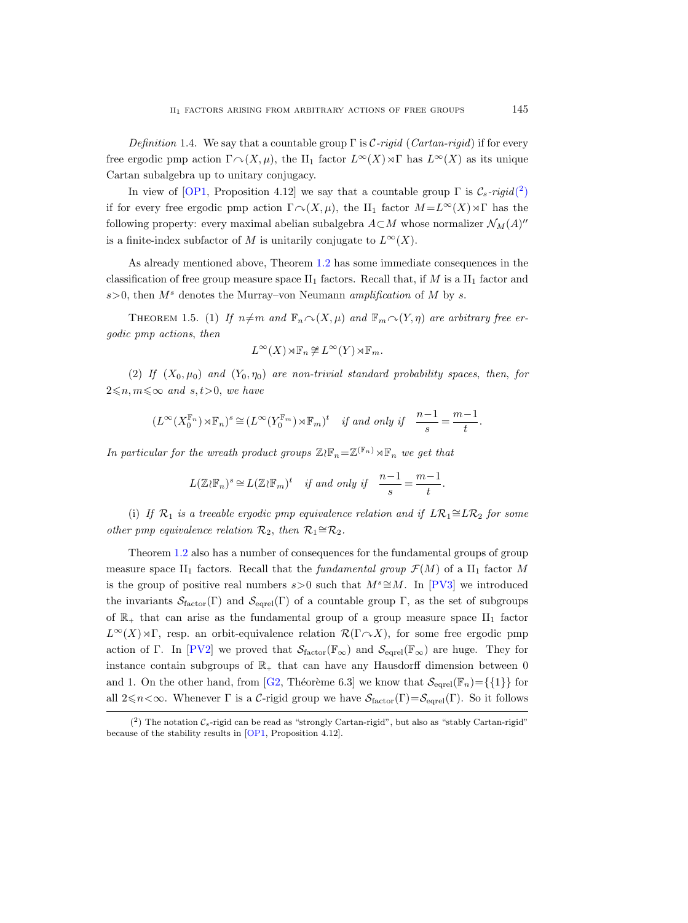Definition 1.4. We say that a countable group  $\Gamma$  is C-rigid (Cartan-rigid) if for every free ergodic pmp action  $\Gamma \cap (X, \mu)$ , the II<sub>1</sub> factor  $L^{\infty}(X) \rtimes \Gamma$  has  $L^{\infty}(X)$  as its unique Cartan subalgebra up to unitary conjugacy.

In view of [\[OP1,](#page-56-2) Proposition 4.12] we say that a countable group  $\Gamma$  is  $\mathcal{C}_s$ -rigid[\(](#page-4-0)<sup>2</sup>) if for every free ergodic pmp action  $\Gamma \cap (X, \mu)$ , the II<sub>1</sub> factor  $M = L^{\infty}(X) \rtimes \Gamma$  has the following property: every maximal abelian subalgebra  $A\subset M$  whose normalizer  $\mathcal{N}_M(A)''$ is a finite-index subfactor of M is unitarily conjugate to  $L^{\infty}(X)$ .

As already mentioned above, Theorem [1.2](#page-3-0) has some immediate consequences in the classification of free group measure space  $II_1$  factors. Recall that, if M is a  $II_1$  factor and  $s>0$ , then  $M<sup>s</sup>$  denotes the Murray–von Neumann amplification of M by s.

<span id="page-4-1"></span>THEOREM 1.5. (1) If  $n \neq m$  and  $\mathbb{F}_n \cap (X, \mu)$  and  $\mathbb{F}_m \cap (Y, \eta)$  are arbitrary free ergodic pmp actions, then

$$
L^{\infty}(X) \rtimes \mathbb{F}_n \ncong L^{\infty}(Y) \rtimes \mathbb{F}_m.
$$

(2) If  $(X_0, \mu_0)$  and  $(Y_0, \eta_0)$  are non-trivial standard probability spaces, then, for  $2\leq n, m\leq \infty$  and  $s, t>0$ , we have

$$
(L^{\infty}(X_0^{\mathbb{F}_n})\rtimes \mathbb{F}_n)^s\cong (L^{\infty}(Y_0^{\mathbb{F}_m})\rtimes \mathbb{F}_m)^t\quad \textit{if and only if}\quad \frac{n-1}{s}=\frac{m-1}{t}.
$$

In particular for the wreath product groups  $\mathbb{Z}(\mathbb{F}_n = \mathbb{Z}^{(\mathbb{F}_n)} \rtimes \mathbb{F}_n$  we get that

$$
L(\mathbb{Z}\wr \mathbb{F}_n)^s\cong L(\mathbb{Z}\wr \mathbb{F}_m)^t\quad \text{if and only if}\quad \frac{n-1}{s}=\frac{m-1}{t}.
$$

(i) If  $\mathcal{R}_1$  is a treeable ergodic pmp equivalence relation and if  $LR_1 \cong LR_2$  for some other pmp equivalence relation  $\mathcal{R}_2$ , then  $\mathcal{R}_1 \cong \mathcal{R}_2$ .

Theorem [1.2](#page-3-0) also has a number of consequences for the fundamental groups of group measure space II<sub>1</sub> factors. Recall that the *fundamental group*  $\mathcal{F}(M)$  of a II<sub>1</sub> factor M is the group of positive real numbers s>0 such that  $M^s \cong M$ . In [\[PV3\]](#page-56-7) we introduced the invariants  $\mathcal{S}_{\text{factor}}(\Gamma)$  and  $\mathcal{S}_{\text{eqrel}}(\Gamma)$  of a countable group  $\Gamma$ , as the set of subgroups of  $\mathbb{R}_+$  that can arise as the fundamental group of a group measure space  $II_1$  factor  $L^{\infty}(X) \rtimes \Gamma$ , resp. an orbit-equivalence relation  $\mathcal{R}(\Gamma \cap X)$ , for some free ergodic pmp action of Γ. In [\[PV2\]](#page-56-8) we proved that  $\mathcal{S}_{\text{factor}}(\mathbb{F}_{\infty})$  and  $\mathcal{S}_{\text{egrel}}(\mathbb{F}_{\infty})$  are huge. They for instance contain subgroups of  $\mathbb{R}_+$  that can have any Hausdorff dimension between 0 and 1. On the other hand, from [\[G2,](#page-55-4) Théorème 6.3] we know that  $\mathcal{S}_{\text{eare}}(\mathbb{F}_n) = \{\{1\}\}\$  for all  $2 \leq n < \infty$ . Whenever Γ is a C-rigid group we have  $S_{\text{factor}}(\Gamma) = S_{\text{eqrel}}(\Gamma)$ . So it follows

<span id="page-4-0"></span> $(2)$  The notation  $\mathcal{C}_s$ -rigid can be read as "strongly Cartan-rigid", but also as "stably Cartan-rigid" because of the stability results in [\[OP1,](#page-56-2) Proposition 4.12].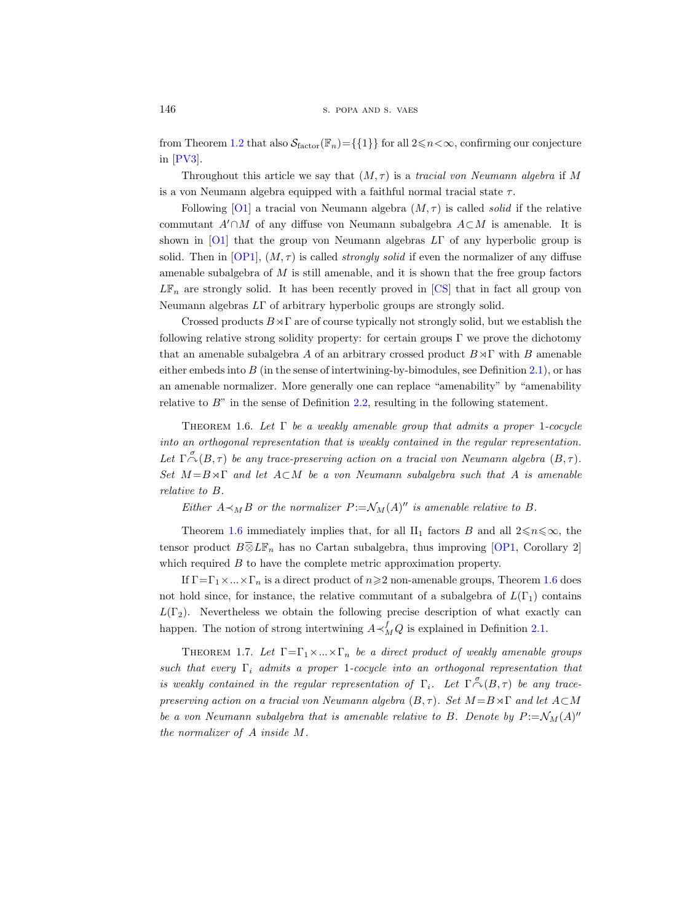from Theorem [1.2](#page-3-0) that also  $\mathcal{S}_{\text{factor}}(\mathbb{F}_n) = \{\{1\}\}\$ for all  $2 \le n < \infty$ , confirming our conjecture in [\[PV3\]](#page-56-7).

Throughout this article we say that  $(M, \tau)$  is a tracial von Neumann algebra if M is a von Neumann algebra equipped with a faithful normal tracial state  $\tau$ .

Following [\[O1\]](#page-56-9) a tracial von Neumann algebra  $(M, \tau)$  is called *solid* if the relative commutant  $A' \cap M$  of any diffuse von Neumann subalgebra  $A \subset M$  is amenable. It is shown in [\[O1\]](#page-56-9) that the group von Neumann algebras  $L\Gamma$  of any hyperbolic group is solid. Then in  $[OP1]$ ,  $(M, \tau)$  is called *strongly solid* if even the normalizer of any diffuse amenable subalgebra of  $M$  is still amenable, and it is shown that the free group factors  $L\mathbb{F}_n$  are strongly solid. It has been recently proved in [\[CS\]](#page-55-8) that in fact all group von Neumann algebras LΓ of arbitrary hyperbolic groups are strongly solid.

Crossed products  $B \rtimes \Gamma$  are of course typically not strongly solid, but we establish the following relative strong solidity property: for certain groups  $\Gamma$  we prove the dichotomy that an amenable subalgebra A of an arbitrary crossed product  $B \rtimes \Gamma$  with B amenable either embeds into  $B$  (in the sense of intertwining-by-bimodules, see Definition [2.1\)](#page-9-0), or has an amenable normalizer. More generally one can replace "amenability" by "amenability relative to  $B$ " in the sense of Definition [2.2,](#page-12-0) resulting in the following statement.

<span id="page-5-0"></span>THEOREM 1.6. Let  $\Gamma$  be a weakly amenable group that admits a proper 1-cocycle into an orthogonal representation that is weakly contained in the regular representation. Let  $\Gamma \stackrel{\sigma}{\curvearrowright} (B,\tau)$  be any trace-preserving action on a tracial von Neumann algebra  $(B,\tau)$ . Set  $M = B \rtimes \Gamma$  and let  $A \subset M$  be a von Neumann subalgebra such that A is amenable relative to B.

Either  $A \prec_M B$  or the normalizer  $P := \mathcal{N}_M(A)^{\prime\prime}$  is amenable relative to B.

Theorem [1.6](#page-5-0) immediately implies that, for all II<sub>1</sub> factors B and all  $2 \leq n \leq \infty$ , the tensor product  $B\overline{\otimes} L\mathbb{F}_n$  has no Cartan subalgebra, thus improving [\[OP1,](#page-56-2) Corollary 2] which required B to have the complete metric approximation property.

If  $\Gamma = \Gamma_1 \times ... \times \Gamma_n$  is a direct product of  $n \geq 2$  non-amenable groups, Theorem [1.6](#page-5-0) does not hold since, for instance, the relative commutant of a subalgebra of  $L(\Gamma_1)$  contains  $L(\Gamma_2)$ . Nevertheless we obtain the following precise description of what exactly can happen. The notion of strong intertwining  $A \prec_M^f Q$  is explained in Definition [2.1.](#page-9-0)

<span id="page-5-1"></span>THEOREM 1.7. Let  $\Gamma = \Gamma_1 \times ... \times \Gamma_n$  be a direct product of weakly amenable groups such that every  $\Gamma_i$  admits a proper 1-cocycle into an orthogonal representation that is weakly contained in the regular representation of  $\Gamma_i$ . Let  $\Gamma \stackrel{\sigma}{\curvearrowright} (B,\tau)$  be any tracepreserving action on a tracial von Neumann algebra  $(B, \tau)$ . Set  $M = B \rtimes \Gamma$  and let  $A \subset M$ be a von Neumann subalgebra that is amenable relative to B. Denote by  $P := \mathcal{N}_M(A)^n$ the normalizer of A inside M.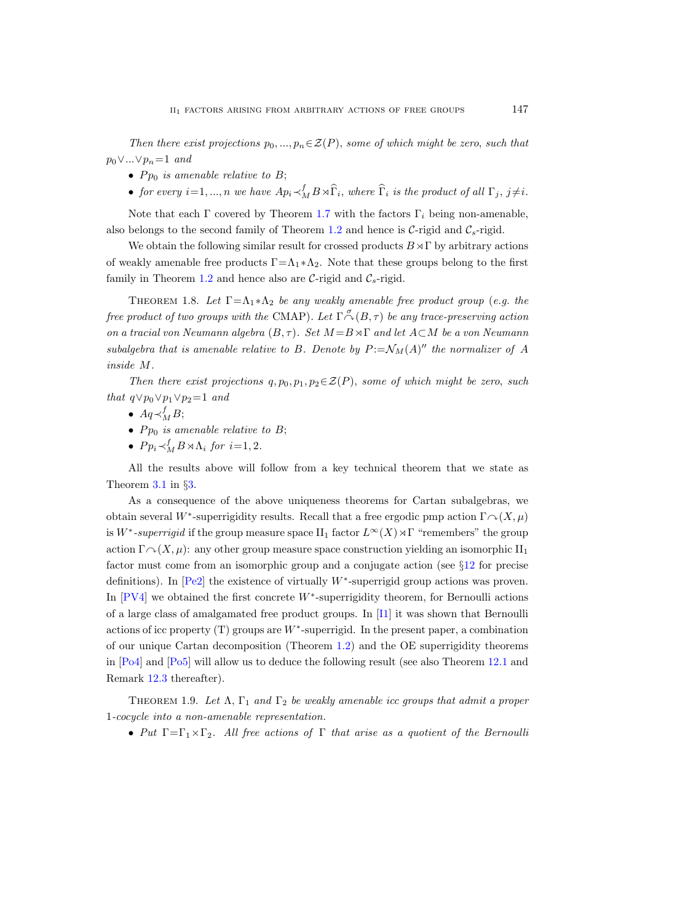Then there exist projections  $p_0, ..., p_n \in \mathcal{Z}(P)$ , some of which might be zero, such that  $p_0 \vee ... \vee p_n = 1$  and

- $P_{p_0}$  is amenable relative to B;
- for every  $i=1,...,n$  we have  $Ap_i \prec_M^f B \rtimes \widehat{\Gamma}_i$ , where  $\widehat{\Gamma}_i$  is the product of all  $\Gamma_j$ ,  $j \neq i$ .

Note that each Γ covered by Theorem [1.7](#page-5-1) with the factors  $\Gamma_i$  being non-amenable, also belongs to the second family of Theorem [1.2](#page-3-0) and hence is  $C$ -rigid and  $C_s$ -rigid.

We obtain the following similar result for crossed products  $B \rtimes \Gamma$  by arbitrary actions of weakly amenable free products  $\Gamma = \Lambda_1 * \Lambda_2$ . Note that these groups belong to the first family in Theorem [1.2](#page-3-0) and hence also are  $C$ -rigid and  $C_s$ -rigid.

<span id="page-6-0"></span>THEOREM 1.8. Let  $\Gamma = \Lambda_1 * \Lambda_2$  be any weakly amenable free product group (e.g. the free product of two groups with the CMAP). Let  $\Gamma \overset{\sigma}{\curvearrowright} (B,\tau)$  be any trace-preserving action on a tracial von Neumann algebra  $(B, \tau)$ . Set  $M = B \rtimes \Gamma$  and let  $A \subset M$  be a von Neumann subalgebra that is amenable relative to B. Denote by  $P:=\mathcal{N}_M(A)''$  the normalizer of A inside M.

Then there exist projections  $q, p_0, p_1, p_2 \in \mathcal{Z}(P)$ , some of which might be zero, such that  $q \vee p_0 \vee p_1 \vee p_2 = 1$  and

- $Aq \prec_M^f B;$
- $P_{p_0}$  is amenable relative to B;
- $P p_i \prec_M^f B \rtimes \Lambda_i$  for  $i=1,2$ .

All the results above will follow from a key technical theorem that we state as Theorem [3.1](#page-22-0) in §[3.](#page-21-0)

As a consequence of the above uniqueness theorems for Cartan subalgebras, we obtain several W<sup>\*</sup>-superrigidity results. Recall that a free ergodic pmp action  $\Gamma \sim (X, \mu)$ is W<sup>\*</sup>-superrigid if the group measure space  $\text{II}_1$  factor  $L^\infty(X) \rtimes \Gamma$  "remembers" the group action  $\Gamma \curvearrowright (X, \mu)$ : any other group measure space construction yielding an isomorphic II<sub>1</sub> factor must come from an isomorphic group and a conjugate action (see §[12](#page-51-0) for precise definitions). In  $[Pe2]$  the existence of virtually W<sup>\*</sup>-superrigid group actions was proven. In  $[PV4]$  we obtained the first concrete  $W^*$ -superrigidity theorem, for Bernoulli actions of a large class of amalgamated free product groups. In [\[I1\]](#page-56-11) it was shown that Bernoulli actions of icc property  $(T)$  groups are  $W^*$ -superrigid. In the present paper, a combination of our unique Cartan decomposition (Theorem [1.2\)](#page-3-0) and the OE superrigidity theorems in [\[Po4\]](#page-56-12) and [\[Po5\]](#page-56-13) will allow us to deduce the following result (see also Theorem [12.1](#page-52-0) and Remark [12.3](#page-52-1) thereafter).

THEOREM 1.9. Let  $\Lambda$ ,  $\Gamma_1$  and  $\Gamma_2$  be weakly amenable icc groups that admit a proper 1-cocycle into a non-amenable representation.

• Put  $\Gamma = \Gamma_1 \times \Gamma_2$ . All free actions of  $\Gamma$  that arise as a quotient of the Bernoulli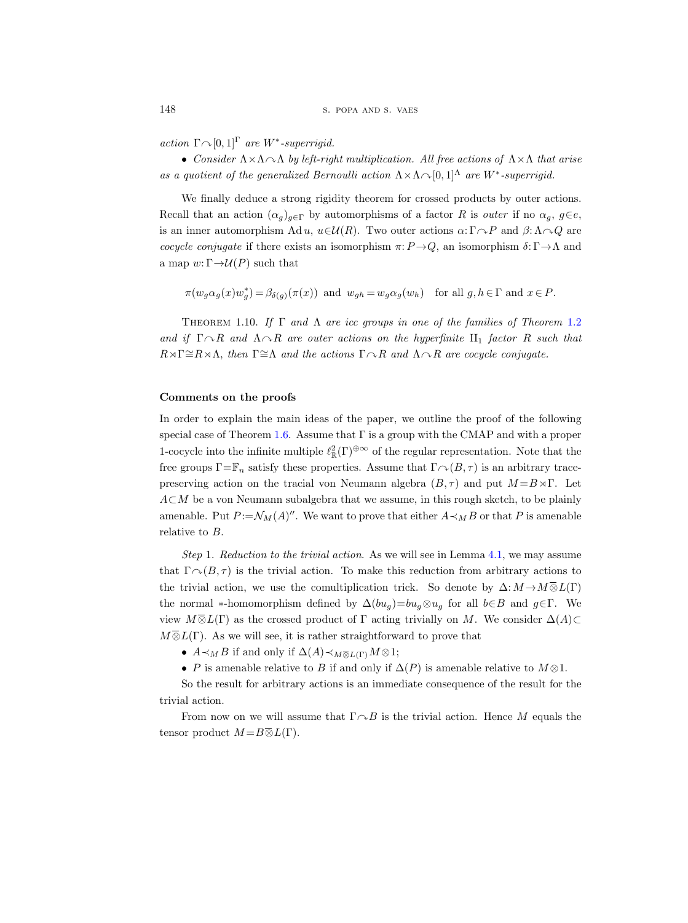action  $\Gamma \cap [0,1]^\Gamma$  are W<sup>\*</sup>-superrigid.

• Consider  $\Lambda \times \Lambda \sim \Lambda$  by left-right multiplication. All free actions of  $\Lambda \times \Lambda$  that arise as a quotient of the generalized Bernoulli action  $\Lambda \times \Lambda \cap [0,1]^\Lambda$  are  $W^*$ -superrigid.

We finally deduce a strong rigidity theorem for crossed products by outer actions. Recall that an action  $(\alpha_q)_{q\in\Gamma}$  by automorphisms of a factor R is *outer* if no  $\alpha_q$ ,  $q\in e$ , is an inner automorphism Ad u,  $u \in \mathcal{U}(R)$ . Two outer actions  $\alpha: \Gamma \cap P$  and  $\beta: \Lambda \cap Q$  are cocycle conjugate if there exists an isomorphism  $\pi: P \to Q$ , an isomorphism  $\delta: \Gamma \to \Lambda$  and a map  $w: \Gamma \rightarrow \mathcal{U}(P)$  such that

$$
\pi(w_g\alpha_g(x)w_g^*)=\beta_{\delta(g)}(\pi(x))\ \ \text{and}\ \ w_{gh}=w_g\alpha_g(w_h)\quad \text{for all $g,h\in\Gamma$ and $x\in P$}.
$$

<span id="page-7-0"></span>THEOREM 1.10. If  $\Gamma$  and  $\Lambda$  are icc groups in one of the families of Theorem [1.2](#page-3-0) and if  $\Gamma \cap R$  and  $\Lambda \cap R$  are outer actions on the hyperfinite II<sub>1</sub> factor R such that  $R \rtimes \Gamma \cong R \rtimes \Lambda$ , then  $\Gamma \cong \Lambda$  and the actions  $\Gamma \cap R$  and  $\Lambda \cap R$  are cocycle conjugate.

#### Comments on the proofs

In order to explain the main ideas of the paper, we outline the proof of the following special case of Theorem [1.6.](#page-5-0) Assume that  $\Gamma$  is a group with the CMAP and with a proper 1-cocycle into the infinite multiple  $\ell^2_{\mathbb{R}}(\Gamma)^{\oplus \infty}$  of the regular representation. Note that the free groups  $\Gamma = \mathbb{F}_n$  satisfy these properties. Assume that  $\Gamma \cap (B, \tau)$  is an arbitrary tracepreserving action on the tracial von Neumann algebra  $(B, \tau)$  and put  $M = B \rtimes \Gamma$ . Let A⊂M be a von Neumann subalgebra that we assume, in this rough sketch, to be plainly amenable. Put  $P := \mathcal{N}_M(A)''$ . We want to prove that either  $A \prec_M B$  or that P is amenable relative to B.

Step 1. Reduction to the trivial action. As we will see in Lemma [4.1,](#page-22-1) we may assume that  $\Gamma \cap (B, \tau)$  is the trivial action. To make this reduction from arbitrary actions to the trivial action, we use the comultiplication trick. So denote by  $\Delta: M \to M \overline{\otimes} L(\Gamma)$ the normal \*-homomorphism defined by  $\Delta(bu_q)=bu_q\otimes u_q$  for all  $b\in B$  and  $q\in \Gamma$ . We view  $M\overline{\otimes}L(\Gamma)$  as the crossed product of  $\Gamma$  acting trivially on M. We consider  $\Delta(A)\subset$  $M\overline{\otimes}L(\Gamma)$ . As we will see, it is rather straightforward to prove that *I*  $\curvearrowright$ (*B*, *T*) is the trivial action. It<br>trivial action, we use the comultij<br>normal \*-homomorphism defined b<br> $M \overline{\otimes} L(\Gamma)$  as the crossed product  $\iota$ <br> $L(\Gamma)$ . As we will see, it is rather st<br>•  $A \prec_M B$  if and onl

•  $A \prec_M B$  if and only if  $\Delta(A) \prec_M \overline{\otimes} L(\Gamma) M \otimes 1;$ 

• P is amenable relative to B if and only if  $\Delta(P)$  is amenable relative to  $M \otimes 1$ .

So the result for arbitrary actions is an immediate consequence of the result for the trivial action.

From now on we will assume that  $\Gamma \cap B$  is the trivial action. Hence M equals the tensor product  $M = B \overline{\otimes} L(\Gamma)$ .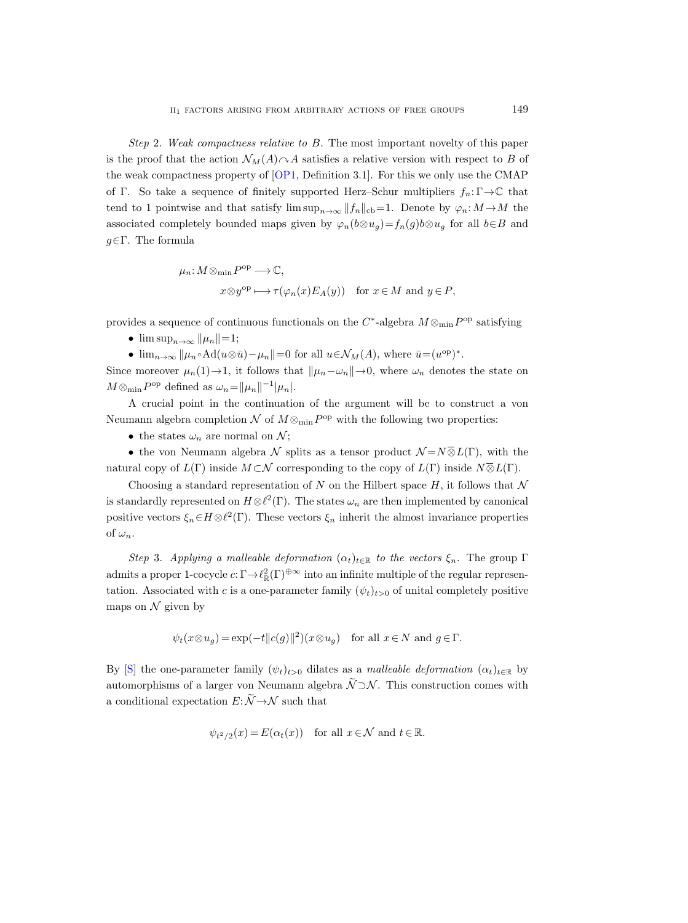Step 2. Weak compactness relative to B. The most important novelty of this paper is the proof that the action  $\mathcal{N}_M(A)\cap A$  satisfies a relative version with respect to B of the weak compactness property of [\[OP1,](#page-56-2) Definition 3.1]. For this we only use the CMAP of Γ. So take a sequence of finitely supported Herz–Schur multipliers  $f_n: \Gamma \to \mathbb{C}$  that tend to 1 pointwise and that satisfy  $\limsup_{n\to\infty} ||f_n||_{cb}=1$ . Denote by  $\varphi_n: M \to M$  the associated completely bounded maps given by  $\varphi_n(b\otimes u_g)=f_n(g)b\otimes u_g$  for all  $b\in B$  and  $g \in \Gamma$ . The formula

$$
\mu_n: M \otimes_{\min} P^{\text{op}} \longrightarrow \mathbb{C},
$$
  

$$
x \otimes y^{\text{op}} \longmapsto \tau(\varphi_n(x) E_A(y)) \text{ for } x \in M \text{ and } y \in P,
$$

provides a sequence of continuous functionals on the  $C^*$ -algebra  $M \otimes_{min} P^{\text{op}}$  satisfying

- $\limsup_{n\to\infty} ||\mu_n||=1;$
- $\lim_{n\to\infty} ||\mu_n \circ \text{Ad}(u\otimes \bar{u}) \mu_n||=0$  for all  $u \in \mathcal{N}_M(A)$ , where  $\bar{u} = (u^{\text{op}})^*$ .

Since moreover  $\mu_n(1) \to 1$ , it follows that  $\|\mu_n - \omega_n\| \to 0$ , where  $\omega_n$  denotes the state on  $M \otimes_{\min} P^{\text{op}}$  defined as  $\omega_n = ||\mu_n||^{-1} |\mu_n|$ .

A crucial point in the continuation of the argument will be to construct a von Neumann algebra completion  $\mathcal N$  of  $M\otimes_{\min} P^{\rm op}$  with the following two properties:

• the states  $\omega_n$  are normal on N;

• the von Neumann algebra  $\mathcal N$  splits as a tensor product  $\mathcal N = N \overline{\otimes} L(\Gamma)$ , with the natural copy of  $L(\Gamma)$  inside  $M \subset \mathcal{N}$  corresponding to the copy of  $L(\Gamma)$  inside  $N \overline{\otimes} L(\Gamma)$ .

Choosing a standard representation of N on the Hilbert space H, it follows that  $\mathcal N$ is standardly represented on  $H \otimes \ell^2(\Gamma)$ . The states  $\omega_n$  are then implemented by canonical positive vectors  $\xi_n \in H \otimes \ell^2(\Gamma)$ . These vectors  $\xi_n$  inherit the almost invariance properties of  $\omega_n$ .

Step 3. Applying a malleable deformation  $(\alpha_t)_{t\in\mathbb{R}}$  to the vectors  $\xi_n$ . The group  $\Gamma$ admits a proper 1-cocycle  $c: \Gamma \to \ell_{\mathbb{R}}^2(\Gamma)^{\oplus \infty}$  into an infinite multiple of the regular representation. Associated with c is a one-parameter family  $(\psi_t)_{t>0}$  of unital completely positive maps on  $\mathcal N$  given by

$$
\psi_t(x \otimes u_g) = \exp(-t||c(g)||^2)(x \otimes u_g) \quad \text{for all } x \in N \text{ and } g \in \Gamma.
$$

By [\[S\]](#page-57-2) the one-parameter family  $(\psi_t)_{t>0}$  dilates as a malleable deformation  $(\alpha_t)_{t\in\mathbb{R}}$  by automorphisms of a larger von Neumann algebra  $\widetilde{\mathcal{N}} \supset \mathcal{N}$ . This construction comes with a conditional expectation  $E: \widetilde{\mathcal{N}} \to \mathcal{N}$  such that

$$
\psi_{t^2/2}(x) = E(\alpha_t(x))
$$
 for all  $x \in \mathcal{N}$  and  $t \in \mathbb{R}$ .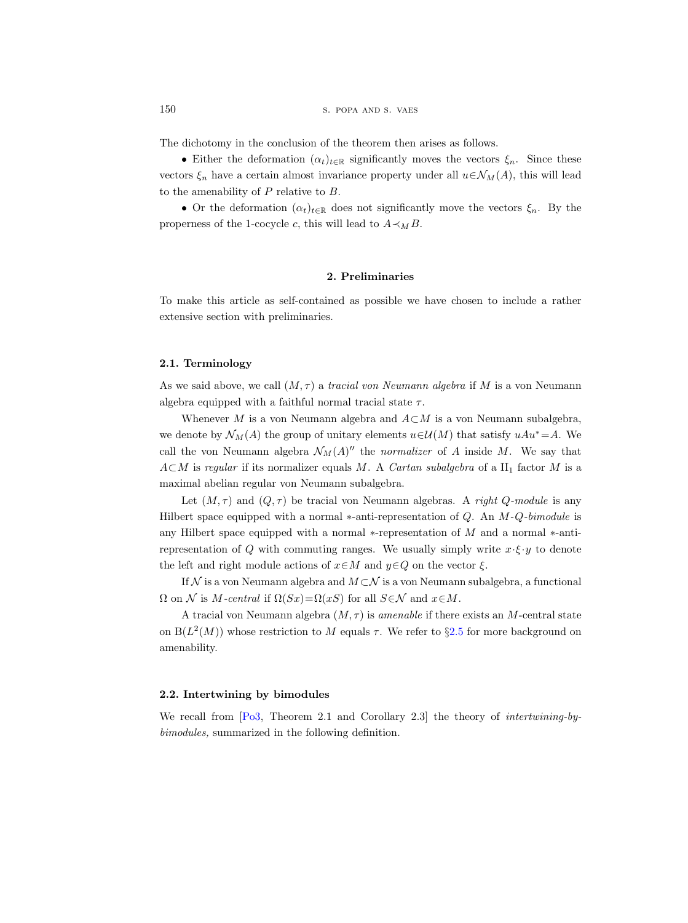The dichotomy in the conclusion of the theorem then arises as follows.

• Either the deformation  $(\alpha_t)_{t\in\mathbb{R}}$  significantly moves the vectors  $\xi_n$ . Since these vectors  $\xi_n$  have a certain almost invariance property under all  $u \in \mathcal{N}_M(A)$ , this will lead to the amenability of  $P$  relative to  $B$ .

• Or the deformation  $(\alpha_t)_{t\in\mathbb{R}}$  does not significantly move the vectors  $\xi_n$ . By the properness of the 1-cocycle c, this will lead to  $A \prec_M B$ .

## 2. Preliminaries

To make this article as self-contained as possible we have chosen to include a rather extensive section with preliminaries.

# 2.1. Terminology

As we said above, we call  $(M, \tau)$  a tracial von Neumann algebra if M is a von Neumann algebra equipped with a faithful normal tracial state  $\tau$ .

Whenever M is a von Neumann algebra and  $A\subset M$  is a von Neumann subalgebra, we denote by  $\mathcal{N}_M(A)$  the group of unitary elements  $u \in \mathcal{U}(M)$  that satisfy  $uAu^* = A$ . We call the von Neumann algebra  $\mathcal{N}_M(A)''$  the normalizer of A inside M. We say that  $A\subset M$  is regular if its normalizer equals M. A Cartan subalgebra of a II<sub>1</sub> factor M is a maximal abelian regular von Neumann subalgebra.

Let  $(M, \tau)$  and  $(Q, \tau)$  be tracial von Neumann algebras. A right Q-module is any Hilbert space equipped with a normal  $*$ -anti-representation of Q. An  $M-Q$ -bimodule is any Hilbert space equipped with a normal ∗-representation of M and a normal ∗-antirepresentation of Q with commuting ranges. We usually simply write  $x \cdot \xi \cdot y$  to denote the left and right module actions of  $x \in M$  and  $y \in Q$  on the vector  $\xi$ .

If  $N$  is a von Neumann algebra and  $M\subset\mathcal{N}$  is a von Neumann subalgebra, a functional  $\Omega$  on N is M-central if  $\Omega(Sx) = \Omega(xS)$  for all  $S \in \mathcal{N}$  and  $x \in M$ .

A tracial von Neumann algebra  $(M, \tau)$  is amenable if there exists an M-central state on  $B(L^2(M))$  whose restriction to M equals  $\tau$ . We refer to §[2.5](#page-12-1) for more background on amenability.

#### 2.2. Intertwining by bimodules

<span id="page-9-0"></span>We recall from  $[P_03,$  Theorem 2.1 and Corollary 2.3 the theory of *intertwining-by*bimodules, summarized in the following definition.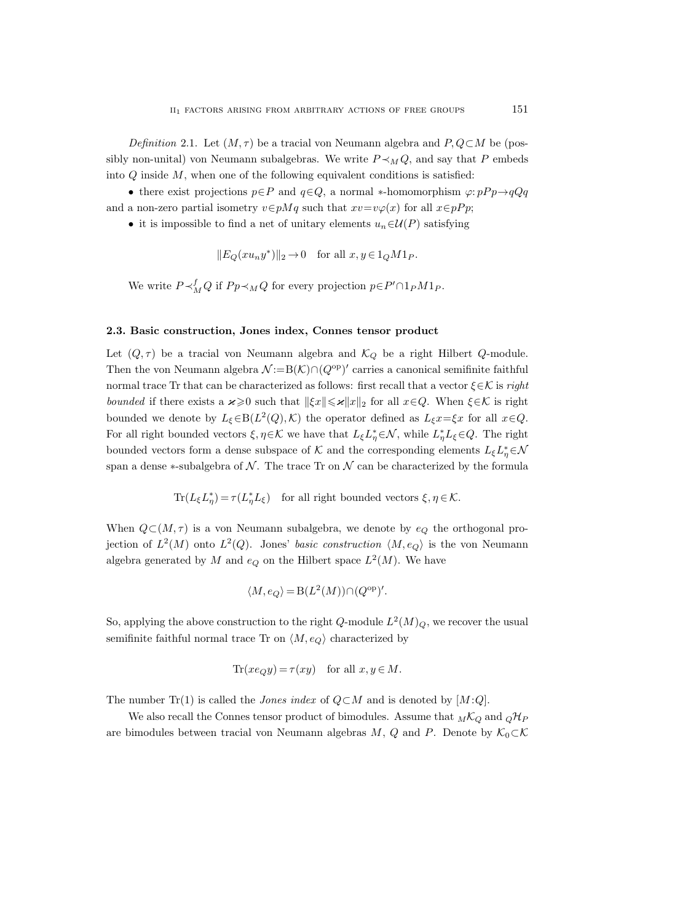Definition 2.1. Let  $(M, \tau)$  be a tracial von Neumann algebra and P, Q⊂M be (possibly non-unital) von Neumann subalgebras. We write  $P \prec_M Q$ , and say that P embeds into  $Q$  inside  $M$ , when one of the following equivalent conditions is satisfied:

• there exist projections  $p \in P$  and  $q \in Q$ , a normal \*-homomorphism  $\varphi: pPp \rightarrow qQq$ and a non-zero partial isometry  $v \in pMq$  such that  $xv=v\varphi(x)$  for all  $x \in pPp$ ;

• it is impossible to find a net of unitary elements  $u_n \in \mathcal{U}(P)$  satisfying

 $||E_Q(xu_ny^*)||_2 \to 0$  for all  $x, y \in 1_QM1_P$ .

We write  $P \prec_M^f Q$  if  $Pp \prec_M Q$  for every projection  $p \in P' \cap 1_P M 1_P$ .

## <span id="page-10-0"></span>2.3. Basic construction, Jones index, Connes tensor product

Let  $(Q, \tau)$  be a tracial von Neumann algebra and  $\mathcal{K}_Q$  be a right Hilbert Q-module. Then the von Neumann algebra  $\mathcal{N} := B(\mathcal{K}) \cap (Q^{\text{op}})'$  carries a canonical semifinite faithful normal trace Tr that can be characterized as follows: first recall that a vector  $\xi \in \mathcal{K}$  is right bounded if there exists a  $\varkappa \geq 0$  such that  $||\xi x|| \leq \varkappa ||x||_2$  for all  $x \in Q$ . When  $\xi \in \mathcal{K}$  is right bounded we denote by  $L_{\xi} \in B(L^2(Q), \mathcal{K})$  the operator defined as  $L_{\xi}x = \xi x$  for all  $x \in Q$ . For all right bounded vectors  $\xi, \eta \in \mathcal{K}$  we have that  $L_{\xi} L_{\eta}^* \in \mathcal{N}$ , while  $L_{\eta}^* L_{\xi} \in Q$ . The right bounded vectors form a dense subspace of  $K$  and the corresponding elements  $L_{\xi}L_{\eta}^*{\in}\mathcal{N}$ span a dense ∗-subalgebra of  $\mathcal N$ . The trace Tr on  $\mathcal N$  can be characterized by the formula

 $\text{Tr}(L_{\xi}L_{\eta}^*) = \tau(L_{\eta}^*L_{\xi})$  for all right bounded vectors  $\xi, \eta \in \mathcal{K}$ .

When  $Q\subset (M, \tau)$  is a von Neumann subalgebra, we denote by  $e_Q$  the orthogonal projection of  $L^2(M)$  onto  $L^2(Q)$ . Jones' basic construction  $\langle M, e_Q \rangle$  is the von Neumann algebra generated by M and  $e_Q$  on the Hilbert space  $L^2(M)$ . We have

$$
\langle M, e_Q \rangle = B(L^2(M)) \cap (Q^{\text{op}})'.
$$

So, applying the above construction to the right Q-module  $L^2(M)_Q$ , we recover the usual semifinite faithful normal trace Tr on  $\langle M, e_{Q} \rangle$  characterized by

$$
\text{Tr}(xe_Qy) = \tau(xy) \quad \text{for all } x, y \in M.
$$

The number Tr(1) is called the *Jones index* of  $Q \subset M$  and is denoted by [M:Q].

We also recall the Connes tensor product of bimodules. Assume that  $_M\mathcal{K}_Q$  and  $_Q\mathcal{H}_P$ are bimodules between tracial von Neumann algebras M, Q and P. Denote by  $K_0 \subset \mathcal{K}$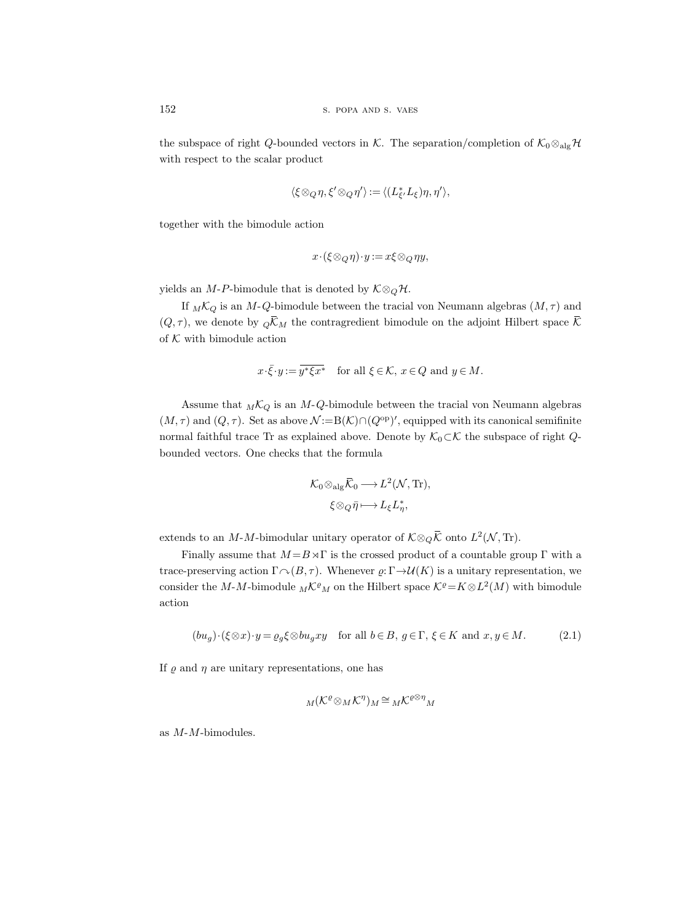the subspace of right Q-bounded vectors in K. The separation/completion of  $K_0 \otimes_{\text{alg}} \mathcal{H}$ with respect to the scalar product

$$
\langle \xi \otimes_Q \eta, \xi' \otimes_Q \eta' \rangle := \langle (L_{\xi'}^* L_{\xi}) \eta, \eta' \rangle,
$$

together with the bimodule action

$$
x\!\cdot\!(\xi\!\otimes_Q\!\eta)\!\cdot\! y\!:=\!x\xi\!\otimes_Q\!\eta y,
$$

yields an *M*-P-bimodule that is denoted by  $K \otimes_Q \mathcal{H}$ .

If  $_M\mathcal{K}_Q$  is an M-Q-bimodule between the tracial von Neumann algebras  $(M, \tau)$  and  $(Q, \tau)$ , we denote by  $\overline{Q}K_M$  the contragredient bimodule on the adjoint Hilbert space  $\overline{K}$ of  $K$  with bimodule action

$$
x \cdot \overline{\xi} \cdot y := \overline{y^* \xi x^*} \quad \text{for all } \xi \in \mathcal{K}, \ x \in Q \text{ and } y \in M.
$$

Assume that  $_M\mathcal{K}_Q$  is an M-Q-bimodule between the tracial von Neumann algebras  $(M, \tau)$  and  $(Q, \tau)$ . Set as above  $\mathcal{N} := B(\mathcal{K}) \cap (Q^{\text{op}})'$ , equipped with its canonical semifinite normal faithful trace Tr as explained above. Denote by  $\mathcal{K}_0 \subset \mathcal{K}$  the subspace of right  $Q$ bounded vectors. One checks that the formula

$$
\mathcal{K}_0 \otimes_{\text{alg}} \overline{\mathcal{K}}_0 \longrightarrow L^2(\mathcal{N}, \text{Tr}),
$$
  

$$
\xi \otimes_Q \overline{\eta} \longmapsto L_{\xi} L_{\eta}^*,
$$

extends to an M-M-bimodular unitary operator of  $\mathcal{K} \otimes_Q \overline{\mathcal{K}}$  onto  $L^2(\mathcal{N}, \text{Tr})$ .

Finally assume that  $M = B \times \Gamma$  is the crossed product of a countable group  $\Gamma$  with a trace-preserving action  $\Gamma \cap (B, \tau)$ . Whenever  $\varrho: \Gamma \rightarrow \mathcal{U}(K)$  is a unitary representation, we consider the M-M-bimodule  $_M\mathcal{K}^{\rho}{}_M$  on the Hilbert space  $\mathcal{K}^{\rho} = K \otimes L^2(M)$  with bimodule action

<span id="page-11-0"></span>
$$
(bu_g) \cdot (\xi \otimes x) \cdot y = \varrho_g \xi \otimes bu_g xy \quad \text{for all } b \in B, g \in \Gamma, \xi \in K \text{ and } x, y \in M. \tag{2.1}
$$

If  $\rho$  and  $\eta$  are unitary representations, one has

$$
{}_M(\mathcal{K}^{\varrho} \otimes_M \mathcal{K}^{\eta})_M \cong {}_M\mathcal{K}^{\varrho \otimes \eta}{}_M
$$

as M-M-bimodules.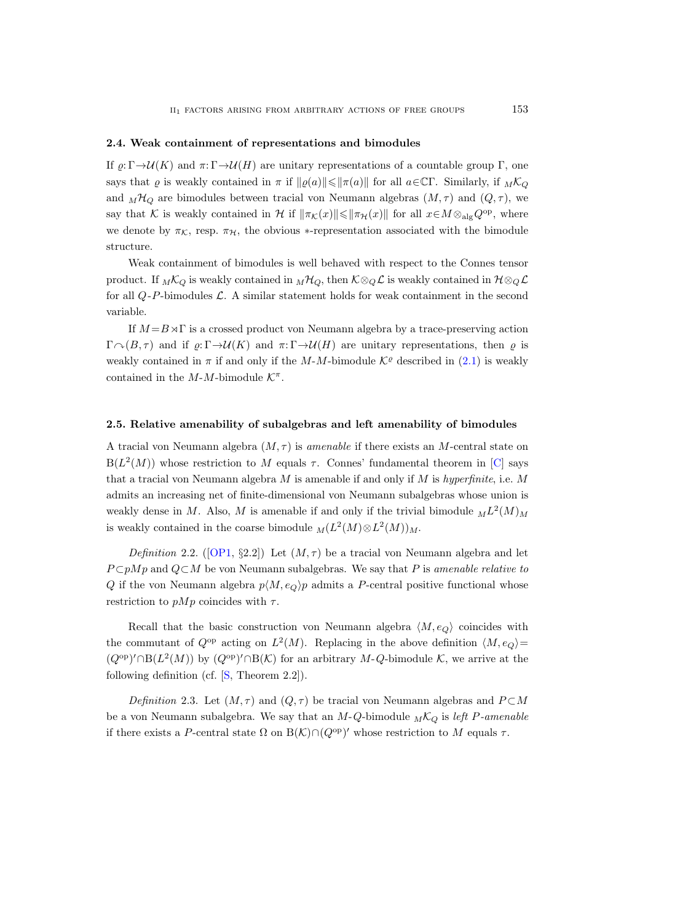## <span id="page-12-3"></span>2.4. Weak containment of representations and bimodules

If  $\rho: \Gamma \rightarrow \mathcal{U}(K)$  and  $\pi: \Gamma \rightarrow \mathcal{U}(H)$  are unitary representations of a countable group Γ, one says that  $\varrho$  is weakly contained in  $\pi$  if  $\|\varrho(a)\| \le \|\pi(a)\|$  for all  $a \in \mathbb{C}\Gamma$ . Similarly, if  $M\mathcal{K}_Q$ and  $_M\mathcal{H}_Q$  are bimodules between tracial von Neumann algebras  $(M, \tau)$  and  $(Q, \tau)$ , we say that K is weakly contained in H if  $\|\pi_K(x)\| \le \|\pi_H(x)\|$  for all  $x \in M \otimes_{\text{alg}} Q^{\text{op}}$ , where we denote by  $\pi_K$ , resp.  $\pi_H$ , the obvious ∗-representation associated with the bimodule structure.

Weak containment of bimodules is well behaved with respect to the Connes tensor product. If  $_M\mathcal{K}_Q$  is weakly contained in  $_M\mathcal{H}_Q$ , then  $K\otimes_Q \mathcal{L}$  is weakly contained in  $\mathcal{H}\otimes_Q \mathcal{L}$ for all  $Q-P$ -bimodules  $\mathcal L$ . A similar statement holds for weak containment in the second variable.

If  $M = B \rtimes \Gamma$  is a crossed product von Neumann algebra by a trace-preserving action  $\Gamma \cap (B, \tau)$  and if  $\rho: \Gamma \rightarrow \mathcal{U}(K)$  and  $\pi: \Gamma \rightarrow \mathcal{U}(H)$  are unitary representations, then  $\rho$  is weakly contained in  $\pi$  if and only if the M-M-bimodule  $\mathcal{K}^{\varrho}$  described in [\(2.1\)](#page-11-0) is weakly contained in the  $M-M$ -bimodule  $K^{\pi}$ .

## <span id="page-12-1"></span>2.5. Relative amenability of subalgebras and left amenability of bimodules

A tracial von Neumann algebra  $(M, \tau)$  is amenable if there exists an M-central state on  $B(L^2(M))$  whose restriction to M equals  $\tau$ . Connes' fundamental theorem in [\[C\]](#page-55-1) says that a tracial von Neumann algebra  $M$  is amenable if and only if  $M$  is hyperfinite, i.e.  $M$ admits an increasing net of finite-dimensional von Neumann subalgebras whose union is weakly dense in M. Also, M is amenable if and only if the trivial bimodule  $_{M}L^{2}(M)_{M}$ is weakly contained in the coarse bimodule  $_M(L^2(M) \otimes L^2(M))_M$ .

<span id="page-12-0"></span>Definition2.2. ([\[OP1,](#page-56-2) §2.2]) Let  $(M, \tau)$  be a tracial von Neumann algebra and let  $P \subset pMp$  and  $Q \subset M$  be von Neumann subalgebras. We say that P is amenable relative to Q if the von Neumann algebra  $p\langle M, e_Q \rangle p$  admits a P-central positive functional whose restriction to  $pMp$  coincides with  $\tau$ .

Recall that the basic construction von Neumann algebra  $\langle M, e_{\mathcal{O}} \rangle$  coincides with the commutant of  $Q^{\rm op}$  acting on  $L^2(M)$ . Replacing in the above definition  $\langle M, e_Q \rangle =$  $(Q^{op})' \cap B(L^2(M))$  by  $(Q^{op})' \cap B(K)$  for an arbitrary M-Q-bimodule K, we arrive at the following definition (cf.  $[S, Theorem 2.2]$ ).

<span id="page-12-2"></span>Definition 2.3. Let  $(M, \tau)$  and  $(Q, \tau)$  be tracial von Neumann algebras and  $P \subset M$ be a von Neumann subalgebra. We say that an  $M-Q$ -bimodule  $_M\mathcal{K}_Q$  is left P-amenable if there exists a P-central state  $\Omega$  on  $B(K) \cap (Q^{\text{op}})'$  whose restriction to M equals  $\tau$ .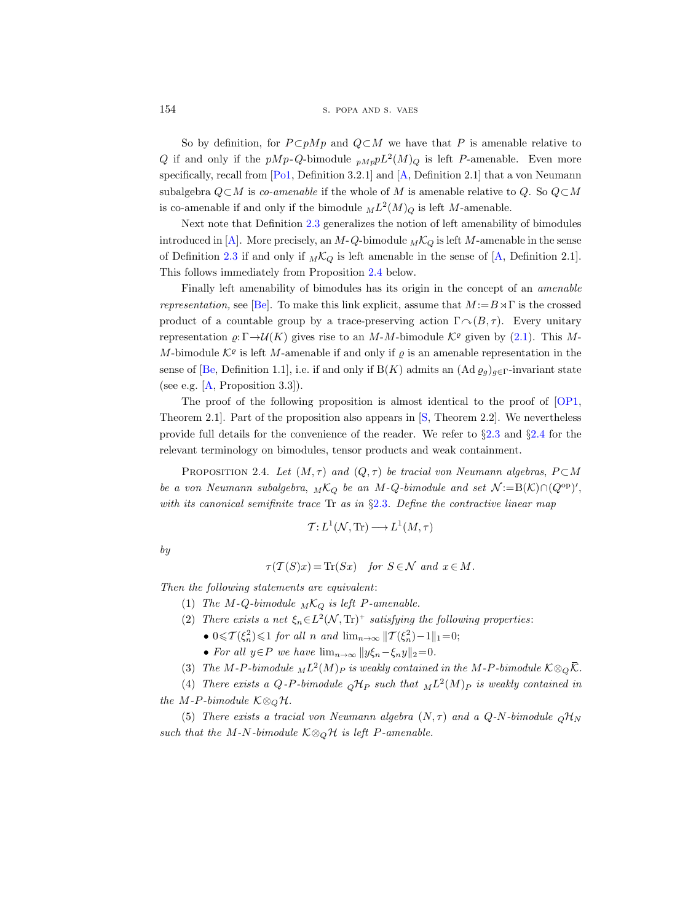154 S. POPA AND S. VAES

So by definition, for  $P \subset pMp$  and  $Q \subset M$  we have that P is amenable relative to Q if and only if the  $pMp-Q$ -bimodule  $_{pMp}pL^2(M)_Q$  is left P-amenable. Even more specifically, recall from [\[Po1,](#page-56-15) Definition 3.2.1] and [\[A,](#page-55-15) Definition 2.1] that a von Neumann subalgebra  $Q \subset M$  is co-amenable if the whole of M is amenable relative to Q. So  $Q \subset M$ is co-amenable if and only if the bimodule  $_{M}L^{2}(M)_{Q}$  is left M-amenable.

Next note that Definition [2.3](#page-12-2) generalizes the notion of left amenability of bimodules introduced in [\[A\]](#page-55-15). More precisely, an  $M-Q$ -bimodule  $_M\mathcal{K}_Q$  is left M-amenable in the sense of Definition [2.3](#page-12-2) if and only if  $_M\mathcal{K}_Q$  is left amenable in the sense of [\[A,](#page-55-15) Definition 2.1]. This follows immediately from Proposition [2.4](#page-13-0) below.

Finally left amenability of bimodules has its origin in the concept of an amenable representation, see [\[Be\]](#page-55-14). To make this link explicit, assume that  $M := B \rtimes \Gamma$  is the crossed product of a countable group by a trace-preserving action  $\Gamma \cap (B, \tau)$ . Every unitary representation  $\varrho: \Gamma \to \mathcal{U}(K)$  gives rise to an M-M-bimodule  $\mathcal{K}^{\varrho}$  given by [\(2.1\)](#page-11-0). This M-M-bimodule  $\mathcal{K}^{\varrho}$  is left M-amenable if and only if  $\varrho$  is an amenable representation in the sense of [\[Be,](#page-55-14) Definition 1.1], i.e. if and only if B(K) admits an  $(\text{Ad}\,\varrho_g)_{g\in\Gamma}$ -invariant state (see e.g.  $[A,$  Proposition 3.3]).

The proof of the following proposition is almost identical to the proof of [\[OP1,](#page-56-2) Theorem 2.1]. Part of the proposition also appears in [\[S,](#page-57-2) Theorem 2.2]. We nevertheless provide full details for the convenience of the reader. We refer to §[2.3](#page-10-0) and §[2.4](#page-12-3) for the relevant terminology on bimodules, tensor products and weak containment.

<span id="page-13-0"></span>PROPOSITION 2.4. Let  $(M, \tau)$  and  $(Q, \tau)$  be tracial von Neumann algebras,  $P \subset M$ be a von Neumann subalgebra,  $_M\mathcal{K}_Q$  be an M-Q-bimodule and set  $\mathcal{N}:=B(\mathcal{K})\cap (Q^{\rm op})'$ , with its canonical semifinite trace Tr as in  $\S 2.3$  $\S 2.3$ . Define the contractive linear map

$$
\mathcal{T}: L^1(\mathcal{N}, \text{Tr}) \longrightarrow L^1(M, \tau)
$$

by

$$
\tau(\mathcal{T}(S)x) = \text{Tr}(Sx) \quad \text{for } S \in \mathcal{N} \text{ and } x \in M.
$$

Then the following statements are equivalent:

- (1) The M-Q-bimodule  $_M\mathcal{K}_Q$  is left P-amenable.
- (2) There exists a net  $\xi_n \in L^2(\mathcal{N}, \text{Tr})^+$  satisfying the following properties:
	- $0 \leq \mathcal{T}(\xi_n^2) \leq 1$  for all n and  $\lim_{n \to \infty} ||\mathcal{T}(\xi_n^2) 1||_1 = 0;$
	- For all  $y \in P$  we have  $\lim_{n \to \infty} ||y \xi_n \xi_n y||_2 = 0$ .
- (3) The M-P-bimodule  $_{M}L^{2}(M)_{P}$  is weakly contained in the M-P-bimodule  $\mathcal{K}\otimes_{Q}\overline{\mathcal{K}}$ .

(4) There exists a Q-P-bimodule  $_{Q}H_{P}$  such that  $_{M}L^{2}(M)_{P}$  is weakly contained in the M-P-bimodule  $K \otimes_{\mathcal{O}} \mathcal{H}$ .

(5) There exists a tracial von Neumann algebra  $(N, \tau)$  and a Q-N-bimodule  $_{Q}H_{N}$ such that the M-N-bimodule  $K \otimes_Q \mathcal{H}$  is left P-amenable.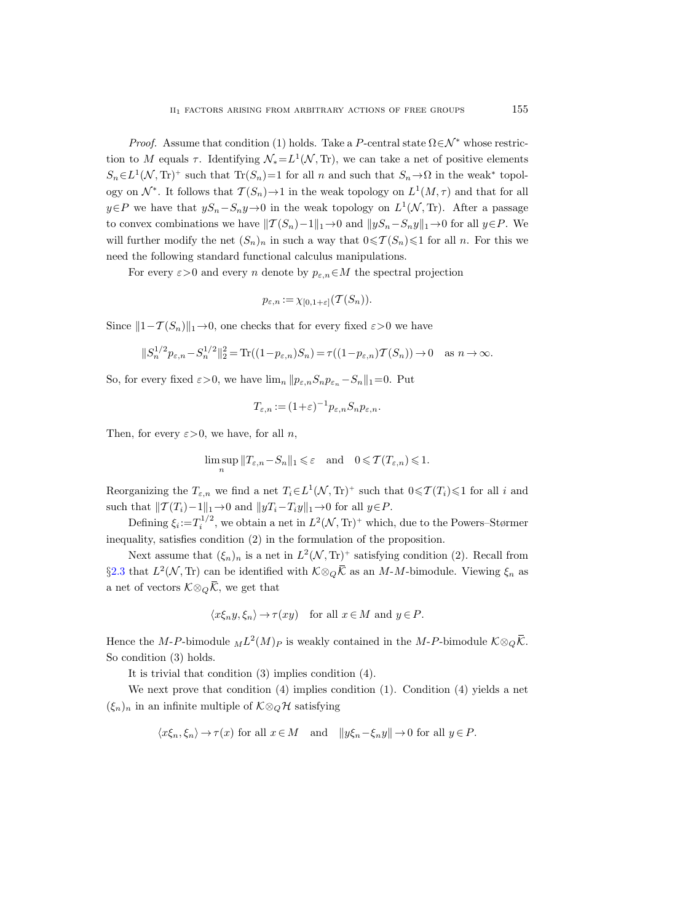*Proof.* Assume that condition (1) holds. Take a P-central state  $\Omega \in \mathcal{N}^*$  whose restriction to M equals  $\tau$ . Identifying  $\mathcal{N}_* = L^1(\mathcal{N}, \text{Tr})$ , we can take a net of positive elements  $S_n \in L^1(\mathcal{N}, \mathrm{Tr})^+$  such that  $\mathrm{Tr}(S_n) = 1$  for all n and such that  $S_n \to \Omega$  in the weak\* topology on  $\mathcal{N}^*$ . It follows that  $\mathcal{T}(S_n) \to 1$  in the weak topology on  $L^1(M, \tau)$  and that for all  $y \in P$  we have that  $yS_n - S_ny \to 0$  in the weak topology on  $L^1(\mathcal{N}, T_r)$ . After a passage to convex combinations we have  $||T(S_n)-1||_1 \to 0$  and  $||yS_n-S_ny||_1 \to 0$  for all  $y \in P$ . We will further modify the net  $(S_n)_n$  in such a way that  $0 \leq T(S_n) \leq 1$  for all n. For this we need the following standard functional calculus manipulations.

For every  $\varepsilon > 0$  and every n denote by  $p_{\varepsilon,n} \in M$  the spectral projection

$$
p_{\varepsilon,n} := \chi_{[0,1+\varepsilon]}(\mathcal{T}(S_n)).
$$

Since  $||1-T(S_n)||_1 \rightarrow 0$ , one checks that for every fixed  $\varepsilon > 0$  we have

$$
||S_n^{1/2}p_{\varepsilon,n} - S_n^{1/2}||_2^2 = \text{Tr}((1 - p_{\varepsilon,n})S_n) = \tau((1 - p_{\varepsilon,n})\mathcal{T}(S_n)) \to 0 \quad \text{as } n \to \infty.
$$

So, for every fixed  $\varepsilon > 0$ , we have  $\lim_{n} ||p_{\varepsilon,n}S_n p_{\varepsilon_n} - S_n||_1 = 0$ . Put

$$
T_{\varepsilon,n} := (1+\varepsilon)^{-1} p_{\varepsilon,n} S_n p_{\varepsilon,n}.
$$

Then, for every  $\varepsilon > 0$ , we have, for all n,

$$
\limsup_n \|T_{\varepsilon,n} - S_n\|_1 \leqslant \varepsilon \quad \text{and} \quad 0 \leqslant \mathcal{T}(T_{\varepsilon,n}) \leqslant 1.
$$

Reorganizing the  $T_{\varepsilon,n}$  we find a net  $T_i \in L^1(\mathcal{N}, \mathrm{Tr})^+$  such that  $0 \leq \mathcal{T}(T_i) \leq 1$  for all i and such that  $||T (T_i)-1||_1 \rightarrow 0$  and  $||yT_i-T_iy||_1 \rightarrow 0$  for all  $y\in P$ .

Defining  $\xi_i = T_i^{1/2}$ , we obtain a net in  $L^2(\mathcal{N}, \text{Tr})^+$  which, due to the Powers–Størmer inequality, satisfies condition (2) in the formulation of the proposition.

Next assume that  $(\xi_n)_n$  is a net in  $L^2(\mathcal{N}, \mathrm{Tr})^+$  satisfying condition (2). Recall from §[2.3](#page-10-0) that  $L^2(\mathcal{N}, \text{Tr})$  can be identified with  $\mathcal{K} \otimes_Q \overline{\mathcal{K}}$  as an M-M-bimodule. Viewing  $\xi_n$  as a net of vectors  $\mathcal{K} \otimes_{\mathcal{Q}} \overline{\mathcal{K}}$ , we get that

$$
\langle x\xi_n y, \xi_n \rangle \to \tau(xy)
$$
 for all  $x \in M$  and  $y \in P$ .

Hence the M-P-bimodule  $_{M}L^{2}(M)_{P}$  is weakly contained in the M-P-bimodule  $\mathcal{K}\otimes_{Q}\overline{\mathcal{K}}$ . So condition (3) holds.

It is trivial that condition (3) implies condition (4).

We next prove that condition (4) implies condition (1). Condition (4) yields a net  $(\xi_n)_n$  in an infinite multiple of  $\mathcal{K} \otimes_Q \mathcal{H}$  satisfying

$$
\langle x\xi_n, \xi_n \rangle \to \tau(x)
$$
 for all  $x \in M$  and  $||y\xi_n - \xi_n y|| \to 0$  for all  $y \in P$ .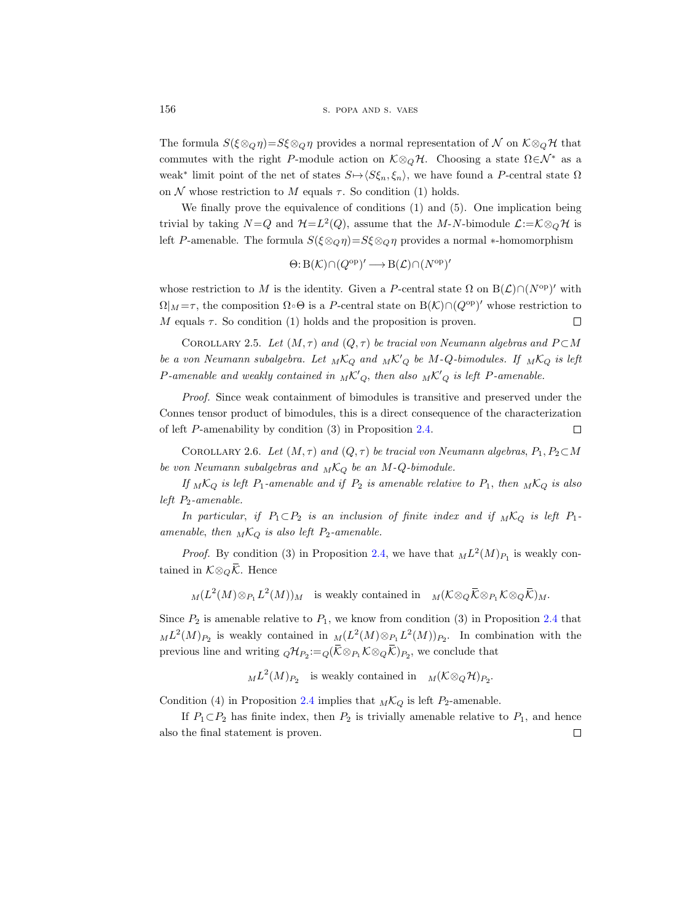The formula  $S(\xi \otimes_{\mathbb{Q}} \eta) = S\xi \otimes_{\mathbb{Q}} \eta$  provides a normal representation of N on  $K \otimes_{\mathbb{Q}} \mathcal{H}$  that commutes with the right P-module action on  $K \otimes_{\mathcal{O}} \mathcal{H}$ . Choosing a state  $\Omega \in \mathcal{N}^*$  as a weak<sup>\*</sup> limit point of the net of states  $S \mapsto \langle S\xi_n, \xi_n \rangle$ , we have found a P-central state  $\Omega$ on  $\mathcal N$  whose restriction to  $M$  equals  $\tau$ . So condition (1) holds.

We finally prove the equivalence of conditions (1) and (5). One implication being trivial by taking  $N=Q$  and  $\mathcal{H}=L^2(Q)$ , assume that the M-N-bimodule  $\mathcal{L}:=\mathcal{K}\otimes_Q\mathcal{H}$  is left P-amenable. The formula  $S(\xi \otimes_{\mathcal{Q}} \eta) = S\xi \otimes_{\mathcal{Q}} \eta$  provides a normal ∗-homomorphism

$$
\Theta: B(\mathcal{K}) \cap (Q^{\text{op}})' \longrightarrow B(\mathcal{L}) \cap (N^{\text{op}})'
$$

whose restriction to M is the identity. Given a P-central state  $\Omega$  on  $B(\mathcal{L}) \cap (N^{\text{op}})'$  with  $\Omega|_M = \tau$ , the composition  $\Omega \circ \Theta$  is a P-central state on  $B(\mathcal{K}) \cap (Q^{\text{op}})'$  whose restriction to M equals  $\tau$ . So condition (1) holds and the proposition is proven.  $\Box$ 

<span id="page-15-1"></span>COROLLARY 2.5. Let  $(M, \tau)$  and  $(Q, \tau)$  be tracial von Neumann algebras and  $P \subset M$ be a von Neumann subalgebra. Let  $_MK_Q$  and  $_MK_Q'$  be M-Q-bimodules. If  $_MK_Q$  is left P-amenable and weakly contained in  $_M{\mathcal K}'_Q$ , then also  $_M{\mathcal K}'_Q$  is left P-amenable.

Proof. Since weak containment of bimodules is transitive and preserved under the Connes tensor product of bimodules, this is a direct consequence of the characterization of left P-amenability by condition (3) in Proposition [2.4.](#page-13-0)  $\Box$ 

<span id="page-15-0"></span>COROLLARY 2.6. Let  $(M, \tau)$  and  $(Q, \tau)$  be tracial von Neumann algebras,  $P_1, P_2 \subset M$ be von Neumann subalgebras and  $_M\mathcal{K}_Q$  be an M-Q-bimodule.

If  $_MK_Q$  is left  $P_1$ -amenable and if  $P_2$  is amenable relative to  $P_1$ , then  $_MK_Q$  is also left  $P_2$ -amenable.

In particular, if  $P_1 \subset P_2$  is an inclusion of finite index and if  $_M\mathcal{K}_Q$  is left  $P_1$ amenable, then  $_M\mathcal{K}_Q$  is also left  $P_2$ -amenable.

*Proof.* By condition (3) in Proposition [2.4,](#page-13-0) we have that  $_{ML}L^2(M)_{P_1}$  is weakly contained in  $\mathcal{K} \otimes_{\mathcal{O}} \overline{\mathcal{K}}$ . Hence

 $M(L^2(M) \otimes_{P_1} L^2(M))_M$  is weakly contained in  $M(\mathcal{K} \otimes_Q \overline{\mathcal{K}})_{P_1} \mathcal{K} \otimes_Q \overline{\mathcal{K}})_M$ .

Since  $P_2$  is amenable relative to  $P_1$ , we know from condition (3) in Proposition [2.4](#page-13-0) that  $_{M}L^{2}(M)_{P_{2}}$  is weakly contained in  $_{M}(L^{2}(M)\otimes_{P_{1}}L^{2}(M))_{P_{2}}$ . In combination with the previous line and writing  ${}_{Q}\mathcal{H}_{P_2} := {}_{Q}(\overline{\mathcal{K}} \otimes_{P_1} \mathcal{K} \otimes_Q \overline{\mathcal{K}})_{P_2}$ , we conclude that

 $_{M}L^{2}(M)_{P_{2}}$  is weakly contained in  $_{M}(\mathcal{K}\otimes_{Q}\mathcal{H})_{P_{2}}$ .

Condition (4) in Proposition [2.4](#page-13-0) implies that  $_M\mathcal{K}_Q$  is left  $P_2$ -amenable.

If  $P_1 \subset P_2$  has finite index, then  $P_2$  is trivially amenable relative to  $P_1$ , and hence also the final statement is proven. $\Box$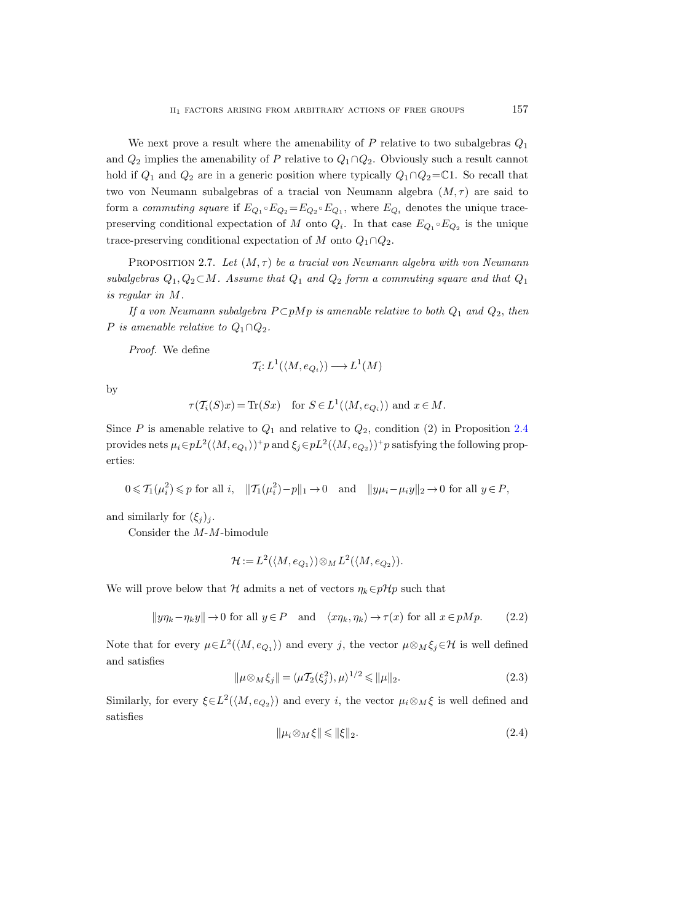We next prove a result where the amenability of  $P$  relative to two subalgebras  $Q_1$ and  $Q_2$  implies the amenability of P relative to  $Q_1 \cap Q_2$ . Obviously such a result cannot hold if  $Q_1$  and  $Q_2$  are in a generic position where typically  $Q_1 \cap Q_2 = \mathbb{C}1$ . So recall that two von Neumann subalgebras of a tracial von Neumann algebra  $(M, \tau)$  are said to form a commuting square if  $E_{Q_1} \circ E_{Q_2} = E_{Q_2} \circ E_{Q_1}$ , where  $E_{Q_i}$  denotes the unique tracepreserving conditional expectation of M onto  $Q_i$ . In that case  $E_{Q_1} \circ E_{Q_2}$  is the unique trace-preserving conditional expectation of M onto  $Q_1 \cap Q_2$ .

<span id="page-16-3"></span>PROPOSITION 2.7. Let  $(M, \tau)$  be a tracial von Neumann algebra with von Neumann subalgebras  $Q_1, Q_2 \subset M$ . Assume that  $Q_1$  and  $Q_2$  form a commuting square and that  $Q_1$ is regular in M.

If a von Neumann subalgebra  $P \subset pMp$  is amenable relative to both  $Q_1$  and  $Q_2$ , then P is amenable relative to  $Q_1 \cap Q_2$ .

Proof. We define

$$
\mathcal{T}_i: L^1(\langle M, e_{Q_i} \rangle) \longrightarrow L^1(M)
$$

by

$$
\tau(\mathcal{T}_i(S)x) = \text{Tr}(Sx) \quad \text{for } S \in L^1(\langle M, e_{Q_i} \rangle) \text{ and } x \in M.
$$

Since P is amenable relative to  $Q_1$  and relative to  $Q_2$ , condition (2) in Proposition [2.4](#page-13-0) provides nets  $\mu_i \in pL^2(\langle M, e_{Q_1} \rangle)^+ p$  and  $\xi_j \in pL^2(\langle M, e_{Q_2} \rangle)^+ p$  satisfying the following properties:

$$
0 \leqslant \mathcal{T}_1(\mu_i^2) \leqslant p \text{ for all } i, \quad \|\mathcal{T}_1(\mu_i^2) - p\|_1 \to 0 \quad \text{and} \quad \|y\mu_i - \mu_i y\|_2 \to 0 \text{ for all } y \in P,
$$

and similarly for  $(\xi_j)_j$ .

Consider the M-M-bimodule

$$
\mathcal{H} := L^2(\langle M, e_{Q_1} \rangle) \otimes_M L^2(\langle M, e_{Q_2} \rangle).
$$

We will prove below that H admits a net of vectors  $\eta_k \in p\mathcal{H}p$  such that

<span id="page-16-0"></span>
$$
||y\eta_k - \eta_k y|| \to 0 \text{ for all } y \in P \text{ and } \langle x\eta_k, \eta_k \rangle \to \tau(x) \text{ for all } x \in pMp. \tag{2.2}
$$

Note that for every  $\mu \in L^2(\langle M, e_{Q_1} \rangle)$  and every j, the vector  $\mu \otimes_M \xi_j \in \mathcal{H}$  is well defined and satisfies

<span id="page-16-1"></span>
$$
\|\mu \otimes_M \xi_j\| = \langle \mu T_2(\xi_j^2), \mu \rangle^{1/2} \le \|\mu\|_2.
$$
 (2.3)

Similarly, for every  $\xi \in L^2(\langle M, e_{Q_2} \rangle)$  and every i, the vector  $\mu_i \otimes_M \xi$  is well defined and satisfies

<span id="page-16-2"></span>
$$
\|\mu_i \otimes_M \xi\| \le \|\xi\|_2. \tag{2.4}
$$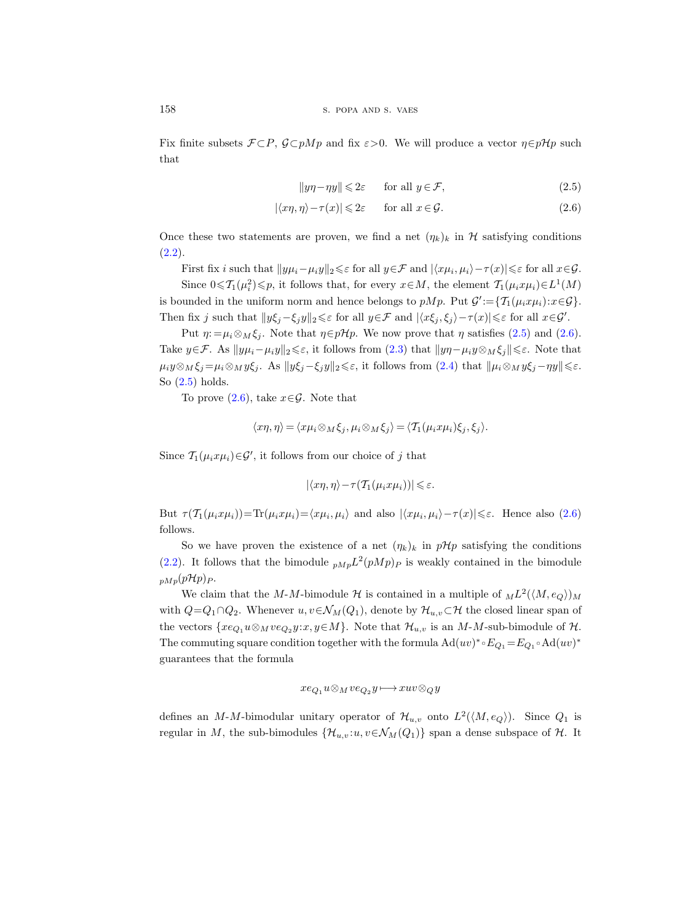Fix finite subsets  $\mathcal{F} \subset P$ ,  $\mathcal{G} \subset pMp$  and fix  $\varepsilon > 0$ . We will produce a vector  $\eta \in pHp$  such that

<span id="page-17-1"></span><span id="page-17-0"></span>
$$
||y\eta - \eta y|| \leq 2\varepsilon \qquad \text{for all } y \in \mathcal{F},\tag{2.5}
$$

$$
|\langle x\eta, \eta \rangle - \tau(x)| \leq 2\varepsilon \quad \text{for all } x \in \mathcal{G}.\tag{2.6}
$$

Once these two statements are proven, we find a net  $(\eta_k)_k$  in H satisfying conditions  $(2.2).$  $(2.2).$ 

First fix i such that  $||y\mu_i - \mu_i y||_2 \leq \varepsilon$  for all  $y \in \mathcal{F}$  and  $|\langle x\mu_i, \mu_i \rangle - \tau(x)| \leq \varepsilon$  for all  $x \in \mathcal{G}$ .

Since  $0 \le T_1(\mu_i^2) \le p$ , it follows that, for every  $x \in M$ , the element  $T_1(\mu_i x \mu_i) \in L^1(M)$ is bounded in the uniform norm and hence belongs to  $pMp$ . Put  $\mathcal{G}' := \{ \mathcal{T}_1(\mu_i x \mu_i) : x \in \mathcal{G} \}.$ Then fix j such that  $||y\xi_j-\xi_jy||_2\leq \varepsilon$  for all  $y\in\mathcal{F}$  and  $|\langle x\xi_j,\xi_j\rangle-\tau(x)|\leq \varepsilon$  for all  $x\in\mathcal{G}'$ .

Put  $\eta := \mu_i \otimes_M \xi_j$ . Note that  $\eta \in p\mathcal{H}p$ . We now prove that  $\eta$  satisfies [\(2.5\)](#page-17-0) and [\(2.6\)](#page-17-1). Take  $y \in \mathcal{F}$ . As  $||y\mu_i-\mu_iy||_2 \leq \varepsilon$ , it follows from [\(2.3\)](#page-16-1) that  $||y\eta-\mu_iy||_2 \leq \varepsilon$ . Note that  $\mu_i y \otimes_M \xi_j = \mu_i \otimes_M y \xi_j$ . As  $||y \xi_j - \xi_j y||_2 \leq \varepsilon$ , it follows from  $(2.4)$  that  $||\mu_i \otimes_M y \xi_j - \eta y|| \leq \varepsilon$ . So [\(2.5\)](#page-17-0) holds.

To prove  $(2.6)$ , take  $x \in \mathcal{G}$ . Note that

$$
\langle x\eta, \eta \rangle = \langle x\mu_i \otimes_M \xi_j, \mu_i \otimes_M \xi_j \rangle = \langle \mathcal{T}_1(\mu_i x \mu_i) \xi_j, \xi_j \rangle.
$$

Since  $\mathcal{T}_1(\mu_i x \mu_i) \in \mathcal{G}'$ , it follows from our choice of j that

$$
|\langle x\eta,\eta\rangle-\tau(\mathcal{T}_1(\mu_ix\mu_i))|\leqslant\varepsilon.
$$

But  $\tau(\mathcal{T}_1(\mu_i x \mu_i)) = \text{Tr}(\mu_i x \mu_i) = \langle x \mu_i, \mu_i \rangle$  and also  $|\langle x \mu_i, \mu_i \rangle - \tau(x)| \leq \varepsilon$ . Hence also [\(2.6\)](#page-17-1) follows.

So we have proven the existence of a net  $(\eta_k)_k$  in  $p\mathcal{H}p$  satisfying the conditions [\(2.2\)](#page-16-0). It follows that the bimodule  $_{pMp}L^2(pMp)_P$  is weakly contained in the bimodule  $_{pMp}(pHp)_{P}$ .

We claim that the M-M-bimodule H is contained in a multiple of  $_{M}L^{2}(\langle M, e_{Q} \rangle)_{M}$ with  $Q=Q_1\cap Q_2$ . Whenever  $u, v \in \mathcal{N}_M(Q_1)$ , denote by  $\mathcal{H}_{u,v} \subset \mathcal{H}$  the closed linear span of the vectors  $\{xe_{Q_1}u\otimes_Mve_{Q_2}y:x,y\in M\}$ . Note that  $\mathcal{H}_{u,v}$  is an  $M$ -M-sub-bimodule of  $\mathcal{H}$ . The commuting square condition together with the formula  $\text{Ad}(uv)^* \circ E_{Q_1} = E_{Q_1} \circ \text{Ad}(uv)^*$ guarantees that the formula

$$
xe_{Q_1}u\otimes_Mve_{Q_2}y\longmapsto xuv\otimes_Qy
$$

defines an M-M-bimodular unitary operator of  $\mathcal{H}_{u,v}$  onto  $L^2(\langle M, e_Q \rangle)$ . Since  $Q_1$  is regular in M, the sub-bimodules  $\{\mathcal{H}_{u,v}:u,v \in \mathcal{N}_M(Q_1)\}\$  span a dense subspace of  $\mathcal{H}$ . It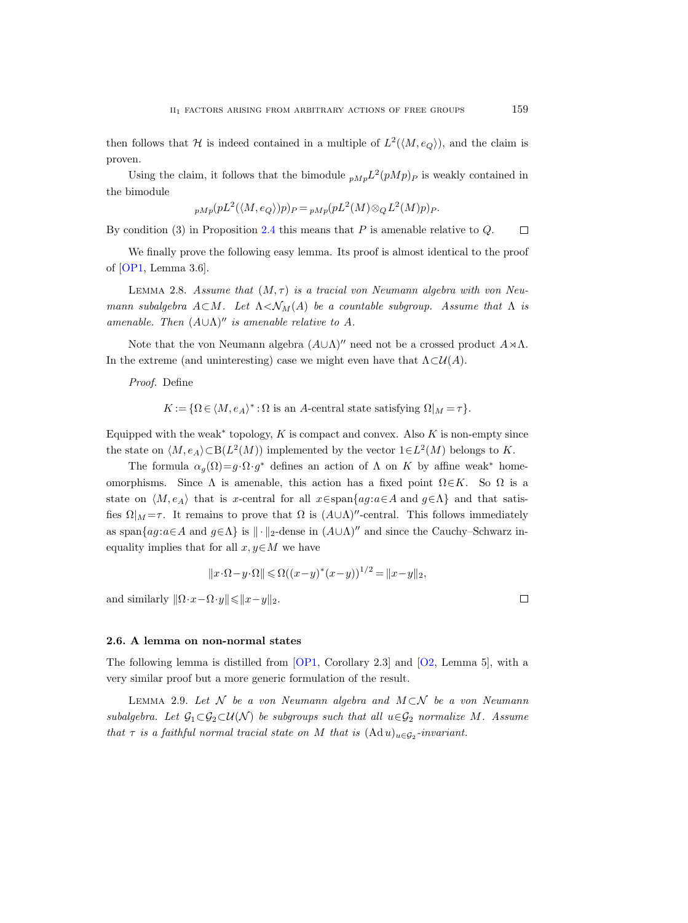then follows that H is indeed contained in a multiple of  $L^2(\langle M, e_Q \rangle)$ , and the claim is proven.

Using the claim, it follows that the bimodule  $_{pMp}L^2(pMp)p$  is weakly contained in the bimodule

$$
_{pMp}(pL^{2}(\langle M,e_{Q}\rangle)p)_{P} = {}_{pMp}(pL^{2}(M)\otimes_{Q}L^{2}(M)p)_{P}.
$$

By condition (3) in Proposition [2.4](#page-13-0) this means that  $P$  is amenable relative to  $Q$ .  $\Box$ 

We finally prove the following easy lemma. Its proof is almost identical to the proof of [\[OP1,](#page-56-2) Lemma 3.6].

<span id="page-18-0"></span>LEMMA 2.8. Assume that  $(M, \tau)$  is a tracial von Neumann algebra with von Neumann subalgebra  $A \subset M$ . Let  $\Lambda < \mathcal{N}_M(A)$  be a countable subgroup. Assume that  $\Lambda$  is amenable. Then  $(A \cup \Lambda)$ <sup>"</sup> is amenable relative to A.

Note that the von Neumann algebra  $(A\cup\Lambda)''$  need not be a crossed product  $A\rtimes\Lambda$ . In the extreme (and uninteresting) case we might even have that  $\Lambda \subset \mathcal{U}(A)$ .

Proof. Define

 $K := \{ \Omega \in \langle M, e_A \rangle^* : \Omega \text{ is an } A\text{-central state satisfying } \Omega \mid M = \tau \}.$ 

Equipped with the weak<sup>\*</sup> topology,  $K$  is compact and convex. Also  $K$  is non-empty since the state on  $\langle M, e_A \rangle \subset B(L^2(M))$  implemented by the vector  $1 \in L^2(M)$  belongs to K.

The formula  $\alpha_g(\Omega) = g \cdot \Omega \cdot g^*$  defines an action of  $\Lambda$  on K by affine weak<sup>\*</sup> homeomorphisms. Since  $\Lambda$  is amenable, this action has a fixed point  $\Omega \in K$ . So  $\Omega$  is a state on  $\langle M, e_A \rangle$  that is x-central for all  $x \in span{ag: a \in A}$  and  $g \in \Lambda$ } and that satisfies  $\Omega|_M = \tau$ . It remains to prove that  $\Omega$  is  $(A \cup \Lambda)$ "-central. This follows immediately as span ${ag: a \in A \text{ and } g \in \Lambda}$  is  $\|\cdot\|_2$ -dense in  $(A \cup \Lambda)$ <sup>n</sup> and since the Cauchy–Schwarz inequality implies that for all  $x, y \in M$  we have

$$
||x \cdot \Omega - y \cdot \Omega|| \le \Omega((x - y)^*(x - y))^{1/2} = ||x - y||_2,
$$

and similarly  $\|\Omega \cdot x - \Omega \cdot y\| \leq \|x - y\|_2$ .

2.6. A lemma on non-normal states

The following lemma is distilled from [\[OP1,](#page-56-2) Corollary 2.3] and [\[O2,](#page-56-16) Lemma 5], with a very similar proof but a more generic formulation of the result.

<span id="page-18-1"></span>LEMMA 2.9. Let  $\mathcal N$  be a von Neumann algebra and  $M\subset\mathcal N$  be a von Neumann subalgebra. Let  $G_1 \subset G_2 \subset \mathcal{U}(\mathcal{N})$  be subgroups such that all  $u \in G_2$  normalize M. Assume that  $\tau$  is a faithful normal tracial state on M that is  $(\text{Ad }u)_{u \in \mathcal{G}_2}$ -invariant.

 $\Box$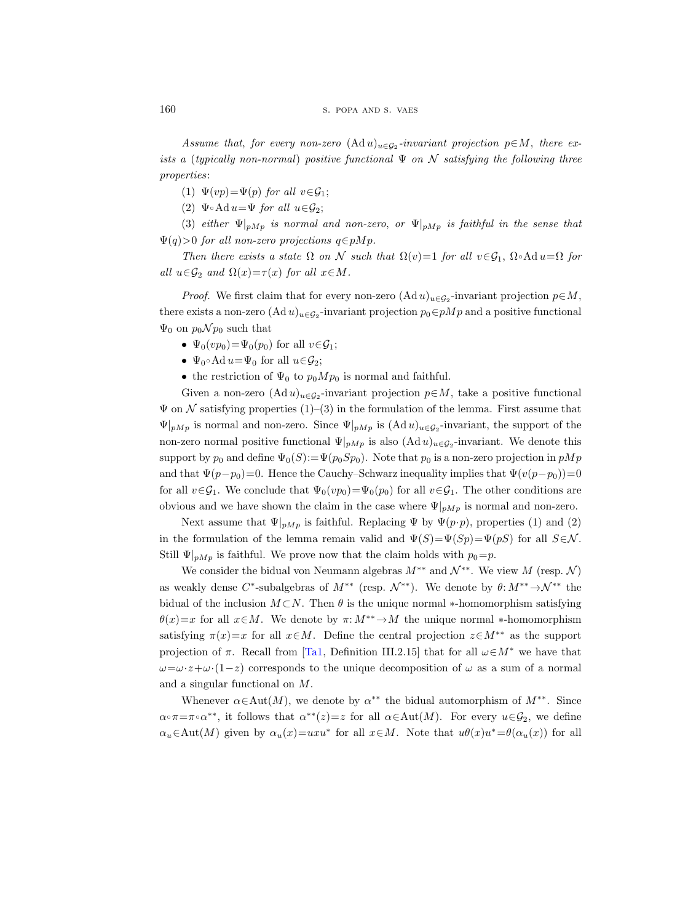Assume that, for every non-zero  $(\mathrm{Ad} u)_{u \in \mathcal{G}_2}$ -invariant projection  $p \in M$ , there exists a (typically non-normal) positive functional  $\Psi$  on  $\mathcal N$  satisfying the following three properties:

(1)  $\Psi(vp) = \Psi(p)$  for all  $v \in \mathcal{G}_1$ ;

(2)  $\Psi \circ \text{Ad} \, u = \Psi$  for all  $u \in \mathcal{G}_2$ ;

(3) either  $\Psi|_{pMp}$  is normal and non-zero, or  $\Psi|_{pMp}$  is faithful in the sense that  $\Psi(q) > 0$  for all non-zero projections  $q \in pMp$ .

Then there exists a state  $\Omega$  on N such that  $\Omega(v)=1$  for all  $v \in \mathcal{G}_1$ ,  $\Omega \circ \mathrm{Ad} u = \Omega$  for all  $u \in \mathcal{G}_2$  and  $\Omega(x) = \tau(x)$  for all  $x \in M$ .

*Proof.* We first claim that for every non-zero  $(\text{Ad } u)_{u \in \mathcal{G}_2}$ -invariant projection  $p \in M$ , there exists a non-zero  $(\text{Ad }u)_{u \in \mathcal{G}_2}$ -invariant projection  $p_0 \in pMp$  and a positive functional  $\Psi_0$  on  $p_0 \mathcal{N} p_0$  such that

- $\Psi_0(vp_0) = \Psi_0(p_0)$  for all  $v \in \mathcal{G}_1$ ;
- $\Psi_0 \circ \text{Ad} \, u = \Psi_0$  for all  $u \in \mathcal{G}_2$ ;
- the restriction of  $\Psi_0$  to  $p_0Mp_0$  is normal and faithful.

Given a non-zero  $(\mathrm{Ad} u)_{u \in \mathcal{G}_2}$ -invariant projection  $p \in M$ , take a positive functional  $\Psi$  on  $\mathcal N$  satisfying properties  $(1)$ – $(3)$  in the formulation of the lemma. First assume that  $\Psi|_{pMp}$  is normal and non-zero. Since  $\Psi|_{pMp}$  is  $(\text{Ad }u)_{u \in \mathcal{G}_2}$ -invariant, the support of the non-zero normal positive functional  $\Psi|_{pMp}$  is also  $(\text{Ad }u)_{u \in \mathcal{G}_2}$ -invariant. We denote this support by  $p_0$  and define  $\Psi_0(S) := \Psi(p_0 S p_0)$ . Note that  $p_0$  is a non-zero projection in  $pMp$ and that  $\Psi(p-p_0)=0$ . Hence the Cauchy–Schwarz inequality implies that  $\Psi(v(p-p_0))=0$ for all  $v \in \mathcal{G}_1$ . We conclude that  $\Psi_0(vp_0) = \Psi_0(p_0)$  for all  $v \in \mathcal{G}_1$ . The other conditions are obvious and we have shown the claim in the case where  $\Psi|_{pMp}$  is normal and non-zero.

Next assume that  $\Psi|_{pMp}$  is faithful. Replacing  $\Psi$  by  $\Psi(p \cdot p)$ , properties (1) and (2) in the formulation of the lemma remain valid and  $\Psi(S) = \Psi(Sp) = \Psi(pS)$  for all  $S \in \mathcal{N}$ . Still  $\Psi|_{pMp}$  is faithful. We prove now that the claim holds with  $p_0=p$ .

We consider the bidual von Neumann algebras  $M^{**}$  and  $\mathcal{N}^{**}$ . We view M (resp. N) as weakly dense  $C^*$ -subalgebras of  $M^{**}$  (resp.  $\mathcal{N}^{**}$ ). We denote by  $\theta: M^{**} \to \mathcal{N}^{**}$  the bidual of the inclusion  $M\subset N$ . Then  $\theta$  is the unique normal \*-homomorphism satisfying  $\theta(x)=x$  for all  $x\in M$ . We denote by  $\pi: M^{**}\to M$  the unique normal \*-homomorphism satisfying  $\pi(x)=x$  for all  $x\in M$ . Define the central projection  $z\in M^{**}$  as the support projection of  $\pi$ . Recall from [\[Ta1,](#page-57-3) Definition III.2.15] that for all  $\omega \in M^*$  we have that  $\omega=\omega\cdot z+\omega\cdot(1-z)$  corresponds to the unique decomposition of  $\omega$  as a sum of a normal and a singular functional on M.

Whenever  $\alpha \in \text{Aut}(M)$ , we denote by  $\alpha^{**}$  the bidual automorphism of  $M^{**}$ . Since  $\alpha \circ \pi = \pi \circ \alpha^{**}$ , it follows that  $\alpha^{**}(z) = z$  for all  $\alpha \in \text{Aut}(M)$ . For every  $u \in \mathcal{G}_2$ , we define  $\alpha_u \in \text{Aut}(M)$  given by  $\alpha_u(x) = uxu^*$  for all  $x \in M$ . Note that  $u\theta(x)u^* = \theta(\alpha_u(x))$  for all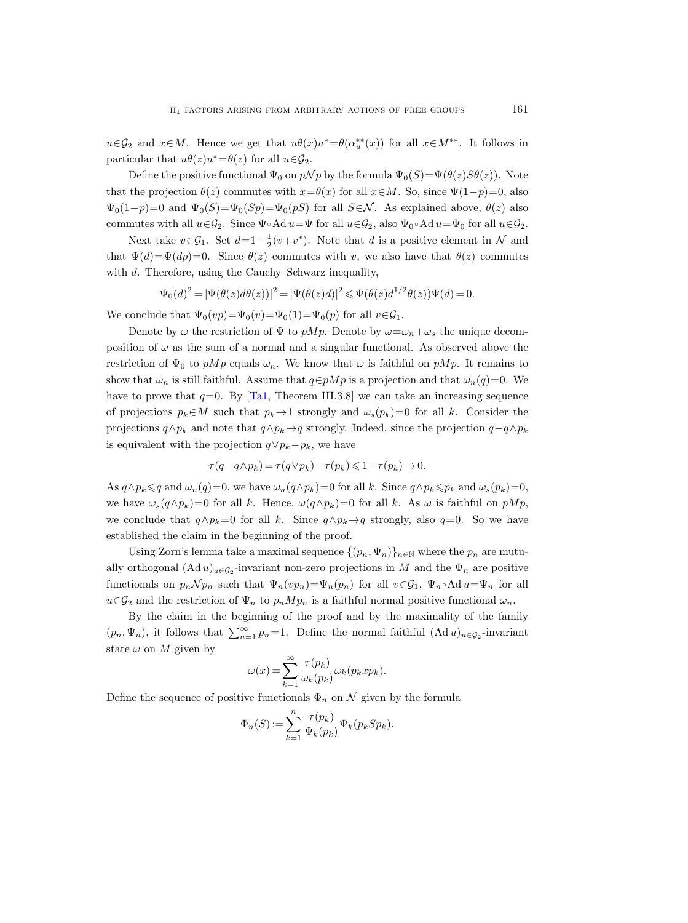$u \in \mathcal{G}_2$  and  $x \in M$ . Hence we get that  $u \theta(x) u^* = \theta(\alpha_u^{**}(x))$  for all  $x \in M^{**}$ . It follows in particular that  $u\theta(z)u^* = \theta(z)$  for all  $u \in \mathcal{G}_2$ .

Define the positive functional  $\Psi_0$  on  $p\mathcal{N}p$  by the formula  $\Psi_0(S)=\Psi(\theta(z)S\theta(z))$ . Note that the projection  $\theta(z)$  commutes with  $x=\theta(x)$  for all  $x\in M$ . So, since  $\Psi(1-p)=0$ , also  $\Psi_0(1-p)=0$  and  $\Psi_0(S)=\Psi_0(Sp)=\Psi_0(pS)$  for all  $S\in\mathcal{N}$ . As explained above,  $\theta(z)$  also commutes with all  $u \in \mathcal{G}_2$ . Since  $\Psi \circ \text{Ad } u = \Psi$  for all  $u \in \mathcal{G}_2$ , also  $\Psi_0 \circ \text{Ad } u = \Psi_0$  for all  $u \in \mathcal{G}_2$ .

Next take  $v \in \mathcal{G}_1$ . Set  $d=1-\frac{1}{2}(v+v^*)$ . Note that d is a positive element in N and that  $\Psi(d) = \Psi(dp) = 0$ . Since  $\theta(z)$  commutes with v, we also have that  $\theta(z)$  commutes with d. Therefore, using the Cauchy–Schwarz inequality,

$$
\Psi_0(d)^2 = |\Psi(\theta(z)d\theta(z))|^2 = |\Psi(\theta(z)d)|^2 \leq \Psi(\theta(z)d^{1/2}\theta(z))\Psi(d) = 0.
$$

We conclude that  $\Psi_0(vp) = \Psi_0(v) = \Psi_0(1) = \Psi_0(p)$  for all  $v \in \mathcal{G}_1$ .

Denote by  $\omega$  the restriction of  $\Psi$  to  $pMp$ . Denote by  $\omega = \omega_n + \omega_s$  the unique decomposition of  $\omega$  as the sum of a normal and a singular functional. As observed above the restriction of  $\Psi_0$  to pMp equals  $\omega_n$ . We know that  $\omega$  is faithful on pMp. It remains to show that  $\omega_n$  is still faithful. Assume that  $q \in pMp$  is a projection and that  $\omega_n(q)=0$ . We have to prove that  $q=0$ . By [\[Ta1,](#page-57-3) Theorem III.3.8] we can take an increasing sequence of projections  $p_k \in M$  such that  $p_k \to 1$  strongly and  $\omega_s(p_k)=0$  for all k. Consider the projections  $q \wedge p_k$  and note that  $q \wedge p_k \rightarrow q$  strongly. Indeed, since the projection  $q-q \wedge p_k$ is equivalent with the projection  $q \vee p_k - p_k$ , we have

$$
\tau(q-q\wedge p_k)=\tau(q\vee p_k)-\tau(p_k)\leqslant 1-\tau(p_k)\to 0.
$$

As  $q \wedge p_k \leq q$  and  $\omega_n(q)=0$ , we have  $\omega_n(q \wedge p_k)=0$  for all k. Since  $q \wedge p_k \leq p_k$  and  $\omega_s(p_k)=0$ , we have  $\omega_s(q \wedge p_k)=0$  for all k. Hence,  $\omega(q \wedge p_k)=0$  for all k. As  $\omega$  is faithful on  $pMp$ , we conclude that  $q \wedge p_k = 0$  for all k. Since  $q \wedge p_k \rightarrow q$  strongly, also  $q=0$ . So we have established the claim in the beginning of the proof.

Using Zorn's lemma take a maximal sequence  $\{(p_n, \Psi_n)\}_{n\in\mathbb{N}}$  where the  $p_n$  are mutually orthogonal  $(\mathrm{Ad} u)_{u \in \mathcal{G}_2}$ -invariant non-zero projections in M and the  $\Psi_n$  are positive functionals on  $p_n \mathcal{N} p_n$  such that  $\Psi_n(vp_n) = \Psi_n(p_n)$  for all  $v \in \mathcal{G}_1$ ,  $\Psi_n \circ \mathrm{Ad} u = \Psi_n$  for all  $u \in \mathcal{G}_2$  and the restriction of  $\Psi_n$  to  $p_n Mp_n$  is a faithful normal positive functional  $\omega_n$ .

By the claim in the beginning of the proof and by the maximality of the family  $(p_n, \Psi_n)$ , it follows that  $\sum_{n=1}^{\infty} p_n = 1$ . Define the normal faithful  $(\text{Ad }u)_{u \in \mathcal{G}_2}$ -invariant state  $\omega$  on M given by

$$
\omega(x) = \sum_{k=1}^{\infty} \frac{\tau(p_k)}{\omega_k(p_k)} \omega_k(p_k x p_k).
$$

Define the sequence of positive functionals  $\Phi_n$  on  $\mathcal N$  given by the formula

$$
\Phi_n(S) := \sum_{k=1}^n \frac{\tau(p_k)}{\Psi_k(p_k)} \Psi_k(p_k Sp_k).
$$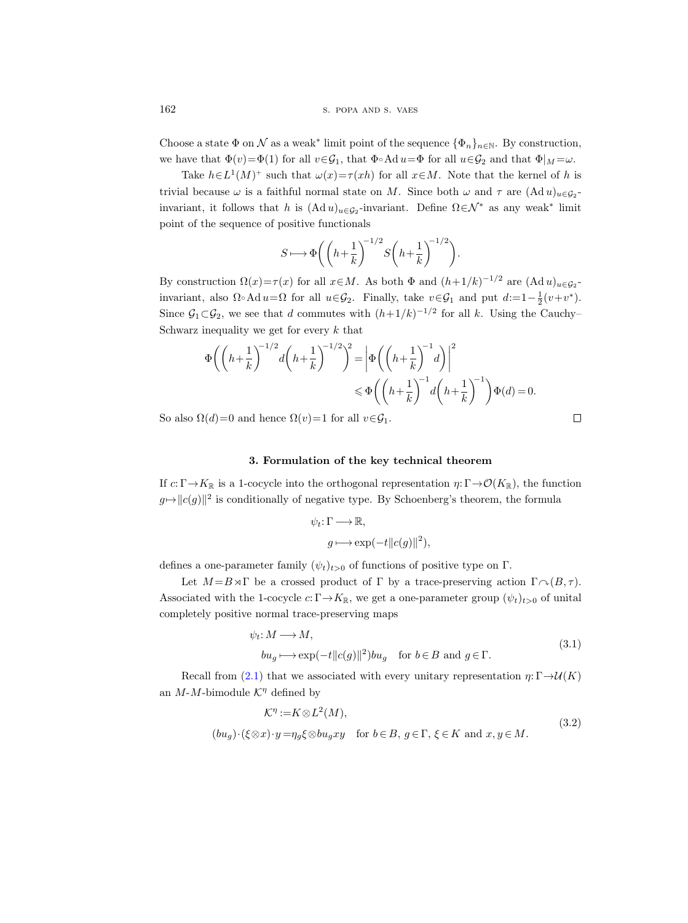162 S. POPA AND S. VAES

Choose a state  $\Phi$  on  $\mathcal N$  as a weak\* limit point of the sequence  $\{\Phi_n\}_{n\in\mathbb N}$ . By construction, we have that  $\Phi(v)=\Phi(1)$  for all  $v\in\mathcal{G}_1$ , that  $\Phi\circ\text{Ad }u=\Phi$  for all  $u\in\mathcal{G}_2$  and that  $\Phi|_M=\omega$ .

Take  $h \in L^1(M)^+$  such that  $\omega(x) = \tau(xh)$  for all  $x \in M$ . Note that the kernel of h is trivial because  $\omega$  is a faithful normal state on M. Since both  $\omega$  and  $\tau$  are  $(\text{Ad }u)_{u \in \mathcal{G}_2}$ invariant, it follows that h is  $(\text{Ad }u)_{u \in \mathcal{G}_2}$ -invariant. Define  $\Omega \in \mathcal{N}^*$  as any weak<sup>\*</sup> limit point of the sequence of positive functionals

$$
S \longmapsto \Phi\bigg( \bigg(h + \frac{1}{k}\bigg)^{-1/2} S\bigg(h + \frac{1}{k}\bigg)^{-1/2} \bigg).
$$

By construction  $\Omega(x) = \tau(x)$  for all  $x \in M$ . As both  $\Phi$  and  $(h+1/k)^{-1/2}$  are  $(\text{Ad }u)_{u \in \mathcal{G}_2}$ invariant, also  $\Omega \circ \text{Ad} u = \Omega$  for all  $u \in \mathcal{G}_2$ . Finally, take  $v \in \mathcal{G}_1$  and put  $d:=1-\frac{1}{2}(v+v^*)$ . Since  $G_1 \subset G_2$ , we see that d commutes with  $(h+1/k)^{-1/2}$  for all k. Using the Cauchy-Schwarz inequality we get for every  $k$  that

$$
\Phi\left(\left(h+\frac{1}{k}\right)^{-1/2}d\left(h+\frac{1}{k}\right)^{-1/2}\right)^{2} = \left|\Phi\left(\left(h+\frac{1}{k}\right)^{-1}d\right)\right|^{2}
$$
  

$$
\leq \Phi\left(\left(h+\frac{1}{k}\right)^{-1}d\left(h+\frac{1}{k}\right)^{-1}\right)\Phi(d) = 0.
$$

So also  $\Omega(d)=0$  and hence  $\Omega(v)=1$  for all  $v \in \mathcal{G}_1$ .

### 3. Formulation of the key technical theorem

<span id="page-21-0"></span>If  $c: \Gamma \to K_{\mathbb{R}}$  is a 1-cocycle into the orthogonal representation  $\eta: \Gamma \to \mathcal{O}(K_{\mathbb{R}})$ , the function  $g \mapsto ||c(g)||^2$  is conditionally of negative type. By Schoenberg's theorem, the formula

$$
\psi_t: \Gamma \longrightarrow \mathbb{R},
$$
  

$$
g \longmapsto \exp(-t||c(g)||^2),
$$

defines a one-parameter family  $(\psi_t)_{t>0}$  of functions of positive type on Γ.

Let  $M = B \rtimes \Gamma$  be a crossed product of  $\Gamma$  by a trace-preserving action  $\Gamma \sim (B, \tau)$ . Associated with the 1-cocycle  $c: \Gamma \to K_{\mathbb{R}}$ , we get a one-parameter group  $(\psi_t)_{t>0}$  of unital completely positive normal trace-preserving maps

$$
\psi_t: M \longrightarrow M,
$$
  
\n
$$
bu_g \longmapsto \exp(-t||c(g)||^2)bu_g \quad \text{for } b \in B \text{ and } g \in \Gamma.
$$
\n(3.1)

<span id="page-21-2"></span><span id="page-21-1"></span>Recall from [\(2.1\)](#page-11-0) that we associated with every unitary representation  $\eta: \Gamma \rightarrow \mathcal{U}(K)$ an  $M-M$ -bimodule  $K^{\eta}$  defined by

$$
\mathcal{K}^{\eta} := K \otimes L^{2}(M),
$$
  
\n
$$
(bu_{g}) \cdot (\xi \otimes x) \cdot y = \eta_{g} \xi \otimes bu_{g} xy \quad \text{for } b \in B, g \in \Gamma, \xi \in K \text{ and } x, y \in M.
$$
\n
$$
(3.2)
$$

 $\Box$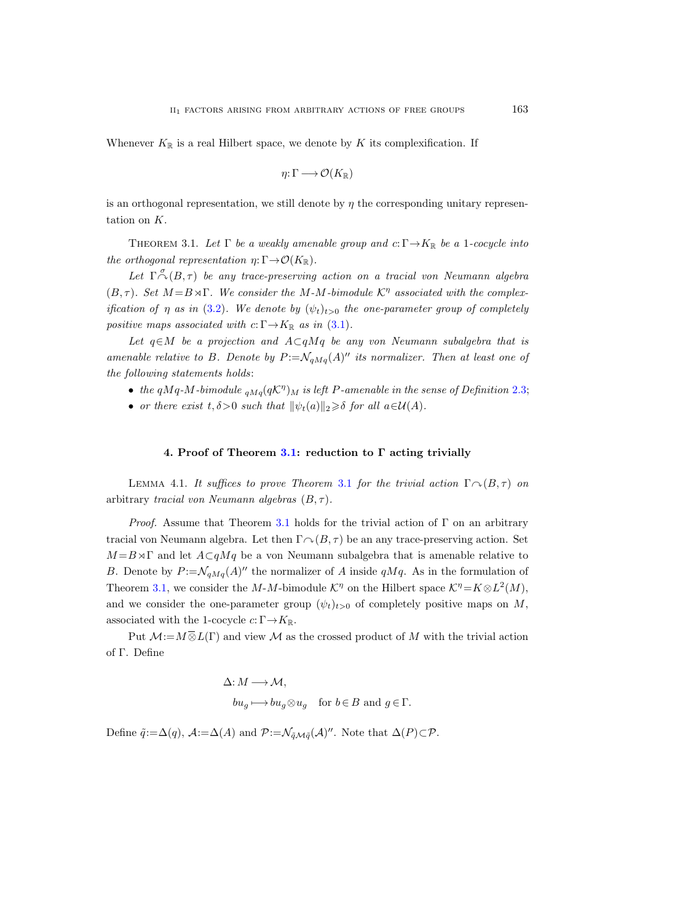Whenever  $K_{\mathbb{R}}$  is a real Hilbert space, we denote by K its complexification. If

$$
\eta\colon\Gamma\longrightarrow\mathcal{O}(K_\mathbb{R})
$$

is an orthogonal representation, we still denote by  $\eta$  the corresponding unitary representation on K.

<span id="page-22-0"></span>THEOREM 3.1. Let  $\Gamma$  be a weakly amenable group and  $c: \Gamma \rightarrow K_{\mathbb{R}}$  be a 1-cocycle into the orthogonal representation  $\eta : \Gamma \to \mathcal{O}(K_{\mathbb{R}})$ .

Let  $\Gamma \stackrel{\sigma}{\curvearrowright} (B,\tau)$  be any trace-preserving action on a tracial von Neumann algebra  $(B, \tau)$ . Set  $M = B \rtimes \Gamma$ . We consider the M-M-bimodule  $\mathcal{K}^{\eta}$  associated with the complexification of  $\eta$  as in [\(3.2\)](#page-21-1). We denote by  $(\psi_t)_{t>0}$  the one-parameter group of completely positive maps associated with  $c: \Gamma \rightarrow K_{\mathbb{R}}$  as in [\(3.1\)](#page-21-2).

Let  $q \in M$  be a projection and  $A \subset qMq$  be any von Neumann subalgebra that is amenable relative to B. Denote by  $P := \mathcal{N}_{qMq}(A)^{n}$  its normalizer. Then at least one of the following statements holds:

- the qMq-M-bimodule  $_{qMq}(q\mathcal{K}^{\eta})_M$  is left P-amenable in the sense of Definition [2.3;](#page-12-2)
- or there exist  $t, \delta > 0$  such that  $\|\psi_t(a)\|_2 \geq \delta$  for all  $a \in \mathcal{U}(A)$ .

## 4. Proof of Theorem [3.1:](#page-22-0) reduction to Γ acting trivially

<span id="page-22-1"></span>LEMMA 4.1. It suffices to prove Theorem [3.1](#page-22-0) for the trivial action  $\Gamma \cap (B, \tau)$  on arbitrary tracial von Neumann algebras  $(B, \tau)$ .

*Proof.* Assume that Theorem [3.1](#page-22-0) holds for the trivial action of  $\Gamma$  on an arbitrary tracial von Neumann algebra. Let then  $\Gamma \cap (B, \tau)$  be an any trace-preserving action. Set  $M = B \rtimes \Gamma$  and let  $A \subset qMq$  be a von Neumann subalgebra that is amenable relative to B. Denote by  $P := \mathcal{N}_{qMq}(A)^{n}$  the normalizer of A inside  $qMq$ . As in the formulation of Theorem [3.1,](#page-22-0) we consider the M-M-bimodule  $\mathcal{K}^{\eta}$  on the Hilbert space  $\mathcal{K}^{\eta} = K \otimes L^2(M)$ , and we consider the one-parameter group  $(\psi_t)_{t>0}$  of completely positive maps on M, associated with the 1-cocycle  $c: \Gamma \rightarrow K_{\mathbb{R}}$ .

Put  $\mathcal{M}:=M\overline{\otimes}L(\Gamma)$  and view  $\mathcal M$  as the crossed product of M with the trivial action of Γ. Define

$$
\Delta: M \longrightarrow \mathcal{M},
$$
  

$$
bu_g \longmapsto bu_g \otimes u_g \quad \text{for } b \in B \text{ and } g \in \Gamma.
$$

Define  $\tilde{q}:=\Delta(q)$ ,  $\mathcal{A}:=\Delta(A)$  and  $\mathcal{P}:=\mathcal{N}_{\tilde{q}\mathcal{M}\tilde{q}}(\mathcal{A})''$ . Note that  $\Delta(P)\subset\mathcal{P}$ .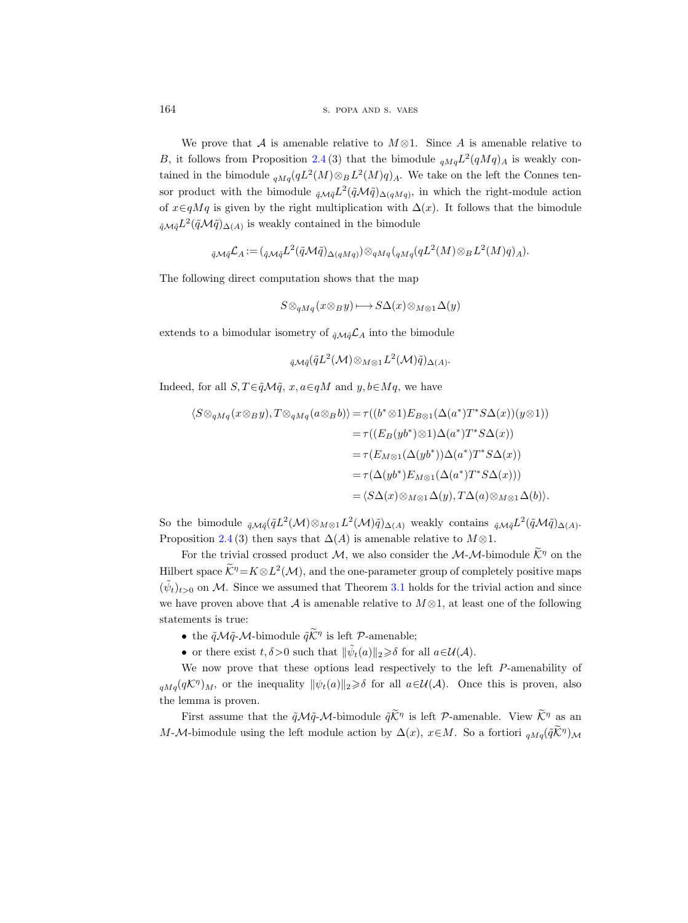We prove that A is amenable relative to  $M \otimes 1$ . Since A is amenable relative to B, it follows from Proposition [2.4](#page-13-0)(3) that the bimodule  $_{qMq}L^2(qMq)_A$  is weakly contained in the bimodule  $_{qMq}(qL^2(M)\otimes_B L^2(M)q)_A$ . We take on the left the Connes tensor product with the bimodule  $_{\tilde{q}\mathcal{M}\tilde{q}} L^2(\tilde{q}\mathcal{M}\tilde{q})_{\Delta(qMq)}$ , in which the right-module action of  $x \in qMq$  is given by the right multiplication with  $\Delta(x)$ . It follows that the bimodule  $_{\tilde{q}}\mathcal{M}\tilde{q}L^2(\tilde{q}\mathcal{M}\tilde{q})_{\Delta(A)}$  is weakly contained in the bimodule

$$
\tilde{q}_{\mathcal{M}\tilde{q}}\mathcal{L}_A := (\tilde{q}_{\mathcal{M}\tilde{q}} L^2(\tilde{q}_{\mathcal{M}\tilde{q}})_{\Delta(qMq)}) \otimes_{qMq} (q_{Mq}(qL^2(M)\otimes_B L^2(M)q)_A).
$$

The following direct computation shows that the map

$$
S \otimes_{qMq} (x \otimes_B y) \longmapsto S\Delta(x) \otimes_{M \otimes 1} \Delta(y)
$$

extends to a bimodular isometry of  $_{\tilde{q}\mathcal{M}\tilde{q}}\mathcal{L}_A$  into the bimodule

$$
{}_{\tilde{q}\mathcal{M}\tilde{q}}(\tilde{q}L^2(\mathcal{M})\otimes_{M\otimes 1}L^2(\mathcal{M})\tilde{q})_{\Delta(A)}.
$$

Indeed, for all  $S, T \in \tilde{q} \mathcal{M} \tilde{q}$ ,  $x, a \in qM$  and  $y, b \in Mq$ , we have

$$
\langle S \otimes_{qMq} (x \otimes_B y), T \otimes_{qMq} (a \otimes_B b) \rangle = \tau((b^* \otimes 1) E_{B \otimes 1}(\Delta(a^*) T^* S \Delta(x))(y \otimes 1))
$$
  

$$
= \tau((E_B(yb^*) \otimes 1)\Delta(a^*) T^* S \Delta(x))
$$
  

$$
= \tau(E_{M \otimes 1}(\Delta(yb^*))\Delta(a^*) T^* S \Delta(x))
$$
  

$$
= \tau(\Delta(yb^*) E_{M \otimes 1}(\Delta(a^*) T^* S \Delta(x)))
$$
  

$$
= \langle S \Delta(x) \otimes_{M \otimes 1} \Delta(y), T \Delta(a) \otimes_{M \otimes 1} \Delta(b) \rangle.
$$

So the bimodule  $_{\tilde{q}\mathcal{M}\tilde{q}}(\tilde{q}L^2(\mathcal{M})\otimes_{M\otimes 1}L^2(\mathcal{M})\tilde{q})_{\Delta(A)}$  weakly contains  $_{\tilde{q}\mathcal{M}\tilde{q}}L^2(\tilde{q}\mathcal{M}\tilde{q})_{\Delta(A)}$ . Proposition [2.4](#page-13-0) (3) then says that  $\Delta(A)$  is amenable relative to  $M \otimes 1$ .

For the trivial crossed product M, we also consider the M-M-bimodule  $\mathcal{K}^{\eta}$  on the Hilbert space  $\mathcal{K}^{\eta} = K \otimes L^2(\mathcal{M})$ , and the one-parameter group of completely positive maps  $(\tilde{\psi}_t)_{t>0}$  on M. Since we assumed that Theorem [3.1](#page-22-0) holds for the trivial action and since we have proven above that A is amenable relative to  $M \otimes 1$ , at least one of the following statements is true:

- the  $\tilde{q}\mathcal{M}\tilde{q}\mathcal{-M}$ -bimodule  $\tilde{q}\tilde{\mathcal{K}}^{\eta}$  is left  $\mathcal{P}$ -amenable;
- or there exist  $t, \delta > 0$  such that  $\|\tilde{\psi}_t(a)\|_2 \geq \delta$  for all  $a \in \mathcal{U}(\mathcal{A})$ .

We now prove that these options lead respectively to the left P-amenability of  $_{qMq}(q\mathcal{K}^{\eta})_M$ , or the inequality  $\|\psi_t(a)\|_2 \geq \delta$  for all  $a \in \mathcal{U}(\mathcal{A})$ . Once this is proven, also the lemma is proven.

First assume that the  $\tilde{q}M\tilde{q}\text{-}M$ -bimodule  $\tilde{q}\tilde{K}^{\eta}$  is left  $P$ -amenable. View  $\tilde{K}^{\eta}$  as an M-M-bimodule using the left module action by  $\Delta(x)$ ,  $x \in M$ . So a fortiori  $_{qMq}(\tilde{q}\tilde{\mathcal{K}}^{\eta})_{\mathcal{M}}$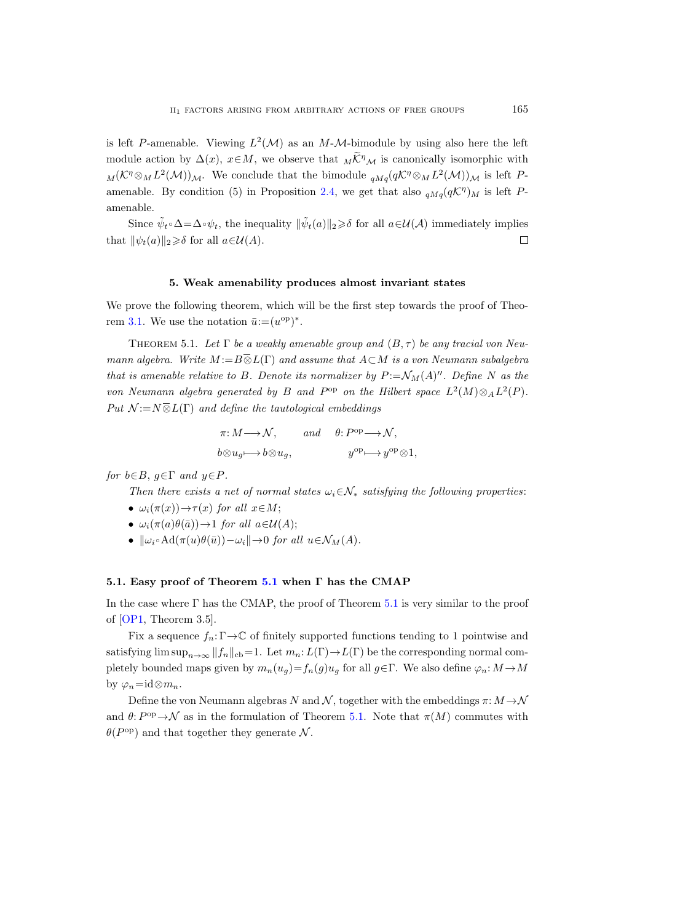is left P-amenable. Viewing  $L^2(\mathcal{M})$  as an M-M-bimodule by using also here the left module action by  $\Delta(x)$ ,  $x \in M$ , we observe that  $\overline{M} \widetilde{K}^{\eta}$  is canonically isomorphic with  $_M(\mathcal{K}^{\eta}\otimes_M L^2(\mathcal{M}))_{\mathcal{M}}$ . We conclude that the bimodule  $_{qMq}(q\mathcal{K}^{\eta}\otimes_M L^2(\mathcal{M}))_{\mathcal{M}}$  is left P-amenable. By condition (5) in Proposition [2.4,](#page-13-0) we get that also  $_{qMq}(qK^{\eta})_M$  is left Pamenable.

Since  $\tilde{\psi}_t \circ \Delta = \Delta \circ \psi_t$ , the inequality  $\|\tilde{\psi}_t(a)\|_2 \geq \delta$  for all  $a \in \mathcal{U}(\mathcal{A})$  immediately implies that  $\|\psi_t(a)\|_2 \geq \delta$  for all  $a \in \mathcal{U}(A)$ .  $\Box$ 

#### 5. Weak amenability produces almost invariant states

We prove the following theorem, which will be the first step towards the proof of Theo-rem [3.1.](#page-22-0) We use the notation  $\bar{u} := (u^{\text{op}})^*$ .

<span id="page-24-0"></span>THEOREM 5.1. Let  $\Gamma$  be a weakly amenable group and  $(B, \tau)$  be any tracial von Neumann algebra. Write  $M := B \overline{\otimes} L(\Gamma)$  and assume that  $A \subset M$  is a von Neumann subalgebra that is amenable relative to B. Denote its normalizer by  $P := \mathcal{N}_M(A)^{\prime\prime}$ . Define N as the von Neumann algebra generated by B and  $P^{\rm op}$  on the Hilbert space  $L^2(M) \otimes_A L^2(P)$ . Put  $\mathcal{N} := N \overline{\otimes} L(\Gamma)$  and define the tautological embeddings

$$
\pi: M \longrightarrow \mathcal{N}, \qquad and \qquad \theta: P^{\text{op}} \longrightarrow \mathcal{N},
$$
  

$$
b \otimes u_g \longmapsto b \otimes u_g, \qquad \qquad y^{\text{op}} \longmapsto y^{\text{op}} \otimes 1,
$$

for  $b \in B$ ,  $q \in \Gamma$  and  $y \in P$ .

Then there exists a net of normal states  $\omega_i \in \mathcal{N}_*$  satisfying the following properties:

- $\omega_i(\pi(x)) \rightarrow \tau(x)$  for all  $x \in M$ ;
- $\omega_i(\pi(a)\theta(\bar{a})) \rightarrow 1$  for all  $a \in \mathcal{U}(A)$ ;
- $\|\omega_i \circ \text{Ad}(\pi(u)\theta(\bar{u})) \omega_i\| \to 0$  for all  $u \in \mathcal{N}_M(A)$ .

# 5.1. Easy proof of Theorem [5.1](#page-24-0) when Γ has the CMAP

In the case where  $\Gamma$  has the CMAP, the proof of Theorem [5.1](#page-24-0) is very similar to the proof of [\[OP1,](#page-56-2) Theorem 3.5].

Fix a sequence  $f_n: \Gamma \to \mathbb{C}$  of finitely supported functions tending to 1 pointwise and satisfying  $\limsup_{n\to\infty} ||f_n||_{cb}=1$ . Let  $m_n: L(\Gamma) \to L(\Gamma)$  be the corresponding normal completely bounded maps given by  $m_n(u_g)=f_n(g)u_g$  for all  $g\in\Gamma$ . We also define  $\varphi_n: M\to M$ by  $\varphi_n = id \otimes m_n$ .

Define the von Neumann algebras N and N, together with the embeddings  $\pi: M \rightarrow \mathcal{N}$ and  $\theta: P^{\text{op}} \to \mathcal{N}$  as in the formulation of Theorem [5.1.](#page-24-0) Note that  $\pi(M)$  commutes with  $\theta(P^{\rm op})$  and that together they generate N.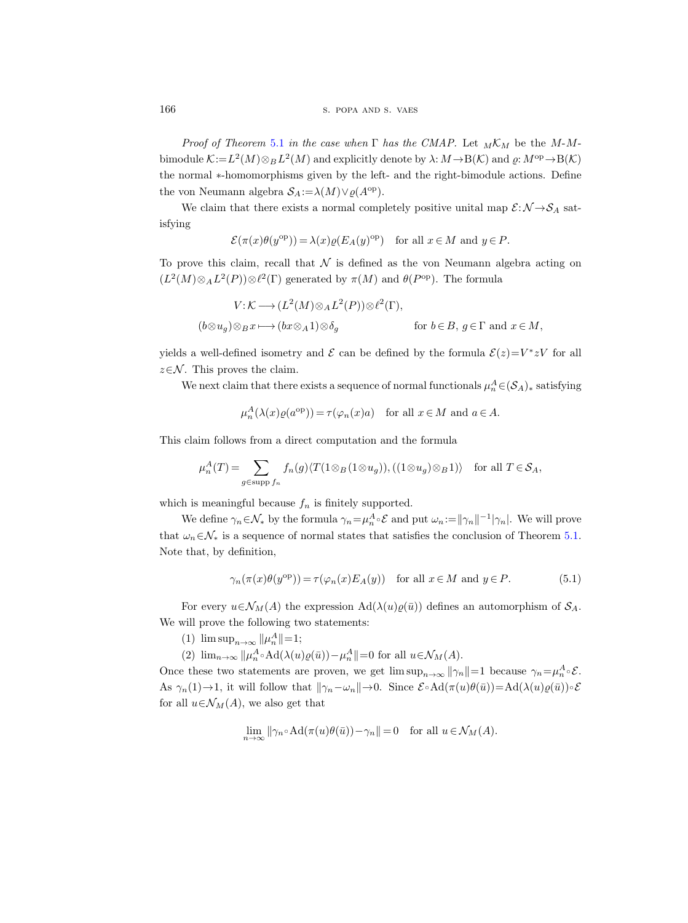166 S. POPA AND S. VAES

Proof of Theorem [5.1](#page-24-0) in the case when  $\Gamma$  has the CMAP. Let  $_M\mathcal{K}_M$  be the M-Mbimodule  $K := L^2(M) \otimes_B L^2(M)$  and explicitly denote by  $\lambda: M \to B(\mathcal{K})$  and  $\varrho: M^{\text{op}} \to B(\mathcal{K})$ the normal ∗-homomorphisms given by the left- and the right-bimodule actions. Define the von Neumann algebra  $S_A := \lambda(M) \vee \varrho(A^{\text{op}})$ .

We claim that there exists a normal completely positive unital map  $\mathcal{E}: \mathcal{N} \rightarrow \mathcal{S}_A$  satisfying

$$
\mathcal{E}(\pi(x)\theta(y^{\text{op}})) = \lambda(x)\varrho(E_A(y)^{\text{op}}) \quad \text{for all } x \in M \text{ and } y \in P.
$$

To prove this claim, recall that  $\mathcal N$  is defined as the von Neumann algebra acting on  $(L^2(M) \otimes_A L^2(P)) \otimes \ell^2(\Gamma)$  generated by  $\pi(M)$  and  $\theta(P^{\text{op}})$ . The formula

$$
V: \mathcal{K} \longrightarrow (L^2(M) \otimes_A L^2(P)) \otimes \ell^2(\Gamma),
$$
  
\n
$$
(b \otimes u_g) \otimes_B x \longmapsto (bx \otimes_A 1) \otimes \delta_g \qquad \text{for } b \in B, g \in \Gamma \text{ and } x \in M,
$$

yields a well-defined isometry and  $\mathcal E$  can be defined by the formula  $\mathcal E(z) = V^* z V$  for all  $z \in \mathcal{N}$ . This proves the claim.

We next claim that there exists a sequence of normal functionals  $\mu_n^A \in (S_A)_*$  satisfying

$$
\mu_n^A(\lambda(x)\varrho(a^{\text{op}})) = \tau(\varphi_n(x)a) \quad \text{for all } x \in M \text{ and } a \in A.
$$

This claim follows from a direct computation and the formula

$$
\mu_n^A(T) = \sum_{g \in \text{supp } f_n} f_n(g) \langle T(1 \otimes_B (1 \otimes u_g)), ((1 \otimes u_g) \otimes_B 1) \rangle \text{ for all } T \in \mathcal{S}_A,
$$

which is meaningful because  $f_n$  is finitely supported.

We define  $\gamma_n \in \mathcal{N}_*$  by the formula  $\gamma_n = \mu_n^A \circ \mathcal{E}$  and put  $\omega_n := ||\gamma_n||^{-1} |\gamma_n|$ . We will prove that  $\omega_n \in \mathcal{N}_*$  is a sequence of normal states that satisfies the conclusion of Theorem [5.1.](#page-24-0) Note that, by definition,

<span id="page-25-0"></span>
$$
\gamma_n(\pi(x)\theta(y^{\text{op}})) = \tau(\varphi_n(x)E_A(y)) \quad \text{for all } x \in M \text{ and } y \in P. \tag{5.1}
$$

For every  $u \in \mathcal{N}_M(A)$  the expression  $\text{Ad}(\lambda(u)\varrho(\bar{u}))$  defines an automorphism of  $\mathcal{S}_A$ . We will prove the following two statements:

(1)  $\limsup_{n \to \infty} ||\mu_n^A|| = 1;$ 

(2)  $\lim_{n\to\infty} ||\mu_n^A \circ \text{Ad}(\lambda(u)\varrho(\bar{u})) - \mu_n^A|| = 0$  for all  $u \in \mathcal{N}_M(A)$ .

Once these two statements are proven, we get  $\limsup_{n\to\infty} ||\gamma_n||=1$  because  $\gamma_n=\mu_n^A\circ\mathcal{E}$ . As  $\gamma_n(1) \to 1$ , it will follow that  $\|\gamma_n-\omega_n\| \to 0$ . Since  $\mathcal{E} \circ \mathrm{Ad}(\pi(u)\theta(\bar{u}))=\mathrm{Ad}(\lambda(u)\varrho(\bar{u}))\circ \mathcal{E}$ for all  $u \in \mathcal{N}_M(A)$ , we also get that

$$
\lim_{n \to \infty} ||\gamma_n \circ \mathrm{Ad}(\pi(u)\theta(\bar{u})) - \gamma_n|| = 0 \quad \text{for all } u \in \mathcal{N}_M(A).
$$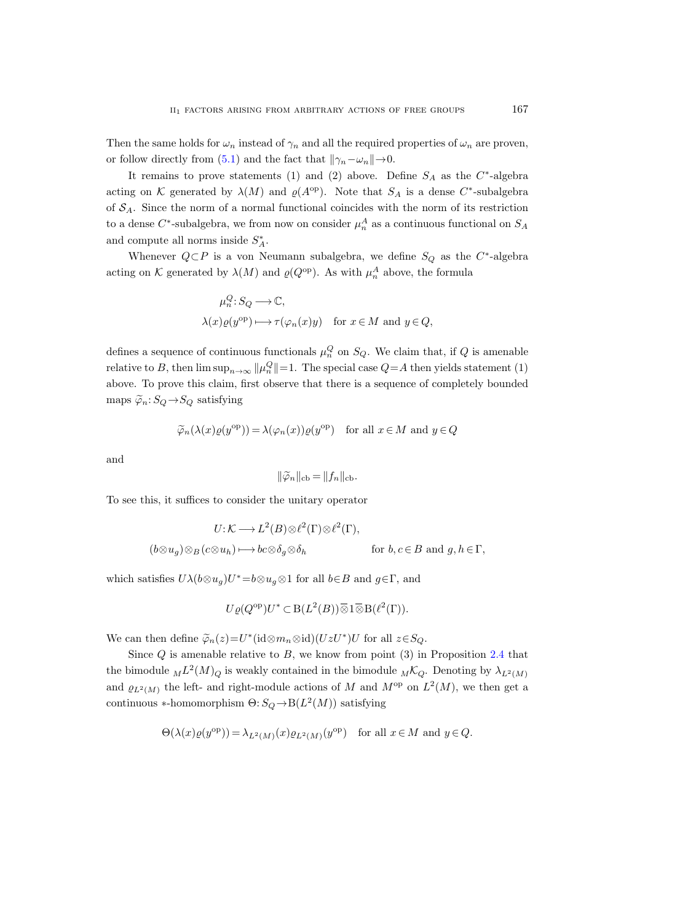Then the same holds for  $\omega_n$  instead of  $\gamma_n$  and all the required properties of  $\omega_n$  are proven, or follow directly from [\(5.1\)](#page-25-0) and the fact that  $\|\gamma_n-\omega_n\|\to 0$ .

It remains to prove statements (1) and (2) above. Define  $S_A$  as the  $C^*$ -algebra acting on K generated by  $\lambda(M)$  and  $\varrho(A^{\text{op}})$ . Note that  $S_A$  is a dense C<sup>\*</sup>-subalgebra of  $S_A$ . Since the norm of a normal functional coincides with the norm of its restriction to a dense  $C^*$ -subalgebra, we from now on consider  $\mu_n^A$  as a continuous functional on  $S_A$ and compute all norms inside  $S_A^*$ .

Whenever  $Q \subset P$  is a von Neumann subalgebra, we define  $S_Q$  as the C<sup>\*</sup>-algebra acting on K generated by  $\lambda(M)$  and  $\varrho(Q^{\text{op}})$ . As with  $\mu_n^A$  above, the formula

$$
\mu_n^Q: S_Q \longrightarrow \mathbb{C},
$$
  

$$
\lambda(x)\varrho(y^{\mathrm{op}}) \longmapsto \tau(\varphi_n(x)y) \quad \text{for } x \in M \text{ and } y \in Q,
$$

defines a sequence of continuous functionals  $\mu_n^Q$  on  $S_Q$ . We claim that, if Q is amenable relative to B, then  $\limsup_{n\to\infty} ||\mu_n^Q|| = 1$ . The special case  $Q = A$  then yields statement (1) above. To prove this claim, first observe that there is a sequence of completely bounded maps  $\widetilde{\varphi}_n: S_Q \to S_Q$  satisfying

$$
\widetilde{\varphi}_n(\lambda(x)\varrho(y^{\mathrm{op}})) = \lambda(\varphi_n(x))\varrho(y^{\mathrm{op}}) \quad \text{for all } x \in M \text{ and } y \in Q
$$

and

$$
\|\widetilde{\varphi}_n\|_{\mathrm{cb}} = \|f_n\|_{\mathrm{cb}}.
$$

To see this, it suffices to consider the unitary operator

$$
U: \mathcal{K} \longrightarrow L^2(B) \otimes \ell^2(\Gamma) \otimes \ell^2(\Gamma),
$$
  

$$
(b \otimes u_g) \otimes_B (c \otimes u_h) \longmapsto bc \otimes \delta_g \otimes \delta_h \qquad \text{for } b, c \in B \text{ and } g, h \in \Gamma,
$$

which satisfies  $U\lambda(b\otimes u_g)U^*=b\otimes u_g\otimes 1$  for all  $b\in B$  and  $g\in\Gamma$ , and

$$
U\varrho(Q^{\rm op})U^* \subset B(L^2(B))\overline{\otimes} 1\overline{\otimes} B(\ell^2(\Gamma)).
$$

We can then define  $\tilde{\varphi}_n(z) = U^*({\rm id} \otimes m_n \otimes {\rm id})(UzU^*)U$  for all  $z \in S_Q$ .

Since  $Q$  is amenable relative to  $B$ , we know from point  $(3)$  in Proposition [2.4](#page-13-0) that the bimodule  $_{M}L^{2}(M)_{Q}$  is weakly contained in the bimodule  $_{M}\mathcal{K}_{Q}$ . Denoting by  $\lambda_{L^{2}(M)}$ and  $\varrho_{L^2(M)}$  the left- and right-module actions of M and  $M^{\text{op}}$  on  $L^2(M)$ , we then get a continuous \*-homomorphism  $\Theta: S_Q \to B(L^2(M))$  satisfying

$$
\Theta(\lambda(x)\varrho(y^{\mathrm{op}})) = \lambda_{L^2(M)}(x)\varrho_{L^2(M)}(y^{\mathrm{op}}) \quad \text{for all } x \in M \text{ and } y \in Q.
$$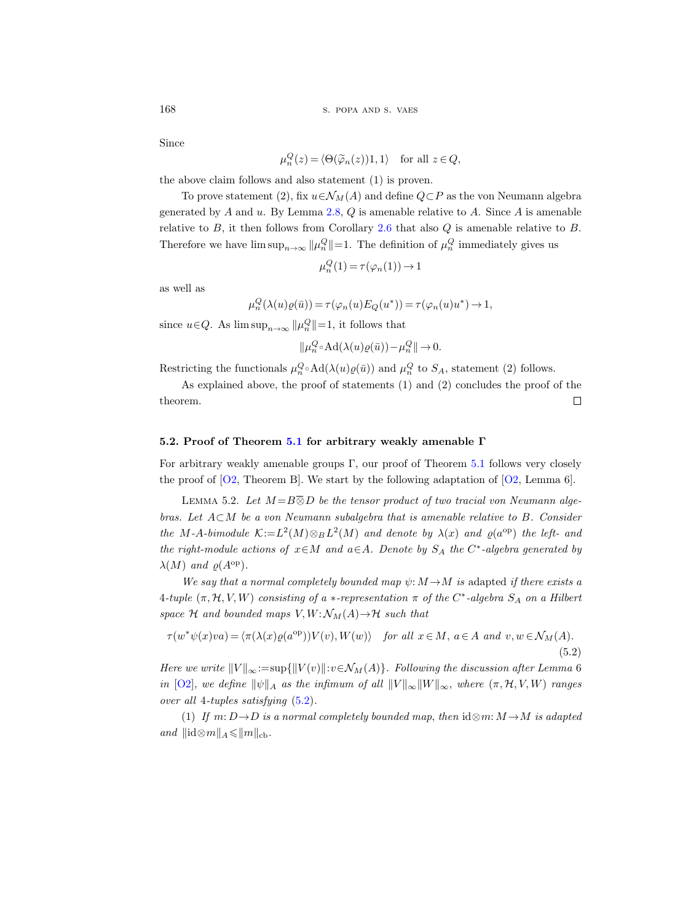Since

$$
\mu_n^Q(z) = \langle \Theta(\widetilde{\varphi}_n(z))1, 1 \rangle \quad \text{for all } z \in Q,
$$

the above claim follows and also statement (1) is proven.

To prove statement (2), fix  $u \in \mathcal{N}_M(A)$  and define  $Q \subset P$  as the von Neumann algebra generated by A and u. By Lemma [2.8,](#page-18-0)  $Q$  is amenable relative to A. Since A is amenable relative to  $B$ , it then follows from Corollary [2.6](#page-15-0) that also  $Q$  is amenable relative to  $B$ . Therefore we have  $\limsup_{n\to\infty} ||\mu_n^Q|| = 1$ . The definition of  $\mu_n^Q$  immediately gives us

$$
\mu_n^Q(1) = \tau(\varphi_n(1)) \to 1
$$

as well as

$$
\mu_n^Q(\lambda(u)\varrho(\bar{u})) = \tau(\varphi_n(u)E_Q(u^*)) = \tau(\varphi_n(u)u^*) \to 1,
$$

since  $u \in Q$ . As  $\limsup_{n \to \infty} ||\mu_n^Q|| = 1$ , it follows that

 $\|\mu_n^Q \circ \text{Ad}(\lambda(u)\varrho(\bar{u})) - \mu_n^Q\| \to 0.$ 

Restricting the functionals  $\mu_n^Q \circ \text{Ad}(\lambda(u)\varrho(\bar{u}))$  and  $\mu_n^Q$  to  $S_A$ , statement (2) follows.

As explained above, the proof of statements (1) and (2) concludes the proof of the  $\Box$ theorem.

## 5.2. Proof of Theorem [5.1](#page-24-0) for arbitrary weakly amenable Γ

For arbitrary weakly amenable groups  $\Gamma$ , our proof of Theorem [5.1](#page-24-0) follows very closely the proof of  $[O2,$  Theorem B. We start by the following adaptation of  $[O2,$  Lemma 6.

<span id="page-27-1"></span>LEMMA 5.2. Let  $M = B \overline{\otimes} D$  be the tensor product of two tracial von Neumann algebras. Let  $A\subset M$  be a von Neumann subalgebra that is amenable relative to B. Consider the M-A-bimodule  $\mathcal{K}:=L^2(M)\otimes_B L^2(M)$  and denote by  $\lambda(x)$  and  $\varrho(a^{\rm op})$  the left- and the right-module actions of  $x \in M$  and  $a \in A$ . Denote by  $S_A$  the  $C^*$ -algebra generated by  $\lambda(M)$  and  $\rho(A^{\rm op})$ .

We say that a normal completely bounded map  $\psi: M \rightarrow M$  is adapted if there exists a  $4\text{-tuple } (\pi, \mathcal{H}, V, W)$  consisting of a  $*$ -representation  $\pi$  of the  $C^*$ -algebra  $S_A$  on a Hilbert space H and bounded maps  $V, W: \mathcal{N}_M(A) \rightarrow \mathcal{H}$  such that

<span id="page-27-0"></span>
$$
\tau(w^*\psi(x)va) = \langle \pi(\lambda(x)\varrho(a^{\text{op}}))V(v), W(w) \rangle \quad \text{for all } x \in M, a \in A \text{ and } v, w \in \mathcal{N}_M(A).
$$
\n(5.2)

Here we write  $||V||_{\infty}:=\sup{||V(v)||:v\in \mathcal{N}_M(A)}$ . Following the discussion after Lemma 6 in [\[O2\]](#page-56-16), we define  $\|\psi\|_A$  as the infimum of all  $\|V\|_{\infty}\|W\|_{\infty}$ , where  $(\pi, \mathcal{H}, V, W)$  ranges over all 4-tuples satisfying [\(5.2\)](#page-27-0).

(1) If  $m: D \rightarrow D$  is a normal completely bounded map, then  $id \otimes m: M \rightarrow M$  is adapted and  $\|\mathrm{id}\otimes m\|_A \leqslant \|m\|_{\mathrm{cb}}$ .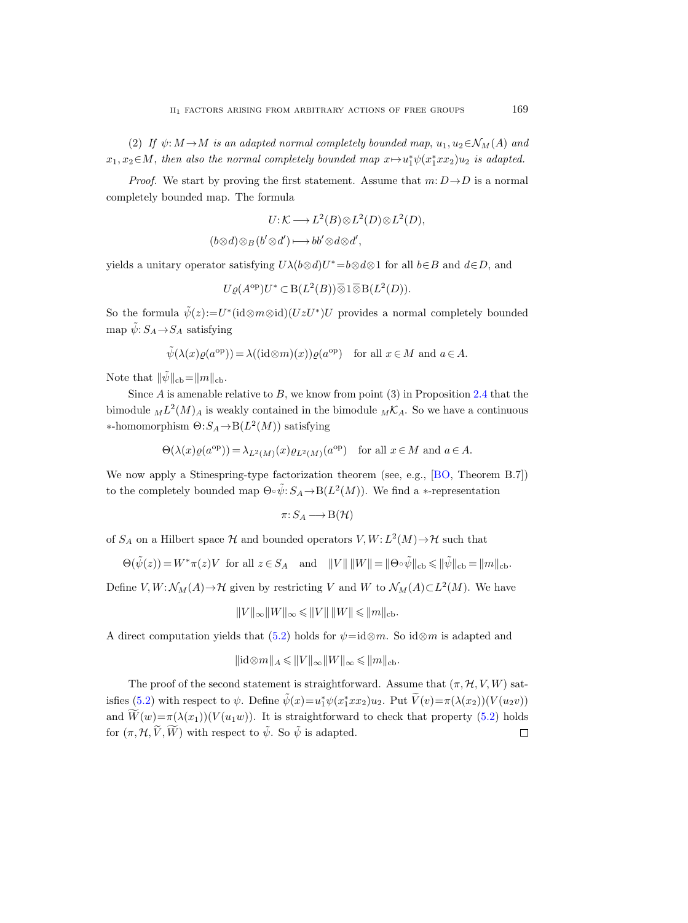(2) If  $\psi: M \to M$  is an adapted normal completely bounded map,  $u_1, u_2 \in \mathcal{N}_M(A)$  and  $x_1, x_2 \in M$ , then also the normal completely bounded map  $x \mapsto u_1^* \psi(x_1^* x x_2) u_2$  is adapted.

*Proof.* We start by proving the first statement. Assume that  $m: D \rightarrow D$  is a normal completely bounded map. The formula

$$
U: K \longrightarrow L^2(B) \otimes L^2(D) \otimes L^2(D),
$$

$$
(b\otimes d)\otimes_B(b'\otimes d')\longmapsto bb'\otimes d\otimes d',
$$

yields a unitary operator satisfying  $U\lambda(b\otimes d)U^* = b\otimes d\otimes 1$  for all  $b\in B$  and  $d\in D$ , and

$$
U\varrho(A^{\mathrm{op}})U^* \subset \mathrm{B}(L^2(B))\overline{\otimes} 1\overline{\otimes} \mathrm{B}(L^2(D)).
$$

So the formula  $\tilde{\psi}(z) := U^*(\text{id} \otimes m \otimes \text{id})(UzU^*)U$  provides a normal completely bounded map  $\tilde{\psi}:S_A{\rightarrow} S_A$  satisfying

$$
\tilde{\psi}(\lambda(x)\varrho(a^{\mathrm{op}})) = \lambda((\mathrm{id}\otimes m)(x))\varrho(a^{\mathrm{op}}) \quad \text{for all } x \in M \text{ and } a \in A.
$$

Note that  $\|\tilde{\psi}\|_{cb}=\|m\|_{cb}$ .

Since  $A$  is amenable relative to  $B$ , we know from point (3) in Proposition [2.4](#page-13-0) that the bimodule  $_{M}L^{2}(M)_{A}$  is weakly contained in the bimodule  $_{M}\mathcal{K}_{A}$ . So we have a continuous  $\ast$ -homomorphism  $Θ: S_A \rightarrow B(L^2(M))$  satisfying

$$
\Theta(\lambda(x)\varrho(a^{\mathrm{op}})) = \lambda_{L^2(M)}(x)\varrho_{L^2(M)}(a^{\mathrm{op}}) \quad \text{for all } x \in M \text{ and } a \in A.
$$

We now apply a Stinespring-type factorization theorem (see, e.g., [\[BO,](#page-55-16) Theorem B.7]) to the completely bounded map  $\Theta \circ \tilde{\psi}$ :  $S_A \to B(L^2(M))$ . We find a \*-representation

$$
\pi\colon S_A\longrightarrow\mathrm{B}(\mathcal{H})
$$

of  $S_A$  on a Hilbert space  $H$  and bounded operators  $V, W: L^2(M) \rightarrow \mathcal{H}$  such that

$$
\Theta(\tilde{\psi}(z)) = W^* \pi(z) V \text{ for all } z \in S_A \text{ and } ||V|| ||W|| = ||\Theta \circ \tilde{\psi}||_{\text{cb}} \le ||\tilde{\psi}||_{\text{cb}} = ||m||_{\text{cb}}.
$$

Define  $V, W: \mathcal{N}_M(A) \to \mathcal{H}$  given by restricting V and W to  $\mathcal{N}_M(A) \subset L^2(M)$ . We have

$$
||V||_{\infty}||W||_{\infty} \leqslant ||V|| \, ||W|| \leqslant ||m||_{\text{cb}}.
$$

A direct computation yields that [\(5.2\)](#page-27-0) holds for  $\psi = id \otimes m$ . So  $id \otimes m$  is adapted and

$$
\|\mathrm{id}\otimes m\|_A\leqslant \|V\|_\infty \|W\|_\infty\leqslant \|m\|_{\mathrm{cb}}.
$$

The proof of the second statement is straightforward. Assume that  $(\pi, \mathcal{H}, V, W)$  sat-isfies [\(5.2\)](#page-27-0) with respect to  $\psi$ . Define  $\tilde{\psi}(x) = u_1^* \psi(x_1^* x x_2) u_2$ . Put  $\tilde{V}(v) = \pi(\lambda(x_2))(V(u_2v))$ and  $\widetilde{W}(w) = \pi(\lambda(x_1))(V(u_1w))$ . It is straightforward to check that property [\(5.2\)](#page-27-0) holds for  $(\pi, \mathcal{H}, \widetilde{V}, \widetilde{W})$  with respect to  $\widetilde{\psi}$ . So  $\widetilde{\psi}$  is adapted. for  $(\pi, \mathcal{H}, \widetilde{V}, \widetilde{W})$  with respect to  $\widetilde{\psi}$ . So  $\widetilde{\psi}$  is adapted.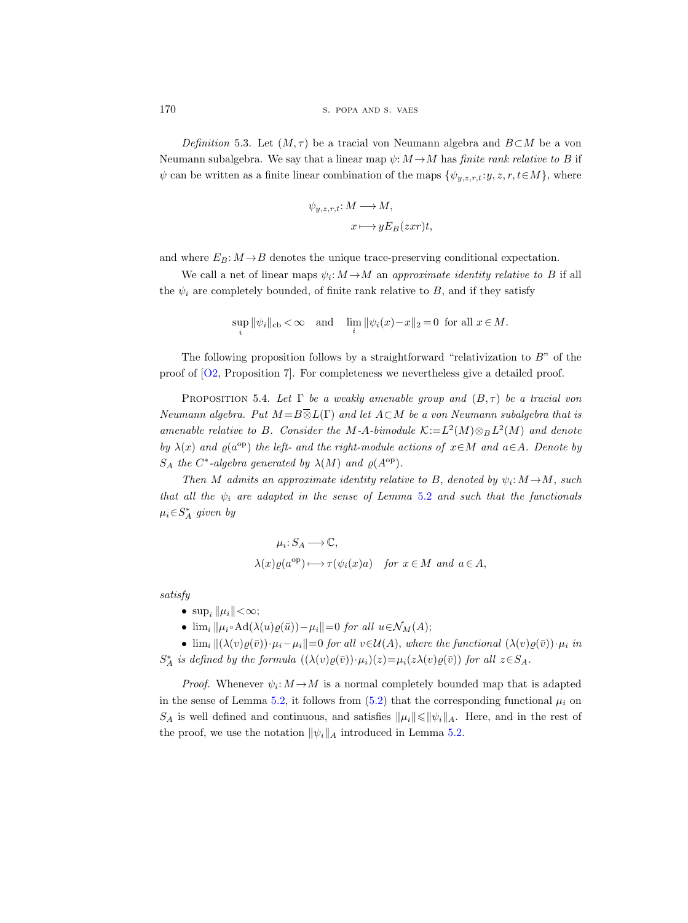170 s. POPA AND S. VAES

<span id="page-29-0"></span>Definition 5.3. Let  $(M, \tau)$  be a tracial von Neumann algebra and  $B\subset M$  be a von Neumann subalgebra. We say that a linear map  $\psi: M \to M$  has *finite rank relative to B* if  $\psi$  can be written as a finite linear combination of the maps  $\{\psi_{y,z,r,t}:y,z,r,t\in M\}$ , where

$$
\psi_{y,z,r,t}: M \longrightarrow M,
$$
  

$$
x \longmapsto yE_B(zxr)t,
$$

and where  $E_B: M \to B$  denotes the unique trace-preserving conditional expectation.

We call a net of linear maps  $\psi_i: M \to M$  an approximate identity relative to B if all the  $\psi_i$  are completely bounded, of finite rank relative to B, and if they satisfy

$$
\sup_{i} \|\psi_i\|_{\text{cb}} < \infty \quad \text{and} \quad \lim_{i} \|\psi_i(x) - x\|_2 = 0 \text{ for all } x \in M.
$$

The following proposition follows by a straightforward "relativization to  $B$ " of the proof of [\[O2,](#page-56-16) Proposition 7]. For completeness we nevertheless give a detailed proof.

<span id="page-29-1"></span>PROPOSITION 5.4. Let  $\Gamma$  be a weakly amenable group and  $(B, \tau)$  be a tracial von Neumann algebra. Put  $M = B \overline{\otimes} L(\Gamma)$  and let  $A \subset M$  be a von Neumann subalgebra that is amenable relative to B. Consider the M-A-bimodule  $\mathcal{K}:=L^2(M)\otimes_B L^2(M)$  and denote by  $\lambda(x)$  and  $\varrho(a^{\rm op})$  the left- and the right-module actions of  $x \in M$  and  $a \in A$ . Denote by  $S_A$  the C<sup>\*</sup>-algebra generated by  $\lambda(M)$  and  $\varrho(A^{\text{op}})$ .

Then M admits an approximate identity relative to B, denoted by  $\psi_i: M \to M$ , such that all the  $\psi_i$  are adapted in the sense of Lemma [5.2](#page-27-1) and such that the functionals  $\mu_i \in S_A^*$  given by

$$
\mu_i: S_A \longrightarrow \mathbb{C},
$$
  

$$
\lambda(x)\varrho(a^{\mathrm{op}}) \longmapsto \tau(\psi_i(x)a) \quad \text{for } x \in M \text{ and } a \in A,
$$

satisfy

- $\sup_i ||\mu_i|| < \infty;$
- $\lim_i ||\mu_i \circ \text{Ad}(\lambda(u)\varrho(\bar{u})) \mu_i|| = 0$  for all  $u \in \mathcal{N}_M(A);$

•  $\lim_i ||(\lambda(v)\varrho(\bar{v}))\cdot\mu_i-\mu_i||=0$  for all  $v\in\mathcal{U}(A)$ , where the functional  $(\lambda(v)\varrho(\bar{v}))\cdot\mu_i$  in  $S_A^*$  is defined by the formula  $((\lambda(v)\varrho(\bar{v}))\cdot\mu_i)(z) = \mu_i(z\lambda(v)\varrho(\bar{v}))$  for all  $z \in S_A$ .

*Proof.* Whenever  $\psi_i: M \to M$  is a normal completely bounded map that is adapted in the sense of Lemma [5.2,](#page-27-1) it follows from  $(5.2)$  that the corresponding functional  $\mu_i$  on  $S_A$  is well defined and continuous, and satisfies  $\|\mu_i\| \le \|\psi_i\|_A$ . Here, and in the rest of the proof, we use the notation  $\|\psi_i\|_A$  introduced in Lemma [5.2.](#page-27-1)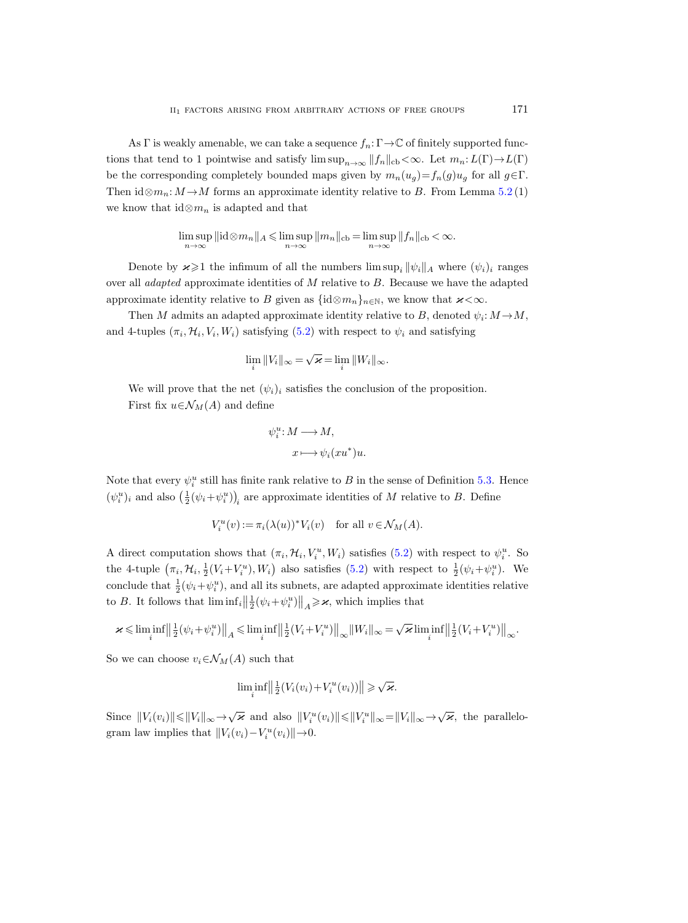As Γ is weakly amenable, we can take a sequence  $f_n: \Gamma \to \mathbb{C}$  of finitely supported functions that tend to 1 pointwise and satisfy  $\limsup_{n\to\infty} ||f_n||_{cb} < \infty$ . Let  $m_n: L(\Gamma) \to L(\Gamma)$ be the corresponding completely bounded maps given by  $m_n(u_g)=f_n(g)u_g$  for all  $g\in\Gamma$ . Then  $id \otimes m_n: M \to M$  forms an approximate identity relative to B. From Lemma [5.2](#page-27-1) (1) we know that  $id \otimes m_n$  is adapted and that

$$
\limsup_{n\to\infty} \|\mathrm{id} \otimes m_n\|_A \leqslant \limsup_{n\to\infty} \|m_n\|_{\mathrm{cb}} = \limsup_{n\to\infty} \|f_n\|_{\mathrm{cb}} < \infty.
$$

Denote by  $\varkappa \geq 1$  the infimum of all the numbers  $\limsup_i ||\psi_i||_A$  where  $(\psi_i)_i$  ranges over all *adapted* approximate identities of  $M$  relative to  $B$ . Because we have the adapted approximate identity relative to B given as  $\{\mathrm{id} \otimes m_n\}_{n\in\mathbb{N}}$ , we know that  $\varkappa < \infty$ .

Then M admits an adapted approximate identity relative to B, denoted  $\psi_i: M \to M$ , and 4-tuples  $(\pi_i, \mathcal{H}_i, V_i, W_i)$  satisfying  $(5.2)$  with respect to  $\psi_i$  and satisfying

$$
\lim_{i} \|V_{i}\|_{\infty} = \sqrt{\varkappa} = \lim_{i} \|W_{i}\|_{\infty}.
$$

We will prove that the net  $(\psi_i)_i$  satisfies the conclusion of the proposition. First fix  $u \in \mathcal{N}_M(A)$  and define

$$
\psi_i^u \colon M \longrightarrow M,
$$
  

$$
x \longmapsto \psi_i(xu^*)u.
$$

Note that every  $\psi_i^u$  still has finite rank relative to B in the sense of Definition [5.3.](#page-29-0) Hence  $(\psi_i^u)_i$  and also  $(\frac{1}{2}(\psi_i + \psi_i^u))_i$  are approximate identities of M relative to B. Define

$$
V_i^u(v) := \pi_i(\lambda(u))^* V_i(v) \quad \text{for all } v \in \mathcal{N}_M(A).
$$

A direct computation shows that  $(\pi_i, \mathcal{H}_i, V_i^u, W_i)$  satisfies [\(5.2\)](#page-27-0) with respect to  $\psi_i^u$ . So the 4-tuple  $(\pi_i, \mathcal{H}_i, \frac{1}{2}(V_i + V_i^u), W_i)$  also satisfies  $(5.2)$  with respect to  $\frac{1}{2}(\psi_i + \psi_i^u)$ . We conclude that  $\frac{1}{2}(\psi_i + \psi_i^u)$ , and all its subnets, are adapted approximate identities relative to B. It follows that  $\liminf_{i} \left\|\frac{1}{2}(\psi_i + \psi_i^u)\right\|_A \geq \varkappa$ , which implies that

$$
\varkappa\leqslant \liminf_i\Big\|\tfrac{1}{2}\big(\psi_i+\psi_i^u\big)\Big\|_A\leqslant \liminf_i\Big\|\tfrac{1}{2}\big(V_i+V_i^u\big)\Big\|_\infty\|W_i\|_\infty\!=\!\sqrt{\varkappa}\liminf_i\Big\|\tfrac{1}{2}\big(V_i+V_i^u\big)\Big\|_\infty.
$$

So we can choose  $v_i \in \mathcal{N}_M(A)$  such that

$$
\liminf_{i} \left\| \frac{1}{2}(V_i(v_i) + V_i^u(v_i)) \right\| \geqslant \sqrt{\varkappa}.
$$

Since  $||V_i(v_i)|| \le ||V_i||_{\infty} \rightarrow \sqrt{\varkappa}$  and also  $||V_i^u(v_i)|| \le ||V_i^u||_{\infty} = ||V_i||_{\infty} \rightarrow \sqrt{\varkappa}$ , the parallelogram law implies that  $||V_i(v_i) - V_i^u(v_i)|| \rightarrow 0$ .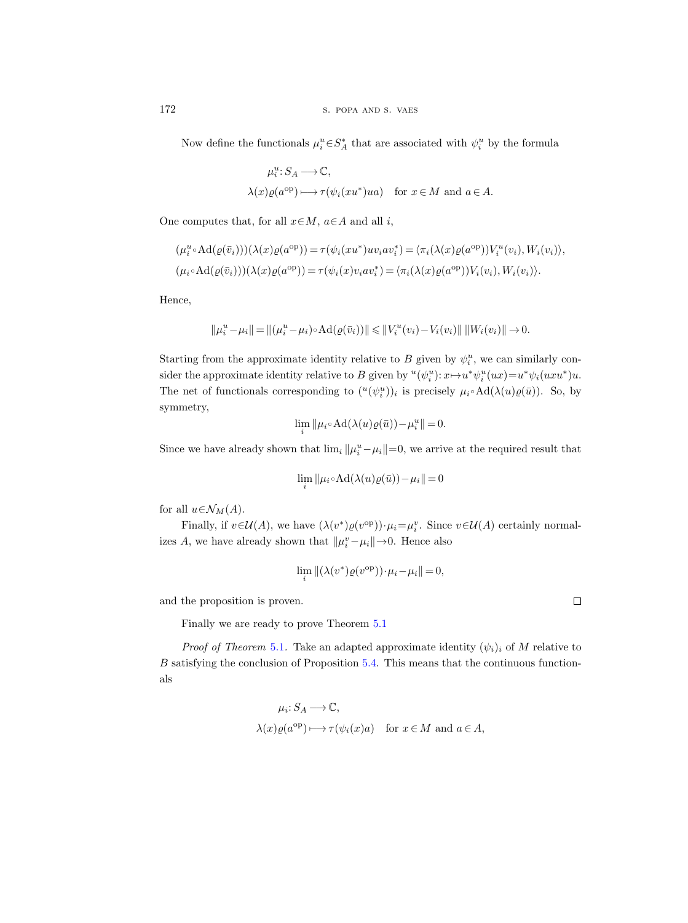Now define the functionals  $\mu_i^u \in S_A^*$  that are associated with  $\psi_i^u$  by the formula

$$
\mu_i^u: S_A \longrightarrow \mathbb{C},
$$
  

$$
\lambda(x)\varrho(a^{\text{op}}) \longmapsto \tau(\psi_i(xu^*)ua) \text{ for } x \in M \text{ and } a \in A.
$$

One computes that, for all  $x \in M$ ,  $a \in A$  and all i,

$$
(\mu_i^u \circ \mathrm{Ad}(\varrho(\bar{v}_i)))(\lambda(x)\varrho(a^{\mathrm{op}})) = \tau(\psi_i(xu^*)uv_iav_i^*) = \langle \pi_i(\lambda(x)\varrho(a^{\mathrm{op}}))V_i^u(v_i), W_i(v_i) \rangle,
$$
  

$$
(\mu_i \circ \mathrm{Ad}(\varrho(\bar{v}_i)))(\lambda(x)\varrho(a^{\mathrm{op}})) = \tau(\psi_i(x)v_iav_i^*) = \langle \pi_i(\lambda(x)\varrho(a^{\mathrm{op}}))V_i(v_i), W_i(v_i) \rangle.
$$

Hence,

$$
||\mu_i^u - \mu_i|| = ||(\mu_i^u - \mu_i) \circ \mathrm{Ad}(\varrho(\bar{v}_i))|| \le ||V_i^u(v_i) - V_i(v_i)|| \, ||W_i(v_i)|| \to 0.
$$

Starting from the approximate identity relative to B given by  $\psi_i^u$ , we can similarly consider the approximate identity relative to B given by  $^u(\psi_i^u): x \mapsto u^* \psi_i^u(ux) = u^* \psi_i(uxu^*)u$ . The net of functionals corresponding to  $({}^u(\psi_i^u))_i$  is precisely  $\mu_i \circ \text{Ad}(\lambda(u)\varrho(\bar{u}))$ . So, by symmetry,

$$
\lim_{i} \|\mu_i \circ \operatorname{Ad}(\lambda(u)\varrho(\bar{u})) - \mu_i^u\| = 0.
$$

Since we have already shown that  $\lim_{i} ||\mu_i^u - \mu_i|| = 0$ , we arrive at the required result that

$$
\lim_{i} \|\mu_i \circ \operatorname{Ad}(\lambda(u)\varrho(\bar{u})) - \mu_i\| = 0
$$

for all  $u \in \mathcal{N}_M(A)$ .

Finally, if  $v \in \mathcal{U}(A)$ , we have  $(\lambda(v^*)\varrho(v^{\text{op}})) \cdot \mu_i = \mu_i^v$ . Since  $v \in \mathcal{U}(A)$  certainly normalizes A, we have already shown that  $||\mu_i^v - \mu_i|| \rightarrow 0$ . Hence also

$$
\lim_{i} \| (\lambda(v^*) \varrho(v^{\text{op}})) \cdot \mu_i - \mu_i \| = 0,
$$

and the proposition is proven.

Finally we are ready to prove Theorem [5.1](#page-24-0)

*Proof of Theorem* [5.1](#page-24-0). Take an adapted approximate identity  $(\psi_i)_i$  of M relative to B satisfying the conclusion of Proposition [5.4.](#page-29-1) This means that the continuous functionals

$$
\mu_i: S_A \longrightarrow \mathbb{C},
$$
  
\n $\lambda(x)\varrho(a^{\text{op}}) \longmapsto \tau(\psi_i(x)a) \text{ for } x \in M \text{ and } a \in A,$ 

 $\Box$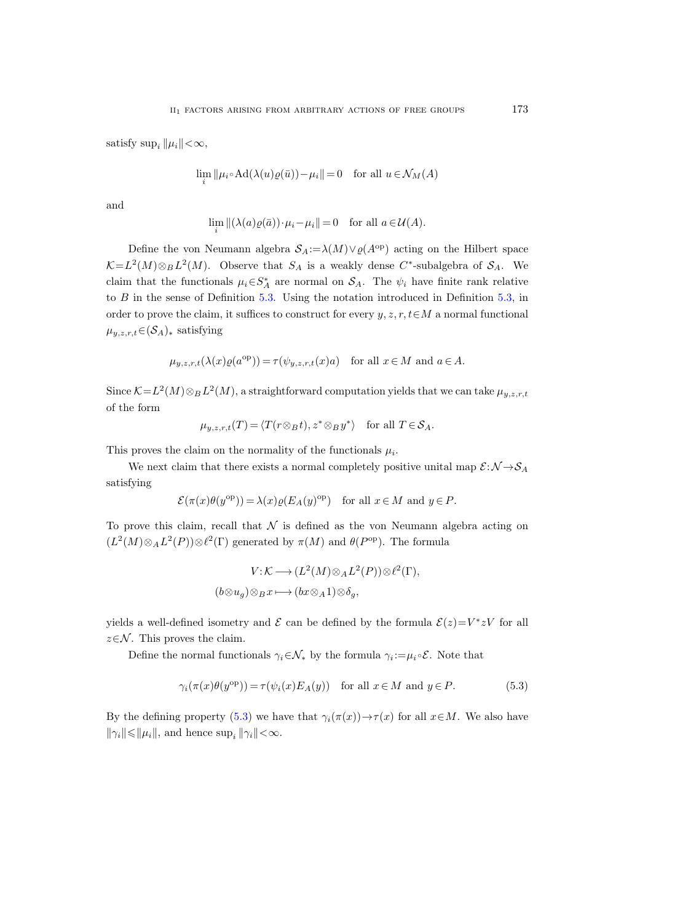satisfy sup<sub>i</sub>  $||\mu_i|| < \infty$ ,

$$
\lim_{i} ||\mu_{i} \circ \mathrm{Ad}(\lambda(u)\varrho(\bar{u})) - \mu_{i}|| = 0 \quad \text{for all } u \in \mathcal{N}_M(A)
$$

and

$$
\lim_{i} \| (\lambda(a)\varrho(\bar{a})) \cdot \mu_i - \mu_i \| = 0 \quad \text{for all } a \in \mathcal{U}(A).
$$

Define the von Neumann algebra  $S_A := \lambda(M) \vee \varrho(A^{\text{op}})$  acting on the Hilbert space  $\mathcal{K} = L^2(M) \otimes_B L^2(M)$ . Observe that  $S_A$  is a weakly dense C<sup>\*</sup>-subalgebra of  $S_A$ . We claim that the functionals  $\mu_i \in S_A^*$  are normal on  $S_A$ . The  $\psi_i$  have finite rank relative to B in the sense of Definition [5.3.](#page-29-0) Using the notation introduced in Definition [5.3,](#page-29-0) in order to prove the claim, it suffices to construct for every  $y, z, r, t \in M$  a normal functional  $\mu_{y,z,r,t} \in (\mathcal{S}_A)_*$  satisfying

$$
\mu_{y,z,r,t}(\lambda(x)\varrho(a^{\text{op}})) = \tau(\psi_{y,z,r,t}(x)a)
$$
 for all  $x \in M$  and  $a \in A$ .

Since  $\mathcal{K} = L^2(M) \otimes_B L^2(M)$ , a straightforward computation yields that we can take  $\mu_{y,z,r,t}$ of the form

$$
\mu_{y,z,r,t}(T) = \langle T(r \otimes_B t), z^* \otimes_B y^* \rangle
$$
 for all  $T \in S_A$ .

This proves the claim on the normality of the functionals  $\mu_i$ .

We next claim that there exists a normal completely positive unital map  $\mathcal{E}: \mathcal{N} \rightarrow \mathcal{S}_A$ satisfying

$$
\mathcal{E}(\pi(x)\theta(y^{\text{op}})) = \lambda(x)\varrho(E_A(y)^{\text{op}}) \quad \text{for all } x \in M \text{ and } y \in P.
$$

To prove this claim, recall that  $\mathcal N$  is defined as the von Neumann algebra acting on  $(L^2(M) \otimes_A L^2(P)) \otimes \ell^2(\Gamma)$  generated by  $\pi(M)$  and  $\theta(P^{\text{op}})$ . The formula

$$
V: \mathcal{K} \longrightarrow (L^2(M) \otimes_A L^2(P)) \otimes \ell^2(\Gamma),
$$
  

$$
(b \otimes u_g) \otimes_B x \longmapsto (bx \otimes_A 1) \otimes \delta_g,
$$

yields a well-defined isometry and  $\mathcal E$  can be defined by the formula  $\mathcal E(z) = V^* z V$  for all  $z \in \mathcal{N}$ . This proves the claim.

Define the normal functionals  $\gamma_i \in \mathcal{N}_*$  by the formula  $\gamma_i := \mu_i \circ \mathcal{E}$ . Note that

<span id="page-32-0"></span>
$$
\gamma_i(\pi(x)\theta(y^{\text{op}})) = \tau(\psi_i(x)E_A(y)) \quad \text{for all } x \in M \text{ and } y \in P. \tag{5.3}
$$

By the defining property [\(5.3\)](#page-32-0) we have that  $\gamma_i(\pi(x)) \to \tau(x)$  for all  $x \in M$ . We also have  $\|\gamma_i\| \le \|\mu_i\|$ , and hence  $\sup_i \|\gamma_i\| < \infty$ .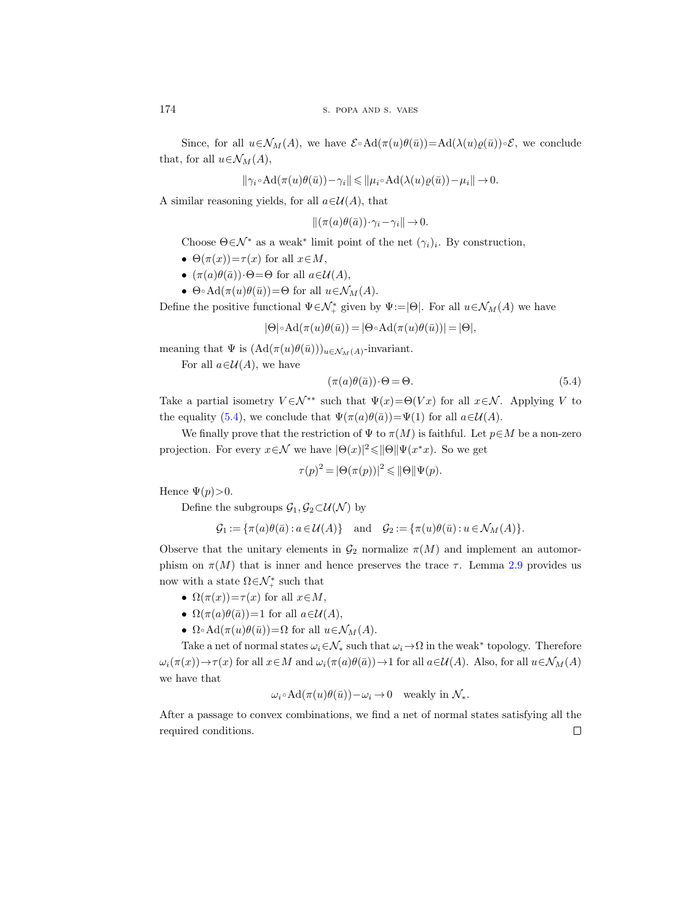Since, for all  $u \in \mathcal{N}_M(A)$ , we have  $\mathcal{E} \circ \text{Ad}(\pi(u)\theta(\bar{u})) = \text{Ad}(\lambda(u)\varrho(\bar{u})) \circ \mathcal{E}$ , we conclude that, for all  $u \in \mathcal{N}_M(A)$ ,

$$
\|\gamma_i\circ \text{Ad}(\pi(u)\theta(\bar{u}))-\gamma_i\|\leqslant \|\mu_i\circ \text{Ad}(\lambda(u)\varrho(\bar{u}))-\mu_i\|\rightarrow 0.
$$

A similar reasoning yields, for all  $a \in \mathcal{U}(A)$ , that

$$
\|(\pi(a)\theta(\bar{a}))\cdot\gamma_i-\gamma_i\|\to 0.
$$

Choose  $\Theta \in \mathcal{N}^*$  as a weak<sup>\*</sup> limit point of the net  $(\gamma_i)_i$ . By construction,

- $\Theta(\pi(x)) = \tau(x)$  for all  $x \in M$ ,
- $(\pi(a)\theta(\bar{a}))\cdot\Theta = \Theta$  for all  $a \in \mathcal{U}(A)$ ,
- $\Theta \circ \text{Ad}(\pi(u)\theta(\bar{u})) = \Theta$  for all  $u \in \mathcal{N}_M(A)$ .

Define the positive functional  $\Psi \in \mathcal{N}_+^*$  given by  $\Psi := |\Theta|$ . For all  $u \in \mathcal{N}_M(A)$  we have

$$
|\Theta| \circ \mathrm{Ad}(\pi(u)\theta(\bar{u})) = |\Theta \circ \mathrm{Ad}(\pi(u)\theta(\bar{u}))| = |\Theta|,
$$

meaning that  $\Psi$  is  $(\mathrm{Ad}(\pi(u)\theta(\bar{u})))_{u\in\mathcal{N}_M(A)}$ -invariant.

For all  $a\in\mathcal{U}(A)$ , we have

<span id="page-33-0"></span>
$$
(\pi(a)\theta(\bar{a}))\cdot\Theta = \Theta.
$$
\n(5.4)

Take a partial isometry  $V \in \mathcal{N}^{**}$  such that  $\Psi(x) = \Theta(Vx)$  for all  $x \in \mathcal{N}$ . Applying V to the equality [\(5.4\)](#page-33-0), we conclude that  $\Psi(\pi(a)\theta(\bar{a}))=\Psi(1)$  for all  $a\in\mathcal{U}(A)$ .

We finally prove that the restriction of  $\Psi$  to  $\pi(M)$  is faithful. Let  $p \in M$  be a non-zero projection. For every  $x \in \mathcal{N}$  we have  $|\Theta(x)|^2 \leq |\Theta| |\Psi(x^*x)|$ . So we get

$$
\tau(p)^2 = |\Theta(\pi(p))|^2 \leq |\Theta| |\Psi(p)|.
$$

Hence  $\Psi(p) > 0$ .

Define the subgroups  $\mathcal{G}_1, \mathcal{G}_2 \subset \mathcal{U}(\mathcal{N})$  by

$$
\mathcal{G}_1 := \{ \pi(a)\theta(\bar{a}) : a \in \mathcal{U}(A) \} \quad \text{and} \quad \mathcal{G}_2 := \{ \pi(u)\theta(\bar{u}) : u \in \mathcal{N}_M(A) \}.
$$

Observe that the unitary elements in  $\mathcal{G}_2$  normalize  $\pi(M)$  and implement an automorphism on  $\pi(M)$  that is inner and hence preserves the trace  $\tau$ . Lemma [2.9](#page-18-1) provides us now with a state  $\Omega \in \mathcal{N}_+^*$  such that

- $\Omega(\pi(x)) = \tau(x)$  for all  $x \in M$ ,
- $\Omega(\pi(a)\theta(\bar{a}))=1$  for all  $a\in\mathcal{U}(A)$ ,
- $\Omega \circ \text{Ad}(\pi(u)\theta(\bar{u})) = \Omega$  for all  $u \in \mathcal{N}_M(A)$ .

Take a net of normal states  $\omega_i \in \mathcal{N}_*$  such that  $\omega_i \to \Omega$  in the weak\* topology. Therefore  $\omega_i(\pi(x)) \to \tau(x)$  for all  $x \in M$  and  $\omega_i(\pi(a)\theta(\bar{a})) \to 1$  for all  $a \in \mathcal{U}(A)$ . Also, for all  $u \in \mathcal{N}_M(A)$ we have that

$$
\omega_i \circ \mathrm{Ad}(\pi(u)\theta(\bar{u}))-\omega_i \to 0 \quad \text{weakly in } \mathcal{N}_*.
$$

After a passage to convex combinations, we find a net of normal states satisfying all the required conditions. $\Box$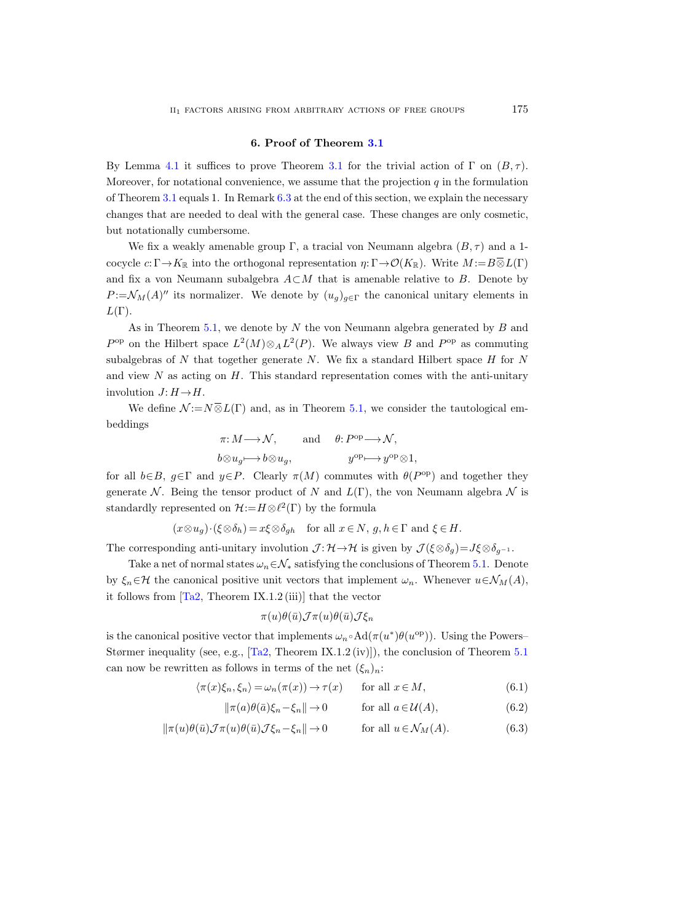## 6. Proof of Theorem [3.1](#page-22-0)

By Lemma [4.1](#page-22-1) it suffices to prove Theorem [3.1](#page-22-0) for the trivial action of  $\Gamma$  on  $(B, \tau)$ . Moreover, for notational convenience, we assume that the projection  $q$  in the formulation of Theorem [3.1](#page-22-0) equals 1. In Remark [6.3](#page-42-0) at the end of this section, we explain the necessary changes that are needed to deal with the general case. These changes are only cosmetic, but notationally cumbersome.

We fix a weakly amenable group Γ, a tracial von Neumann algebra  $(B, \tau)$  and a 1cocycle  $c: \Gamma \to K_{\mathbb{R}}$  into the orthogonal representation  $\eta: \Gamma \to \mathcal{O}(K_{\mathbb{R}})$ . Write  $M := B \overline{\otimes} L(\Gamma)$ and fix a von Neumann subalgebra  $A\subset M$  that is amenable relative to B. Denote by  $P := \mathcal{N}_M(A)''$  its normalizer. We denote by  $(u_g)_{g \in \Gamma}$  the canonical unitary elements in  $L(\Gamma)$ .

As in Theorem [5.1,](#page-24-0) we denote by  $N$  the von Neumann algebra generated by  $B$  and  $P^{\rm op}$  on the Hilbert space  $L^2(M) \otimes_A L^2(P)$ . We always view B and  $P^{\rm op}$  as commuting subalgebras of  $N$  that together generate  $N$ . We fix a standard Hilbert space  $H$  for  $N$ and view  $N$  as acting on  $H$ . This standard representation comes with the anti-unitary involution  $J: H \rightarrow H$ .

We define  $\mathcal{N} := N \overline{\otimes} L(\Gamma)$  and, as in Theorem [5.1,](#page-24-0) we consider the tautological embeddings

$$
\pi: M \longrightarrow \mathcal{N}, \quad \text{and} \quad \theta: P^{\text{op}} \longrightarrow \mathcal{N},
$$
  

$$
b \otimes u_g \longmapsto b \otimes u_g, \quad y^{\text{op}} \longmapsto y^{\text{op}} \otimes 1,
$$

for all  $b \in B$ ,  $g \in \Gamma$  and  $y \in P$ . Clearly  $\pi(M)$  commutes with  $\theta(P^{\text{op}})$  and together they generate N. Being the tensor product of N and  $L(\Gamma)$ , the von Neumann algebra N is standardly represented on  $\mathcal{H}:=H\otimes\ell^2(\Gamma)$  by the formula

$$
(x \otimes u_g) \cdot (\xi \otimes \delta_h) = x \xi \otimes \delta_{gh} \text{ for all } x \in N, g, h \in \Gamma \text{ and } \xi \in H.
$$

The corresponding anti-unitary involution  $\mathcal{J} : \mathcal{H} \to \mathcal{H}$  is given by  $\mathcal{J}(\xi \otimes \delta_q) = J \xi \otimes \delta_{q^{-1}}$ .

Take a net of normal states  $\omega_n \in \mathcal{N}_*$  satisfying the conclusions of Theorem [5.1.](#page-24-0) Denote by  $\xi_n \in \mathcal{H}$  the canonical positive unit vectors that implement  $\omega_n$ . Whenever  $u \in \mathcal{N}_M(A)$ , it follows from  $[Ta2,$  Theorem IX.1.2 (iii)] that the vector

<span id="page-34-2"></span><span id="page-34-1"></span><span id="page-34-0"></span>
$$
\pi(u)\theta(\bar u){\cal J}\pi(u)\theta(\bar u){\cal J}\xi_n
$$

is the canonical positive vector that implements  $\omega_n \circ \text{Ad}(\pi(u^*)\theta(u^{\text{op}}))$ . Using the Powers– Størmer inequality (see, e.g., [\[Ta2,](#page-57-4) Theorem IX.1.2 (iv)]), the conclusion of Theorem [5.1](#page-24-0) can now be rewritten as follows in terms of the net  $(\xi_n)_n$ :

$$
\langle \pi(x)\xi_n, \xi_n \rangle = \omega_n(\pi(x)) \to \tau(x) \quad \text{for all } x \in M,
$$
\n(6.1)

$$
\|\pi(a)\theta(\bar{a})\xi_n - \xi_n\| \to 0 \quad \text{for all } a \in \mathcal{U}(A), \tag{6.2}
$$

$$
\|\pi(u)\theta(\bar{u})\mathcal{J}\pi(u)\theta(\bar{u})\mathcal{J}\xi_n - \xi_n\| \to 0 \quad \text{for all } u \in \mathcal{N}_M(A). \tag{6.3}
$$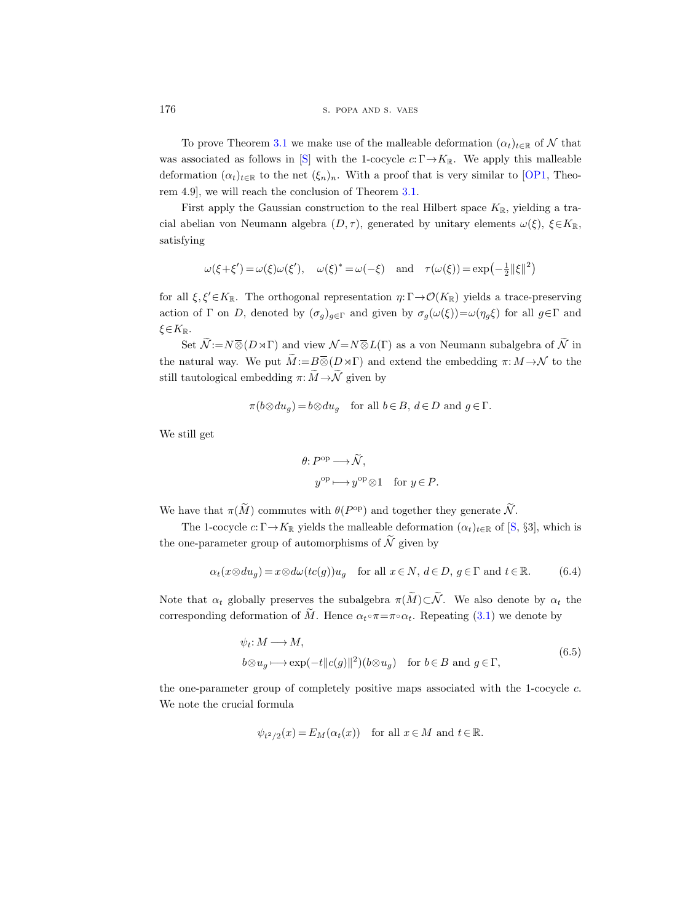176 S. POPA AND S. VAES

To prove Theorem [3.1](#page-22-0) we make use of the malleable deformation  $(\alpha_t)_{t\in\mathbb{R}}$  of N that was associated as follows in [\[S\]](#page-57-2) with the 1-cocycle  $c: \Gamma \to K_{\mathbb{R}}$ . We apply this malleable deformation  $(\alpha_t)_{t\in\mathbb{R}}$  to the net  $(\xi_n)_n$ . With a proof that is very similar to [\[OP1,](#page-56-2) Theorem 4.9], we will reach the conclusion of Theorem [3.1.](#page-22-0)

First apply the Gaussian construction to the real Hilbert space  $K_{\mathbb{R}}$ , yielding a tracial abelian von Neumann algebra  $(D, \tau)$ , generated by unitary elements  $\omega(\xi)$ ,  $\xi \in K_{\mathbb{R}}$ , satisfying

$$
\omega(\xi + \xi') = \omega(\xi)\omega(\xi'), \quad \omega(\xi)^* = \omega(-\xi) \quad \text{and} \quad \tau(\omega(\xi)) = \exp(-\frac{1}{2}||\xi||^2)
$$

for all  $\xi, \xi' \in K_{\mathbb{R}}$ . The orthogonal representation  $\eta: \Gamma \to \mathcal{O}(K_{\mathbb{R}})$  yields a trace-preserving action of Γ on D, denoted by  $(\sigma_g)_{g \in \Gamma}$  and given by  $\sigma_g(\omega(\xi)) = \omega(\eta_g \xi)$  for all  $g \in \Gamma$  and  $\xi \in K_{\mathbb{R}}$ .

Set  $\widetilde{\mathcal{N}}:=N\overline{\otimes}(D\rtimes\Gamma)$  and view  $\mathcal{N}=N\overline{\otimes}L(\Gamma)$  as a von Neumann subalgebra of  $\widetilde{\mathcal{N}}$  in the natural way. We put  $\widetilde{M} := B \overline{\otimes} (D \rtimes \Gamma)$  and extend the embedding  $\pi: M \to \mathcal{N}$  to the still tautological embedding  $\pi: \widetilde{M} \to \widetilde{\mathcal{N}}$  given by

$$
\pi(b \otimes du_g) = b \otimes du_g \quad \text{for all } b \in B, d \in D \text{ and } g \in \Gamma.
$$

We still get

$$
\theta: P^{\text{op}} \longrightarrow \widetilde{\mathcal{N}},
$$
  

$$
y^{\text{op}} \longmapsto y^{\text{op}} \otimes 1 \quad \text{for } y \in P.
$$

We have that  $\pi(M)$  commutes with  $\theta(P^{\text{op}})$  and together they generate  $\hat{N}$ .

The 1-cocycle  $c: \Gamma \to K_{\mathbb{R}}$  yields the malleable deformation  $(\alpha_t)_{t \in \mathbb{R}}$  of [\[S,](#page-57-2) §3], which is the one-parameter group of automorphisms of  $\widetilde{\mathcal{N}}$  given by

<span id="page-35-1"></span>
$$
\alpha_t(x \otimes du_g) = x \otimes d\omega(tc(g))u_g \quad \text{for all } x \in N, d \in D, g \in \Gamma \text{ and } t \in \mathbb{R}.\tag{6.4}
$$

Note that  $\alpha_t$  globally preserves the subalgebra  $\pi(\widetilde{M})\subset \widetilde{\mathcal{N}}$ . We also denote by  $\alpha_t$  the corresponding deformation of  $\tilde{M}$ . Hence  $\alpha_t \circ \pi = \pi \circ \alpha_t$ . Repeating [\(3.1\)](#page-21-2) we denote by

$$
\psi_t: M \longrightarrow M,
$$
  
\n
$$
b \otimes u_g \longmapsto \exp(-t||c(g)||^2)(b \otimes u_g) \quad \text{for } b \in B \text{ and } g \in \Gamma,
$$
\n(6.5)

<span id="page-35-0"></span>the one-parameter group of completely positive maps associated with the 1-cocycle  $c$ . We note the crucial formula

$$
\psi_{t^2/2}(x) = E_M(\alpha_t(x))
$$
 for all  $x \in M$  and  $t \in \mathbb{R}$ .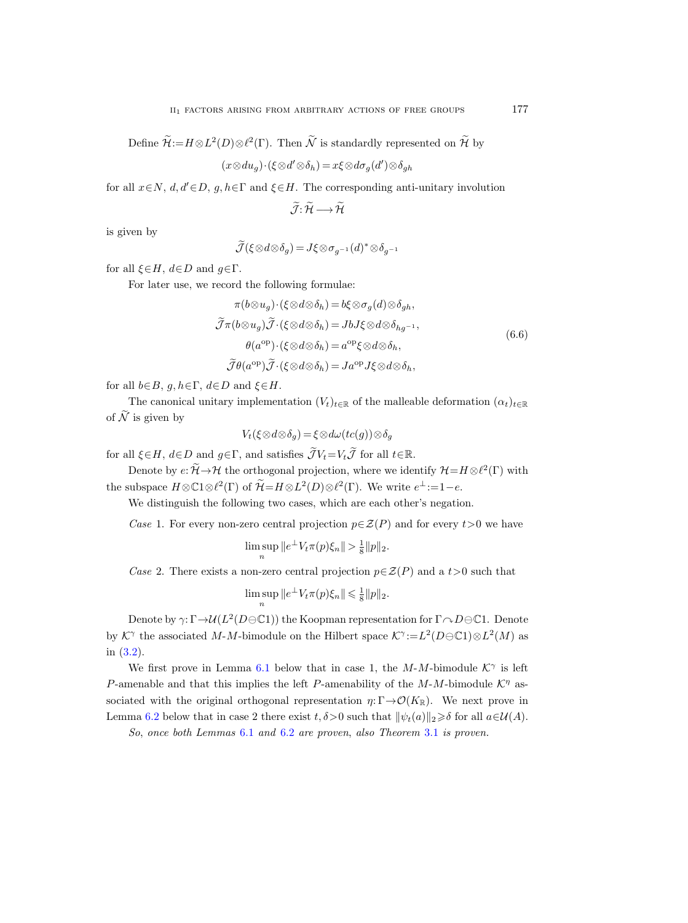Define  $\mathcal{H}:=H\otimes L^2(D)\otimes \ell^2(\Gamma)$ . Then  $\mathcal N$  is standardly represented on  $\mathcal H$  by

$$
(x \otimes du_g) \cdot (\xi \otimes d' \otimes \delta_h) = x \xi \otimes d\sigma_g(d') \otimes \delta_{gh}
$$

for all  $x \in N$ ,  $d, d' \in D$ ,  $g, h \in \Gamma$  and  $\xi \in H$ . The corresponding anti-unitary involution

$$
\widetilde{\mathcal{J}}\colon\widetilde{\mathcal{H}}\longrightarrow\widetilde{\mathcal{H}}
$$

is given by

$$
\widetilde{\mathcal{J}}(\xi\otimes d\otimes \delta_g)=J\xi\otimes \sigma_{g^{-1}}(d)^*\otimes \delta_{g^{-1}}
$$

for all  $\xi \in H$ ,  $d \in D$  and  $g \in \Gamma$ .

<span id="page-36-1"></span>For later use, we record the following formulae:

$$
\pi(b \otimes u_g) \cdot (\xi \otimes d \otimes \delta_h) = b\xi \otimes \sigma_g(d) \otimes \delta_{gh},
$$
  

$$
\widetilde{\mathcal{J}}\pi(b \otimes u_g) \widetilde{\mathcal{J}} \cdot (\xi \otimes d \otimes \delta_h) = JbJ\xi \otimes d \otimes \delta_{hg^{-1}},
$$
  

$$
\theta(a^{\text{op}}) \cdot (\xi \otimes d \otimes \delta_h) = a^{\text{op}}\xi \otimes d \otimes \delta_h,
$$
  

$$
\widetilde{\mathcal{J}}\theta(a^{\text{op}}) \widetilde{\mathcal{J}} \cdot (\xi \otimes d \otimes \delta_h) = Ja^{\text{op}}J\xi \otimes d \otimes \delta_h,
$$
  
(6.6)

for all  $b \in B$ ,  $g, h \in \Gamma$ ,  $d \in D$  and  $\xi \in H$ .

The canonical unitary implementation  $(V_t)_{t \in \mathbb{R}}$  of the malleable deformation  $(\alpha_t)_{t \in \mathbb{R}}$ of  $\widetilde{\mathcal{N}}$  is given by

 $V_t(\xi \otimes d \otimes \delta_q) = \xi \otimes d\omega(tc(g)) \otimes \delta_q$ 

for all  $\xi \in H$ ,  $d \in D$  and  $g \in \Gamma$ , and satisfies  $\widetilde{\mathcal{J}} V_t = V_t \widetilde{\mathcal{J}}$  for all  $t \in \mathbb{R}$ .

Denote by  $e: \mathcal{H} \to \mathcal{H}$  the orthogonal projection, where we identify  $\mathcal{H} = H \otimes \ell^2(\Gamma)$  with the subspace  $H \otimes \mathbb{C}1 \otimes \ell^2(\Gamma)$  of  $\widetilde{\mathcal{H}} = H \otimes L^2(D) \otimes \ell^2(\Gamma)$ . We write  $e^{\perp} := 1 - e$ .

We distinguish the following two cases, which are each other's negation.

Case 1. For every non-zero central projection  $p \in \mathcal{Z}(P)$  and for every  $t > 0$  we have

$$
\limsup_{n} ||e^{\perp} V_t \pi(p) \xi_n || > \frac{1}{8} ||p||_2.
$$

Case 2. There exists a non-zero central projection  $p \in \mathcal{Z}(P)$  and a t >0 such that

$$
\limsup_n ||e^{\perp} V_t \pi(p) \xi_n || \leq \frac{1}{8} ||p||_2.
$$

Denote by  $\gamma: \Gamma \to \mathcal{U}(L^2(D\ominus \mathbb{C}1))$  the Koopman representation for  $\Gamma \curvearrowright D \ominus \mathbb{C}1$ . Denote by  $K^{\gamma}$  the associated M-M-bimodule on the Hilbert space  $K^{\gamma} := L^2(D \oplus \mathbb{C}1) \otimes L^2(M)$  as in [\(3.2\)](#page-21-1).

We first prove in Lemma [6.1](#page-36-0) below that in case 1, the  $M$ - $M$ -bimodule  $K^{\gamma}$  is left P-amenable and that this implies the left P-amenability of the  $M$ -M-bimodule  $\mathcal{K}^{\eta}$  associated with the original orthogonal representation  $\eta: \Gamma \to \mathcal{O}(K_{\mathbb{R}})$ . We next prove in Lemma [6.2](#page-40-0) below that in case 2 there exist  $t, \delta > 0$  such that  $\|\psi_t(a)\|_2 \geq \delta$  for all  $a \in \mathcal{U}(A)$ .

<span id="page-36-0"></span>So, once both Lemmas [6.1](#page-36-0) and [6.2](#page-40-0) are proven, also Theorem [3.1](#page-22-0) is proven.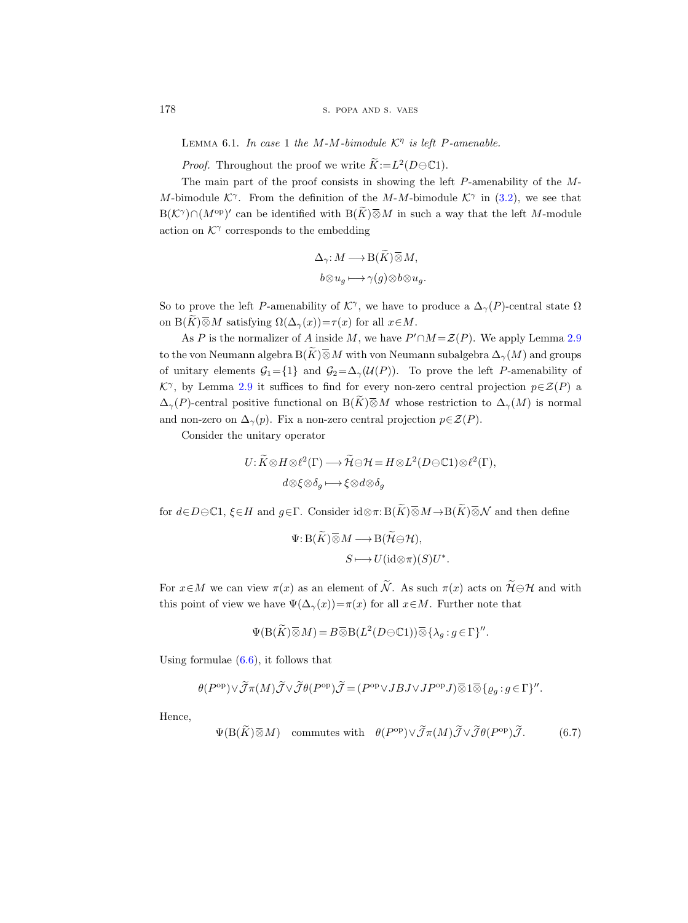LEMMA 6.1. In case 1 the M-M-bimodule  $K^{\eta}$  is left P-amenable.

*Proof.* Throughout the proof we write  $\widetilde{K} := L^2(D \ominus \mathbb{C}1)$ .

The main part of the proof consists in showing the left P-amenability of the M-M-bimodule  $\mathcal{K}^{\gamma}$ . From the definition of the M-M-bimodule  $\mathcal{K}^{\gamma}$  in [\(3.2\)](#page-21-1), we see that  $B(\mathcal{K}^{\gamma}) \cap (M^{\mathrm{op}})'$  can be identified with  $B(\widetilde{K}) \overline{\otimes} M$  in such a way that the left M-module action on  $K^{\gamma}$  corresponds to the embedding

$$
\Delta_{\gamma}: M \longrightarrow B(\widetilde{K}) \overline{\otimes} M,
$$
  

$$
b \otimes u_g \longmapsto \gamma(g) \otimes b \otimes u_g
$$

So to prove the left P-amenability of  $\mathcal{K}^{\gamma}$ , we have to produce a  $\Delta_{\gamma}(P)$ -central state  $\Omega$ on B $(\widetilde{K})\overline{\otimes}M$  satisfying  $\Omega(\Delta_{\gamma}(x))=\tau(x)$  for all  $x\in M$ .

As P is the normalizer of A inside M, we have  $P' \cap M = \mathcal{Z}(P)$ . We apply Lemma [2.9](#page-18-1) to the von Neumann algebra  $\mathrm{B}(\widetilde{K}) \,\overline{\otimes}\, M$  with von Neumann subalgebra  $\Delta_{\gamma}(M)$  and groups of unitary elements  $G_1 = \{1\}$  and  $G_2 = \Delta_{\gamma}(\mathcal{U}(P))$ . To prove the left P-amenability of  $\mathcal{K}^{\gamma}$ , by Lemma [2.9](#page-18-1) it suffices to find for every non-zero central projection  $p\in\mathcal{Z}(P)$  a  $\Delta_{\gamma}(P)$ -central positive functional on  $B(\widetilde{K})\overline{\otimes}M$  whose restriction to  $\Delta_{\gamma}(M)$  is normal and non-zero on  $\Delta_{\gamma}(p)$ . Fix a non-zero central projection  $p \in \mathcal{Z}(P)$ .

Consider the unitary operator

$$
U: \widetilde{K} \otimes H \otimes \ell^2(\Gamma) \longrightarrow \widetilde{\mathcal{H}} \ominus H = H \otimes L^2(D \ominus \mathbb{C}1) \otimes \ell^2(\Gamma),
$$
  

$$
d \otimes \xi \otimes \delta_g \longmapsto \xi \otimes d \otimes \delta_g
$$

for  $d \in D \ominus \mathbb{C}1$ ,  $\xi \in H$  and  $g \in \Gamma$ . Consider  $id \otimes \pi : B(\widetilde{K}) \overline{\otimes} M \to B(\widetilde{K}) \overline{\otimes} \mathcal{N}$  and then define

$$
\Psi: B(\widetilde{K}) \overline{\otimes} M \longrightarrow B(\widetilde{\mathcal{H}} \ominus \mathcal{H}),
$$

$$
S \longmapsto U(\mathrm{id} \otimes \pi)(S)U^*
$$

.

For  $x \in M$  we can view  $\pi(x)$  as an element of  $\widetilde{\mathcal{N}}$ . As such  $\pi(x)$  acts on  $\widetilde{\mathcal{H}} \ominus \mathcal{H}$  and with this point of view we have  $\Psi(\Delta_{\gamma}(x))=\pi(x)$  for all  $x\in M$ . Further note that

$$
\Psi(\mathcal B(\widetilde{K})\,\overline{\otimes}\,M)=B\,\overline{\otimes}\,\mathcal B(L^2(D\ominus\mathbb C 1))\,\overline{\otimes}\,\{\lambda_g:g\in\Gamma\}''.
$$

Using formulae  $(6.6)$ , it follows that

$$
\theta(P^{\text{op}}) \vee \widetilde{\mathcal{J}} \pi(M) \widetilde{\mathcal{J}} \vee \widetilde{\mathcal{J}} \theta(P^{\text{op}}) \widetilde{\mathcal{J}} = (P^{\text{op}} \vee JBJ \vee JP^{\text{op}} J) \overline{\otimes} 1 \overline{\otimes} \{ \varrho_g : g \in \Gamma \}''.
$$

Hence,

<span id="page-37-0"></span>
$$
\Psi(\mathcal{B}(\widetilde{K})\overline{\otimes}M) \quad \text{commutes with} \quad \theta(P^{\text{op}}) \vee \widetilde{\mathcal{J}}\pi(M)\widetilde{\mathcal{J}} \vee \widetilde{\mathcal{J}}\theta(P^{\text{op}})\widetilde{\mathcal{J}}. \tag{6.7}
$$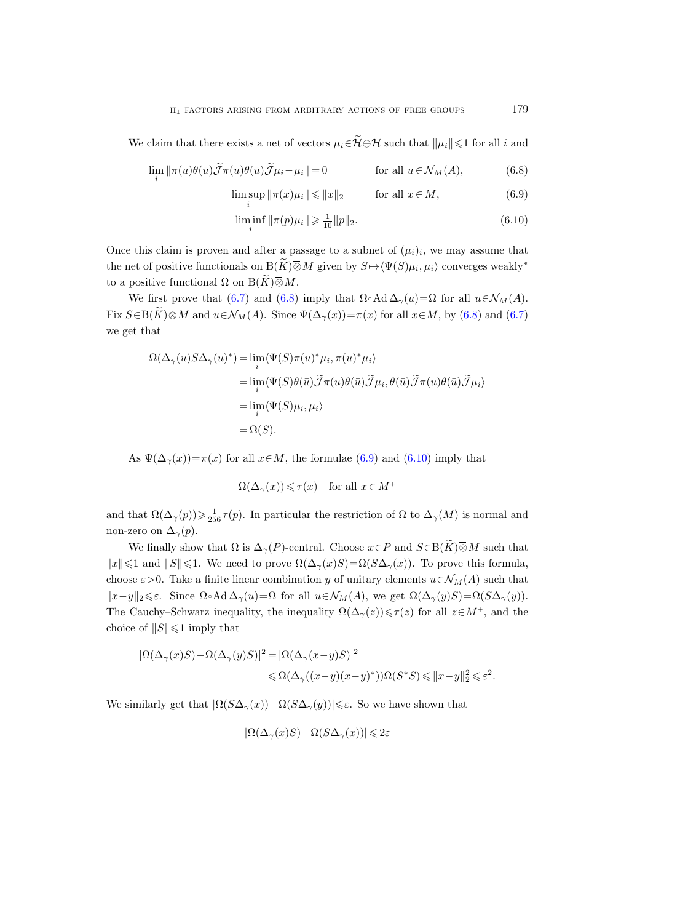We claim that there exists a net of vectors  $\mu_i \in \widetilde{\mathcal{H}} \ominus \mathcal{H}$  such that  $\|\mu_i\| \leq 1$  for all i and

$$
\lim_{i} \|\pi(u)\theta(\bar{u})\widetilde{\mathcal{J}}\pi(u)\theta(\bar{u})\widetilde{\mathcal{J}}\mu_{i}-\mu_{i}\| = 0 \qquad \text{for all } u \in \mathcal{N}_{M}(A), \tag{6.8}
$$

$$
\limsup_{i} \|\pi(x)\mu_i\| \le \|x\|_2 \qquad \text{for all } x \in M,
$$
\n(6.9)

<span id="page-38-2"></span><span id="page-38-1"></span><span id="page-38-0"></span>
$$
\liminf_{i} \|\pi(p)\mu_i\| \geq \frac{1}{16} \|p\|_2.
$$
\n(6.10)

Once this claim is proven and after a passage to a subnet of  $(\mu_i)_i$ , we may assume that the net of positive functionals on  $B(\widetilde{K})\overline{\otimes}M$  given by  $S\mapsto \langle \Psi(S)\mu_i,\mu_i\rangle$  converges weakly<sup>\*</sup> to a positive functional  $\Omega$  on  $B(\widetilde{K})\overline{\otimes}M$ .

We first prove that [\(6.7\)](#page-37-0) and [\(6.8\)](#page-38-0) imply that  $\Omega \circ \text{Ad}\,\Delta_{\gamma}(u)=\Omega$  for all  $u \in \mathcal{N}_M(A)$ . Fix  $S \in B(\widetilde{K}) \overline{\otimes} M$  and  $u \in \mathcal{N}_M(A)$ . Since  $\Psi(\Delta_\gamma(x)) = \pi(x)$  for all  $x \in M$ , by [\(6.8\)](#page-38-0) and [\(6.7\)](#page-37-0) we get that

$$
\Omega(\Delta_{\gamma}(u)S\Delta_{\gamma}(u)^{*}) = \lim_{i} \langle \Psi(S)\pi(u)^{*}\mu_{i}, \pi(u)^{*}\mu_{i} \rangle
$$
  
\n
$$
= \lim_{i} \langle \Psi(S)\theta(\bar{u})\tilde{\mathcal{J}}\pi(u)\theta(\bar{u})\tilde{\mathcal{J}}\mu_{i}, \theta(\bar{u})\tilde{\mathcal{J}}\pi(u)\theta(\bar{u})\tilde{\mathcal{J}}\mu_{i} \rangle
$$
  
\n
$$
= \lim_{i} \langle \Psi(S)\mu_{i}, \mu_{i} \rangle
$$
  
\n
$$
= \Omega(S).
$$

As  $\Psi(\Delta_{\gamma}(x)) = \pi(x)$  for all  $x \in M$ , the formulae [\(6.9\)](#page-38-1) and [\(6.10\)](#page-38-2) imply that

$$
\Omega(\Delta_\gamma(x)) \leqslant \tau(x) \quad \text{for all } x \in M^+
$$

and that  $\Omega(\Delta_\gamma(p)) \geq \frac{1}{256} \tau(p)$ . In particular the restriction of  $\Omega$  to  $\Delta_\gamma(M)$  is normal and non-zero on  $\Delta_{\gamma}(p)$ .

We finally show that  $\Omega$  is  $\Delta_{\gamma}(P)$ -central. Choose  $x \in P$  and  $S \in B(\widetilde{K}) \overline{\otimes} M$  such that  $||x|| \leq 1$  and  $||S|| \leq 1$ . We need to prove  $\Omega(\Delta_{\gamma}(x)) = \Omega(S\Delta_{\gamma}(x))$ . To prove this formula, choose  $\varepsilon > 0$ . Take a finite linear combination y of unitary elements  $u \in \mathcal{N}_M(A)$  such that  $||x-y||_2\leqslant\varepsilon$ . Since  $\Omega\circ\text{Ad}\Delta_{\gamma}(u)=\Omega$  for all  $u\in\mathcal{N}_M(A)$ , we get  $\Omega(\Delta_{\gamma}(y)S)=\Omega(S\Delta_{\gamma}(y)).$ The Cauchy–Schwarz inequality, the inequality  $\Omega(\Delta_{\gamma}(z)) \leq \tau(z)$  for all  $z \in M^{+}$ , and the choice of  $||S|| \leq 1$  imply that

$$
\begin{aligned} |\Omega(\Delta_\gamma(x)S)-\Omega(\Delta_\gamma(y)S)|^2&=|\Omega(\Delta_\gamma(x-y)S)|^2\\ &\leqslant \Omega(\Delta_\gamma((x-y)(x-y)^*))\Omega(S^*S)\leqslant \|x-y\|_2^2\leqslant \varepsilon^2. \end{aligned}
$$

We similarly get that  $|\Omega(S\Delta_{\gamma}(x))-\Omega(S\Delta_{\gamma}(y))|\leq \varepsilon$ . So we have shown that

$$
|\Omega(\Delta_\gamma(x)S) - \Omega(S\Delta_\gamma(x))| \leq 2\varepsilon
$$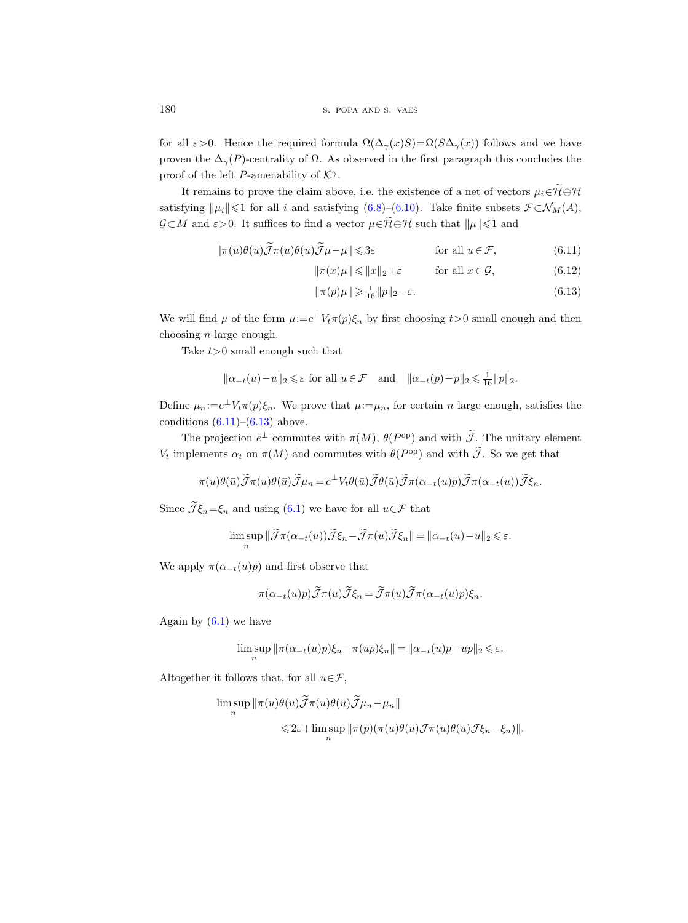for all  $\varepsilon > 0$ . Hence the required formula  $\Omega(\Delta_{\gamma}(x)) = \Omega(S\Delta_{\gamma}(x))$  follows and we have proven the  $\Delta_{\gamma}(P)$ -centrality of  $\Omega$ . As observed in the first paragraph this concludes the proof of the left P-amenability of  $K^{\gamma}$ .

It remains to prove the claim above, i.e. the existence of a net of vectors  $\mu_i \in \widetilde{\mathcal{H}} \ominus \mathcal{H}$ satisfying  $\|\mu_i\|\leq 1$  for all i and satisfying [\(6.8\)](#page-38-0)–[\(6.10\)](#page-38-2). Take finite subsets  $\mathcal{F} \subset \mathcal{N}_M(A)$ ,  $\mathcal{G} \subset M$  and  $\varepsilon > 0$ . It suffices to find a vector  $\mu \in \widetilde{\mathcal{H}} \ominus \mathcal{H}$  such that  $\|\mu\| \leq 1$  and

$$
\|\pi(u)\theta(\bar{u})\tilde{\mathcal{J}}\pi(u)\theta(\bar{u})\tilde{\mathcal{J}}\mu-\mu\|\leqslant 3\varepsilon \qquad \text{for all } u\in\mathcal{F},\tag{6.11}
$$

<span id="page-39-0"></span>
$$
\|\pi(x)\mu\| \le \|x\|_2 + \varepsilon \qquad \text{for all } x \in \mathcal{G}, \tag{6.12}
$$

<span id="page-39-2"></span><span id="page-39-1"></span>
$$
\|\pi(p)\mu\| \geqslant \frac{1}{16} \|p\|_2 - \varepsilon. \tag{6.13}
$$

We will find  $\mu$  of the form  $\mu:=e^{\perp}V_t\pi(p)\xi_n$  by first choosing  $t>0$  small enough and then choosing  $n$  large enough.

Take  $t>0$  small enough such that

 $\overline{a}$ 

$$
\|\alpha_{-t}(u)-u\|_2\leqslant \varepsilon \text{ for all } u\in \mathcal{F} \quad \text{and} \quad \|\alpha_{-t}(p)-p\|_2\leqslant \tfrac{1}{16}\|p\|_2.
$$

Define  $\mu_n = e^{\perp} V_t \pi(p) \xi_n$ . We prove that  $\mu = \mu_n$ , for certain n large enough, satisfies the conditions  $(6.11)$ – $(6.13)$  above.

The projection  $e^{\perp}$  commutes with  $\pi(M)$ ,  $\theta(P^{\text{op}})$  and with  $\tilde{\mathcal{J}}$ . The unitary element  $V_t$  implements  $\alpha_t$  on  $\pi(M)$  and commutes with  $\theta(P^{\text{op}})$  and with  $\tilde{\mathcal{J}}$ . So we get that

$$
\pi(u)\theta(\bar{u})\widetilde{\mathcal{J}}\pi(u)\theta(\bar{u})\widetilde{\mathcal{J}}\mu_n=e^{\bot}V_t\theta(\bar{u})\widetilde{\mathcal{J}}\theta(\bar{u})\widetilde{\mathcal{J}}\pi(\alpha_{-t}(u)p)\widetilde{\mathcal{J}}\pi(\alpha_{-t}(u))\widetilde{\mathcal{J}}\xi_n.
$$

Since  $\widetilde{\mathcal{J}}\xi_n=\xi_n$  and using [\(6.1\)](#page-34-0) we have for all  $u\in\mathcal{F}$  that

$$
\limsup_{n} \|\widetilde{\mathcal{J}}\pi(\alpha_{-t}(u))\widetilde{\mathcal{J}}\xi_n - \widetilde{\mathcal{J}}\pi(u)\widetilde{\mathcal{J}}\xi_n\| = \|\alpha_{-t}(u) - u\|_2 \leq \varepsilon.
$$

We apply  $\pi(\alpha_{-t}(u)p)$  and first observe that

$$
\pi(\alpha_{-t}(u)p)\tilde{\mathcal{J}}\pi(u)\tilde{\mathcal{J}}\xi_n = \tilde{\mathcal{J}}\pi(u)\tilde{\mathcal{J}}\pi(\alpha_{-t}(u)p)\xi_n.
$$

Again by  $(6.1)$  we have

$$
\limsup_{n} \|\pi(\alpha_{-t}(u)p)\xi_n - \pi(up)\xi_n\| = \|\alpha_{-t}(u)p - up\|_2 \leq \varepsilon.
$$

Altogether it follows that, for all  $u \in \mathcal{F}$ ,

$$
\limsup_{n} \|\pi(u)\theta(\bar{u})\tilde{\mathcal{J}}\pi(u)\theta(\bar{u})\tilde{\mathcal{J}}\mu_n - \mu_n\|
$$
  
\$\leqslant 2\varepsilon + \limsup\_{n} \|\pi(p)(\pi(u)\theta(\bar{u})\mathcal{J}\pi(u)\theta(\bar{u})\mathcal{J}\xi\_n - \xi\_n)\|\$.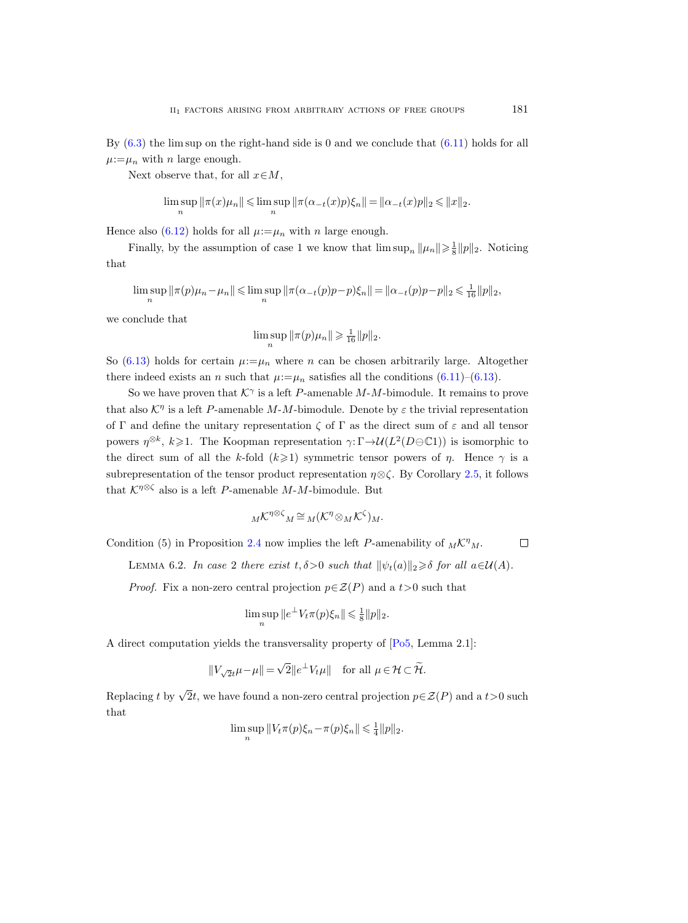By [\(6.3\)](#page-34-1) the lim sup on the right-hand side is 0 and we conclude that [\(6.11\)](#page-39-0) holds for all  $\mu:=\mu_n$  with n large enough.

Next observe that, for all  $x \in M$ ,

$$
\limsup_n \|\pi(x)\mu_n\| \leq \limsup_n \|\pi(\alpha_{-t}(x)p)\xi_n\| = \|\alpha_{-t}(x)p\|_2 \leq \|x\|_2.
$$

Hence also [\(6.12\)](#page-39-2) holds for all  $\mu:=\mu_n$  with n large enough.

Finally, by the assumption of case 1 we know that  $\limsup_n ||\mu_n|| \geq \frac{1}{8} ||p||_2$ . Noticing that

$$
\limsup_n \|\pi(p)\mu_n - \mu_n\| \leq \limsup_n \|\pi(\alpha_{-t}(p)p - p)\xi_n\| = \|\alpha_{-t}(p)p - p\|_2 \leq \frac{1}{16} \|p\|_2,
$$

we conclude that

$$
\limsup_{n} \|\pi(p)\mu_n\| \geq \frac{1}{16} \|p\|_2.
$$

So [\(6.13\)](#page-39-1) holds for certain  $\mu = \mu_n$  where n can be chosen arbitrarily large. Altogether there indeed exists an *n* such that  $\mu := \mu_n$  satisfies all the conditions [\(6.11\)](#page-39-0)–[\(6.13\)](#page-39-1).

So we have proven that  $K^{\gamma}$  is a left P-amenable M-M-bimodule. It remains to prove that also  $K^{\eta}$  is a left P-amenable M-M-bimodule. Denote by  $\varepsilon$  the trivial representation of Γ and define the unitary representation  $\zeta$  of Γ as the direct sum of  $\varepsilon$  and all tensor powers  $\eta^{\otimes k}$ ,  $k \geq 1$ . The Koopman representation  $\gamma: \Gamma \to \mathcal{U}(L^2(D \oplus \mathbb{C}1))$  is isomorphic to the direct sum of all the k-fold  $(k\geq 1)$  symmetric tensor powers of  $\eta$ . Hence  $\gamma$  is a subrepresentation of the tensor product representation  $\eta \otimes \zeta$ . By Corollary [2.5,](#page-15-1) it follows that  $K^{\eta\otimes\zeta}$  also is a left P-amenable M-M-bimodule. But

$$
{}_M{\mathcal K}^{\eta\otimes\zeta}{}_M\cong{}_M({\mathcal K}^\eta\otimes_M{\mathcal K}^\zeta)_{M}.
$$

Condition (5) in Proposition [2.4](#page-13-0) now implies the left P-amenability of  $_M\mathcal{K}^{\eta}{}_M$ .  $\Box$ 

<span id="page-40-0"></span>LEMMA 6.2. In case 2 there exist  $t, \delta > 0$  such that  $\|\psi_t(a)\|_2 \geq \delta$  for all  $a \in \mathcal{U}(A)$ .

*Proof.* Fix a non-zero central projection  $p \in \mathcal{Z}(P)$  and a  $t > 0$  such that

$$
\limsup_n ||e^{\perp} V_t \pi(p) \xi_n || \leq \frac{1}{8} ||p||_2.
$$

A direct computation yields the transversality property of [\[Po5,](#page-56-13) Lemma 2.1]:

$$
||V_{\sqrt{2}t}\mu - \mu|| = \sqrt{2}||e^{\perp}V_t\mu|| \text{ for all } \mu \in \mathcal{H} \subset \widetilde{\mathcal{H}}.
$$

Replacing t by  $\sqrt{2}t$ , we have found a non-zero central projection  $p \in \mathcal{Z}(P)$  and a  $t > 0$  such that

$$
\limsup_n ||V_t \pi(p) \xi_n - \pi(p) \xi_n || \leq \frac{1}{4} ||p||_2.
$$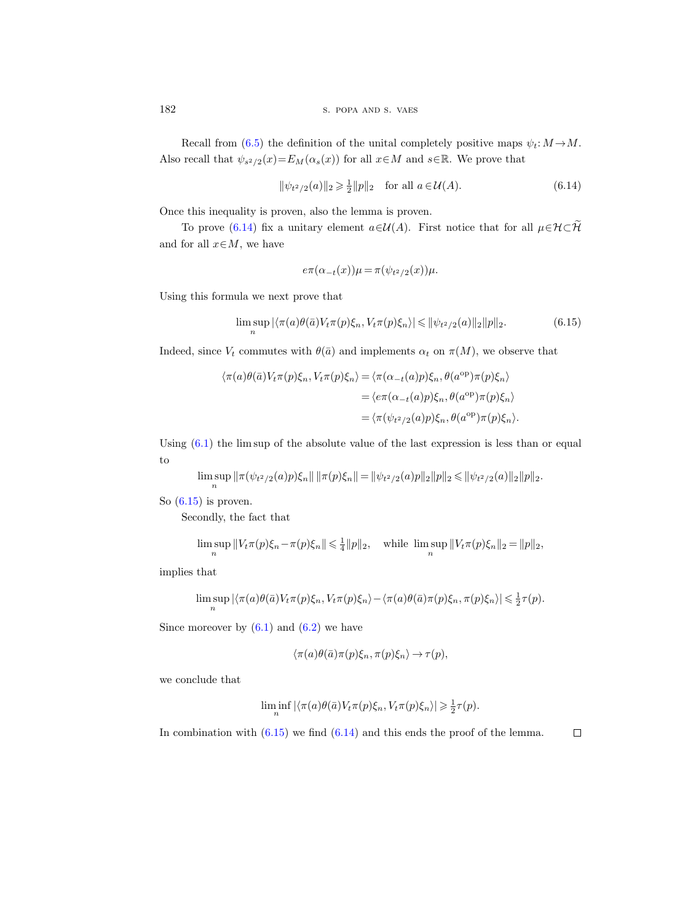Recall from [\(6.5\)](#page-35-0) the definition of the unital completely positive maps  $\psi_t: M \to M$ . Also recall that  $\psi_{s^2/2}(x) = E_M(\alpha_s(x))$  for all  $x \in M$  and  $s \in \mathbb{R}$ . We prove that

<span id="page-41-0"></span>
$$
\|\psi_{t^2/2}(a)\|_2 \ge \frac{1}{2} \|p\|_2 \quad \text{for all } a \in \mathcal{U}(A). \tag{6.14}
$$

Once this inequality is proven, also the lemma is proven.

To prove [\(6.14\)](#page-41-0) fix a unitary element  $a\in\mathcal{U}(A)$ . First notice that for all  $\mu\in\mathcal{H}\subset\widetilde{\mathcal{H}}$ and for all  $x \in M$ , we have

$$
e\pi(\alpha_{-t}(x))\mu = \pi(\psi_{t^2/2}(x))\mu.
$$

Using this formula we next prove that

<span id="page-41-1"></span>
$$
\limsup_{n} |\langle \pi(a)\theta(\bar{a})V_t\pi(p)\xi_n, V_t\pi(p)\xi_n \rangle| \leq \|\psi_{t^2/2}(a)\|_2\|p\|_2.
$$
 (6.15)

Indeed, since  $V_t$  commutes with  $\theta(\bar{a})$  and implements  $\alpha_t$  on  $\pi(M)$ , we observe that

$$
\langle \pi(a)\theta(\bar{a})V_t\pi(p)\xi_n, V_t\pi(p)\xi_n \rangle = \langle \pi(\alpha_{-t}(a)p)\xi_n, \theta(a^{\text{op}})\pi(p)\xi_n \rangle
$$
  

$$
= \langle e\pi(\alpha_{-t}(a)p)\xi_n, \theta(a^{\text{op}})\pi(p)\xi_n \rangle
$$
  

$$
= \langle \pi(\psi_{t^2/2}(a)p)\xi_n, \theta(a^{\text{op}})\pi(p)\xi_n \rangle.
$$

Using  $(6.1)$  the lim sup of the absolute value of the last expression is less than or equal to

$$
\limsup_n \|\pi(\psi_{t^2/2}(a)p)\xi_n\| \|\pi(p)\xi_n\| = \|\psi_{t^2/2}(a)p\|_2 \|p\|_2 \le \|\psi_{t^2/2}(a)\|_2 \|p\|_2.
$$

So  $(6.15)$  is proven.

Secondly, the fact that

$$
\limsup_n ||V_t \pi(p) \xi_n - \pi(p) \xi_n|| \leq \frac{1}{4} ||p||_2, \quad \text{while } \limsup_n ||V_t \pi(p) \xi_n||_2 = ||p||_2,
$$

implies that

$$
\limsup_n |\langle \pi(a)\theta(\bar{a})V_t\pi(p)\xi_n,V_t\pi(p)\xi_n\rangle - \langle \pi(a)\theta(\bar{a})\pi(p)\xi_n,\pi(p)\xi_n\rangle| \leq \frac{1}{2}\tau(p).
$$

Since moreover by  $(6.1)$  and  $(6.2)$  we have

$$
\langle \pi(a)\theta(\bar a)\pi(p)\xi_n, \pi(p)\xi_n\rangle \to \tau(p),
$$

we conclude that

$$
\liminf_n |\langle \pi(a)\theta(\bar a)V_t\pi(p)\xi_n,V_t\pi(p)\xi_n\rangle| \geq \frac{1}{2}\tau(p).
$$

In combination with  $(6.15)$  we find  $(6.14)$  and this ends the proof of the lemma.

 $\Box$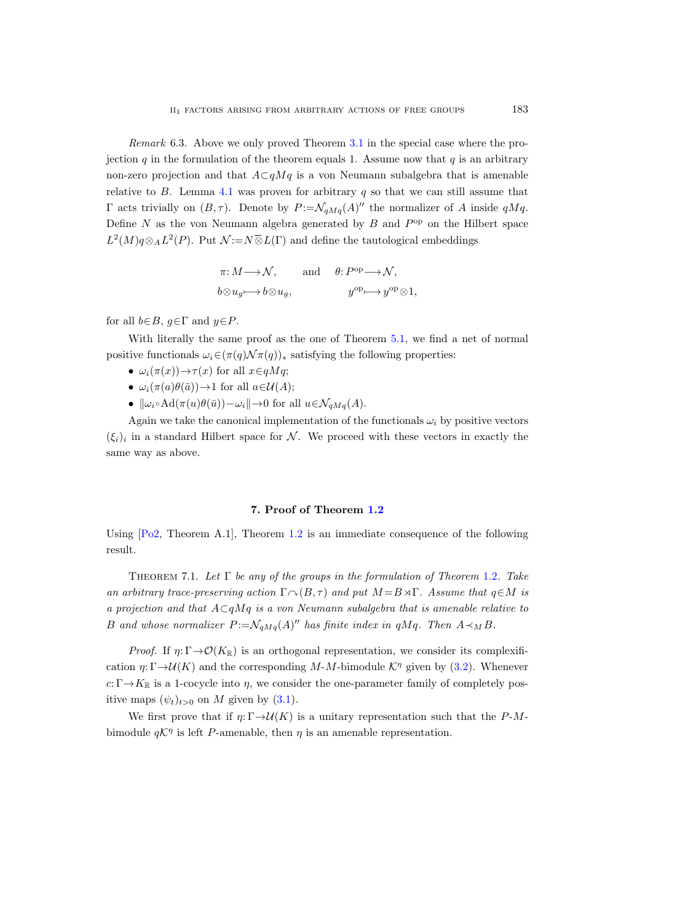<span id="page-42-0"></span>Remark 6.3. Above we only proved Theorem [3.1](#page-22-0) in the special case where the projection q in the formulation of the theorem equals 1. Assume now that  $q$  is an arbitrary non-zero projection and that  $A\subset qMq$  is a von Neumann subalgebra that is amenable relative to  $B$ . Lemma [4.1](#page-22-1) was proven for arbitrary  $q$  so that we can still assume that Γ acts trivially on  $(B, τ)$ . Denote by  $P := \mathcal{N}_{qMq}(A)''$  the normalizer of A inside qMq. Define  $N$  as the von Neumann algebra generated by  $B$  and  $P^{\rm op}$  on the Hilbert space  $L^2(M)q\otimes_A L^2(P)$ . Put  $\mathcal{N}:=N\overline{\otimes}L(\Gamma)$  and define the tautological embeddings

$$
\pi: M \longrightarrow \mathcal{N}, \quad \text{and} \quad \theta: P^{\text{op}} \longrightarrow \mathcal{N},
$$
  

$$
b \otimes u_g \longmapsto b \otimes u_g, \quad y^{\text{op}} \longmapsto y^{\text{op}} \otimes 1,
$$

for all  $b \in B$ ,  $g \in \Gamma$  and  $y \in P$ .

With literally the same proof as the one of Theorem [5.1,](#page-24-0) we find a net of normal positive functionals  $\omega_i \in (\pi(q) \mathcal{N}\pi(q))_*$  satisfying the following properties:

- $\omega_i(\pi(x)) \rightarrow \tau(x)$  for all  $x \in qMq$ ;
- $\omega_i(\pi(a)\theta(\bar{a})) \rightarrow 1$  for all  $a \in \mathcal{U}(A)$ ;
- $\|\omega_i \circ \text{Ad}(\pi(u)\theta(\bar{u})) \omega_i\| \to 0$  for all  $u \in \mathcal{N}_{qMq}(A)$ .

Again we take the canonical implementation of the functionals  $\omega_i$  by positive vectors  $(\xi_i)_i$  in a standard Hilbert space for N. We proceed with these vectors in exactly the same way as above.

#### 7. Proof of Theorem [1.2](#page-3-0)

Using  $[Po2, Theorem A.1]$ , Theorem [1.2](#page-3-0) is an immediate consequence of the following result.

THEOREM 7.1. Let  $\Gamma$  be any of the groups in the formulation of Theorem [1.2](#page-3-0). Take an arbitrary trace-preserving action  $\Gamma \cap (B, \tau)$  and put  $M = B \rtimes \Gamma$ . Assume that  $q \in M$  is a projection and that  $A\subset qMq$  is a von Neumann subalgebra that is amenable relative to B and whose normalizer  $P := \mathcal{N}_{qMq}(A)^{\prime\prime}$  has finite index in qMq. Then  $A \prec_M B$ .

*Proof.* If  $\eta: \Gamma \to \mathcal{O}(K_{\mathbb{R}})$  is an orthogonal representation, we consider its complexification  $\eta: \Gamma \rightarrow \mathcal{U}(K)$  and the corresponding M-M-bimodule  $\mathcal{K}^{\eta}$  given by [\(3.2\)](#page-21-1). Whenever  $c: \Gamma \rightarrow K_{\mathbb{R}}$  is a 1-cocycle into  $\eta$ , we consider the one-parameter family of completely positive maps  $(\psi_t)_{t>0}$  on M given by  $(3.1)$ .

We first prove that if  $\eta: \Gamma \to \mathcal{U}(K)$  is a unitary representation such that the P-Mbimodule  $q\mathcal{K}^{\eta}$  is left P-amenable, then  $\eta$  is an amenable representation.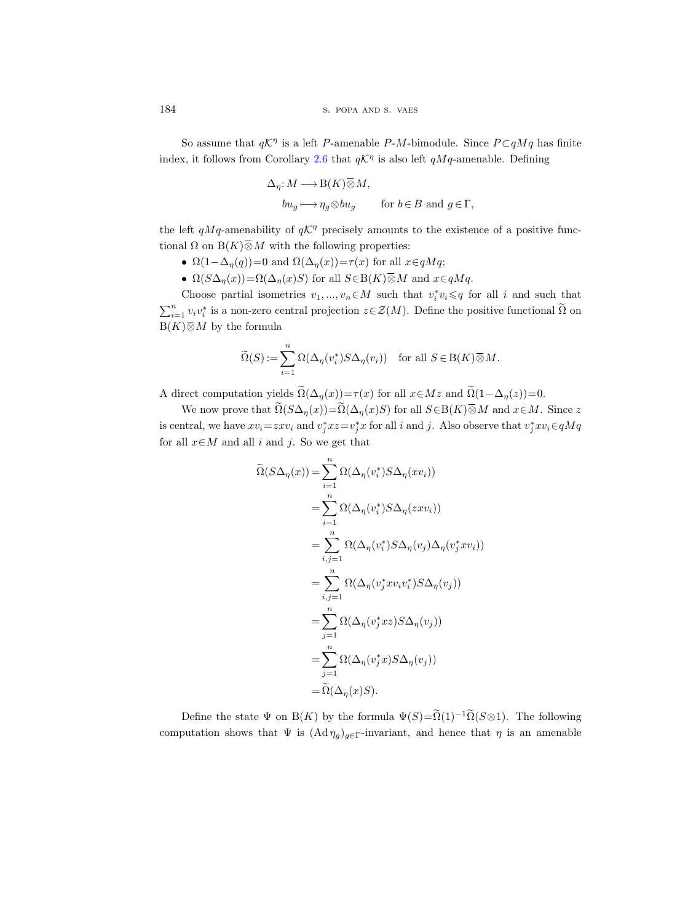So assume that  $q\mathcal{K}^{\eta}$  is a left P-amenable P-M-bimodule. Since  $P \subset qMq$  has finite index, it follows from Corollary [2.6](#page-15-0) that  $q\mathcal{K}^{\eta}$  is also left  $qMq$ -amenable. Defining

$$
\label{eq:2.1} \begin{split} \Delta_{\eta}\!: &M\longrightarrow \mathcal{B}(K)\,\overline{\otimes}\,M,\\ &b u_g\longmapsto \eta_g\!\otimes\! b u_g\qquad \text{ for }b\in B \text{ and }g\in\Gamma, \end{split}
$$

the left  $qMq$ -amenability of  $qK^{\eta}$  precisely amounts to the existence of a positive functional  $\Omega$  on  $B(K)\overline{\otimes}M$  with the following properties:

- $\Omega(1-\Delta_{\eta}(q))=0$  and  $\Omega(\Delta_{\eta}(x))=\tau(x)$  for all  $x \in qMq$ ;
- $\Omega(S\Delta_{\eta}(x)) = \Omega(\Delta_{\eta}(x)S)$  for all  $S \in B(K) \overline{\otimes} M$  and  $x \in qMq$ .

Choose partial isometries  $v_1, ..., v_n \in M$  such that  $v_i^* v_i \leqslant q$  for all i and such that  $\sum_{i=1}^n v_i v_i^*$  is a non-zero central projection  $z \in \mathcal{Z}(M)$ . Define the positive functional  $\tilde{\Omega}$  on  $B(K)\overline{\otimes}M$  by the formula

$$
\widetilde{\Omega}(S) := \sum_{i=1}^{n} \Omega(\Delta_{\eta}(v_i^*) S \Delta_{\eta}(v_i)) \quad \text{for all } S \in B(K) \overline{\otimes} M.
$$

A direct computation yields  $\widetilde{\Omega}(\Delta_{\eta}(x))=\tau(x)$  for all  $x\in Mz$  and  $\widetilde{\Omega}(1-\Delta_{\eta}(z))=0$ .

We now prove that  $\widetilde{\Omega}(S\Delta_{\eta}(x)) = \widetilde{\Omega}(\Delta_{\eta}(x)S)$  for all  $S \in B(K) \overline{\otimes} M$  and  $x \in M$ . Since z is central, we have  $xv_i = zxv_i$  and  $v_j^*xz = v_j^*x$  for all i and j. Also observe that  $v_j^*xv_i \in qMq$ for all  $x \in M$  and all i and j. So we get that

$$
\widetilde{\Omega}(S\Delta_{\eta}(x)) = \sum_{i=1}^{n} \Omega(\Delta_{\eta}(v_{i}^{*})S\Delta_{\eta}(xv_{i}))
$$
\n
$$
= \sum_{i=1}^{n} \Omega(\Delta_{\eta}(v_{i}^{*})S\Delta_{\eta}(zxv_{i}))
$$
\n
$$
= \sum_{i,j=1}^{n} \Omega(\Delta_{\eta}(v_{i}^{*})S\Delta_{\eta}(v_{j})\Delta_{\eta}(v_{j}^{*}xv_{i}))
$$
\n
$$
= \sum_{i,j=1}^{n} \Omega(\Delta_{\eta}(v_{j}^{*}xv_{i}v_{i}^{*})S\Delta_{\eta}(v_{j}))
$$
\n
$$
= \sum_{j=1}^{n} \Omega(\Delta_{\eta}(v_{j}^{*}xz)S\Delta_{\eta}(v_{j}))
$$
\n
$$
= \sum_{j=1}^{n} \Omega(\Delta_{\eta}(v_{j}^{*}x)S\Delta_{\eta}(v_{j}))
$$
\n
$$
= \widetilde{\Omega}(\Delta_{\eta}(xS)).
$$

Define the state  $\Psi$  on B(K) by the formula  $\Psi(S) = \widetilde{\Omega}(1)^{-1} \widetilde{\Omega}(S \otimes 1)$ . The following computation shows that  $\Psi$  is  $(\text{Ad}\,\eta_g)_{g\in\Gamma}$ -invariant, and hence that  $\eta$  is an amenable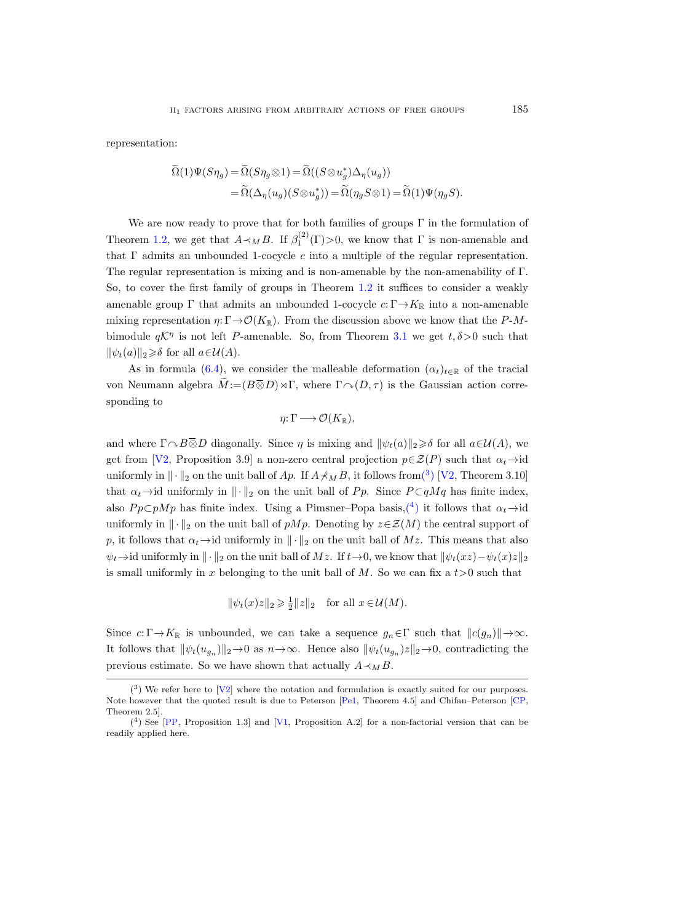representation:

$$
\widetilde{\Omega}(1)\Psi(S\eta_g) = \widetilde{\Omega}(S\eta_g \otimes 1) = \widetilde{\Omega}((S \otimes u_g^*)\Delta_{\eta}(u_g))
$$
  
= 
$$
\widetilde{\Omega}(\Delta_{\eta}(u_g)(S \otimes u_g^*)) = \widetilde{\Omega}(\eta_g S \otimes 1) = \widetilde{\Omega}(1)\Psi(\eta_g S).
$$

We are now ready to prove that for both families of groups  $\Gamma$  in the formulation of Theorem [1.2,](#page-3-0) we get that  $A \prec_M B$ . If  $\beta_1^{(2)}(\Gamma) > 0$ , we know that  $\Gamma$  is non-amenable and that  $\Gamma$  admits an unbounded 1-cocycle  $c$  into a multiple of the regular representation. The regular representation is mixing and is non-amenable by the non-amenability of  $\Gamma$ . So, to cover the first family of groups in Theorem [1.2](#page-3-0) it suffices to consider a weakly amenable group  $\Gamma$  that admits an unbounded 1-cocycle  $c: \Gamma \rightarrow K_{\mathbb{R}}$  into a non-amenable mixing representation  $\eta: \Gamma \to \mathcal{O}(K_{\mathbb{R}})$ . From the discussion above we know that the P-Mbimodule  $q\mathcal{K}^{\eta}$  is not left P-amenable. So, from Theorem [3.1](#page-22-0) we get  $t, \delta > 0$  such that  $\|\psi_t(a)\|_2 \geq \delta$  for all  $a \in \mathcal{U}(A)$ .

As in formula [\(6.4\)](#page-35-1), we consider the malleable deformation  $(\alpha_t)_{t\in\mathbb{R}}$  of the tracial von Neumann algebra  $\widetilde{M} := (B \overline{\otimes} D) \rtimes \Gamma$ , where  $\Gamma \cap (D, \tau)$  is the Gaussian action corresponding to

$$
\eta\colon\Gamma\longrightarrow\mathcal{O}(K_{\mathbb{R}}),
$$

and where  $\Gamma \sim B \overline{\otimes} D$  diagonally. Since  $\eta$  is mixing and  $\|\psi_t(a)\|_2 \geq \delta$  for all  $a \in \mathcal{U}(A)$ , we get from [\[V2,](#page-57-0) Proposition 3.9] a non-zero central projection  $p \in \mathcal{Z}(P)$  such that  $\alpha_t \rightarrow id$ uniformly in  $\|\cdot\|_2$  on the unit ball of Ap. If  $A\not\prec_M B$ , it follows fro[m\(](#page-44-0)<sup>3</sup>) [\[V2,](#page-57-0) Theorem 3.10] that  $\alpha_t \rightarrow$ id uniformly in  $\|\cdot\|_2$  on the unit ball of Pp. Since P ⊂qMq has finite index, also  $Pp\subset pMp$  has finite index. Using a Pimsner–Popa basis,<sup>(4</sup>) it follows that  $\alpha_t \to id$ uniformly in  $\|\cdot\|_2$  on the unit ball of pMp. Denoting by  $z\in\mathcal{Z}(M)$  the central support of p, it follows that  $\alpha_t \rightarrow id$  uniformly in  $\|\cdot\|_2$  on the unit ball of Mz. This means that also  $\psi_t \rightarrow$ id uniformly in  $\|\cdot\|_2$  on the unit ball of Mz. If  $t \rightarrow 0$ , we know that  $\|\psi_t(xz)-\psi_t(x)z\|_2$ is small uniformly in x belonging to the unit ball of  $M$ . So we can fix a  $t>0$  such that

$$
\|\psi_t(x)z\|_2 \geq \frac{1}{2}||z||_2 \quad \text{for all } x \in \mathcal{U}(M).
$$

Since  $c: \Gamma \to K_{\mathbb{R}}$  is unbounded, we can take a sequence  $g_n \in \Gamma$  such that  $||c(g_n)|| \to \infty$ . It follows that  $\|\psi_t(u_{g_n})\|_2 \to 0$  as  $n \to \infty$ . Hence also  $\|\psi_t(u_{g_n})z\|_2 \to 0$ , contradicting the previous estimate. So we have shown that actually  $A \prec_M B$ .

<span id="page-44-0"></span> $(3)$  We refer here to [\[V2\]](#page-57-0) where the notation and formulation is exactly suited for our purposes. Note however that the quoted result is due to Peterson [\[Pe1,](#page-56-17) Theorem 4.5] and Chifan–Peterson [\[CP,](#page-55-7) Theorem 2.5].

<span id="page-44-1"></span> $({}^{4})$  See [\[PP,](#page-56-18) Proposition 1.3] and [\[V1,](#page-57-5) Proposition A.2] for a non-factorial version that can be readily applied here.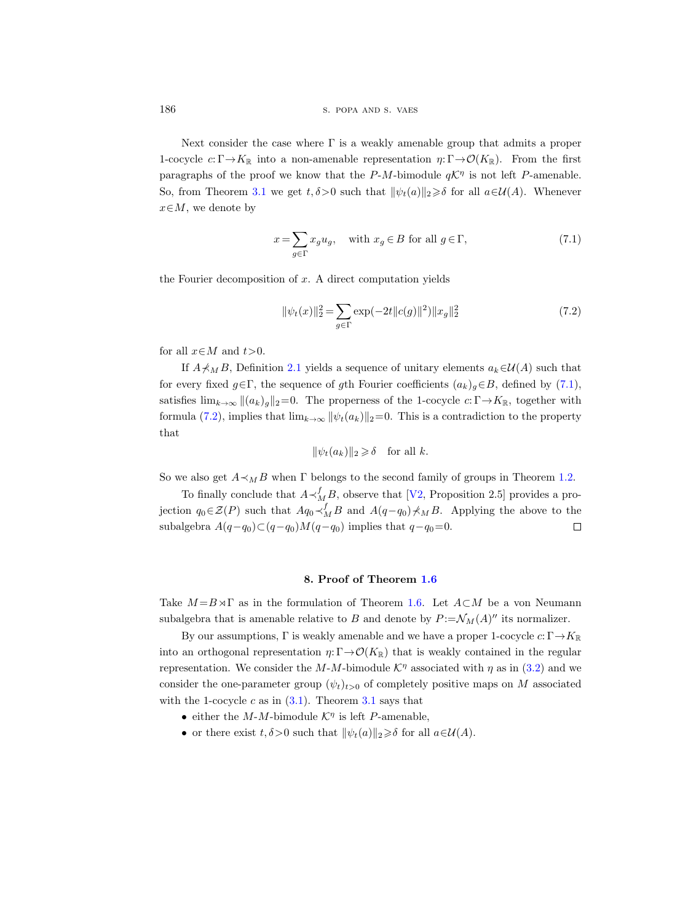186 S. POPA AND S. VAES

Next consider the case where  $\Gamma$  is a weakly amenable group that admits a proper 1-cocycle  $c: \Gamma \to K_{\mathbb{R}}$  into a non-amenable representation  $\eta: \Gamma \to \mathcal{O}(K_{\mathbb{R}})$ . From the first paragraphs of the proof we know that the  $P-M$ -bimodule  $q\mathcal{K}^{\eta}$  is not left P-amenable. So, from Theorem [3.1](#page-22-0) we get  $t, \delta > 0$  such that  $\|\psi_t(a)\|_2 \geq \delta$  for all  $a \in \mathcal{U}(A)$ . Whenever  $x \in M$ , we denote by

<span id="page-45-0"></span>
$$
x = \sum_{g \in \Gamma} x_g u_g, \quad \text{with } x_g \in B \text{ for all } g \in \Gamma,
$$
\n
$$
(7.1)
$$

the Fourier decomposition of  $x$ . A direct computation yields

<span id="page-45-1"></span>
$$
\|\psi_t(x)\|_2^2 = \sum_{g \in \Gamma} \exp(-2t \|c(g)\|^2) \|x_g\|_2^2 \tag{7.2}
$$

for all  $x \in M$  and  $t > 0$ .

If  $A\not\prec_M B$ , Definition [2.1](#page-9-0) yields a sequence of unitary elements  $a_k\in\mathcal{U}(A)$  such that for every fixed  $g \in \Gamma$ , the sequence of gth Fourier coefficients  $(a_k)_{g} \in B$ , defined by [\(7.1\)](#page-45-0), satisfies  $\lim_{k\to\infty} ||(a_k)_q||_2=0$ . The properness of the 1-cocycle  $c:\Gamma\to K_{\mathbb{R}}$ , together with formula [\(7.2\)](#page-45-1), implies that  $\lim_{k\to\infty} ||\psi_t(a_k)||_2=0$ . This is a contradiction to the property that

$$
\|\psi_t(a_k)\|_2 \geq \delta \quad \text{for all } k.
$$

So we also get  $A \prec_M B$  when Γ belongs to the second family of groups in Theorem [1.2.](#page-3-0)

To finally conclude that  $A \prec_M^f B$ , observe that [\[V2,](#page-57-0) Proposition 2.5] provides a projection  $q_0 \in \mathcal{Z}(P)$  such that  $Aq_0 \prec_M^f B$  and  $A(q-q_0) \not\prec_M B$ . Applying the above to the subalgebra  $A(q-q_0)C(q-q_0)M(q-q_0)$  implies that  $q-q_0=0$ .  $\Box$ 

#### 8. Proof of Theorem [1.6](#page-5-0)

Take  $M = B \rtimes \Gamma$  as in the formulation of Theorem [1.6.](#page-5-0) Let  $A \subset M$  be a von Neumann subalgebra that is amenable relative to B and denote by  $P = \mathcal{N}_M(A)''$  its normalizer.

By our assumptions,  $\Gamma$  is weakly amenable and we have a proper 1-cocycle  $c: \Gamma \to K_{\mathbb{R}}$ into an orthogonal representation  $\eta: \Gamma \to \mathcal{O}(K_{\mathbb{R}})$  that is weakly contained in the regular representation. We consider the  $M-M$ -bimodule  $\mathcal{K}^{\eta}$  associated with  $\eta$  as in [\(3.2\)](#page-21-1) and we consider the one-parameter group  $(\psi_t)_{t>0}$  of completely positive maps on M associated with the 1-cocycle c as in  $(3.1)$  $(3.1)$  $(3.1)$ . Theorem 3.1 says that

- either the  $M-M$ -bimodule  $K^{\eta}$  is left P-amenable,
- or there exist  $t, \delta > 0$  such that  $\|\psi_t(a)\|_2 \geq \delta$  for all  $a \in \mathcal{U}(A)$ .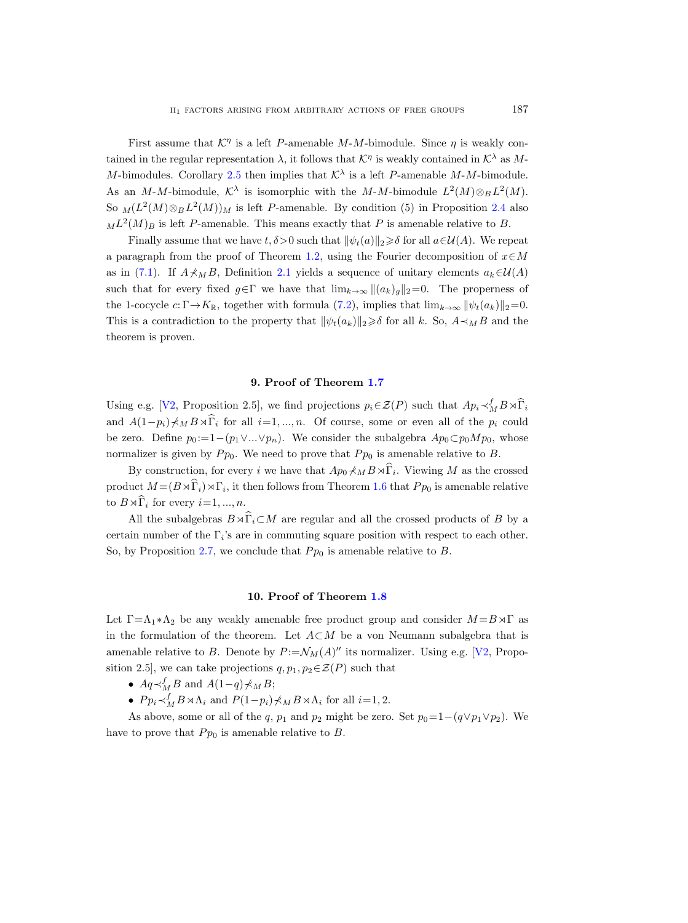First assume that  $\mathcal{K}^{\eta}$  is a left P-amenable M-M-bimodule. Since  $\eta$  is weakly contained in the regular representation  $\lambda$ , it follows that  $\mathcal{K}^{\eta}$  is weakly contained in  $\mathcal{K}^{\lambda}$  as M-M-bimodules. Corollary [2.5](#page-15-1) then implies that  $K^{\lambda}$  is a left P-amenable M-M-bimodule. As an M-M-bimodule,  $\mathcal{K}^{\lambda}$  is isomorphic with the M-M-bimodule  $L^2(M) \otimes_B L^2(M)$ . So  $_M(L^2(M) \otimes_B L^2(M))_M$  is left P-amenable. By condition (5) in Proposition [2.4](#page-13-0) also  $_{M}L^{2}(M)_{B}$  is left P-amenable. This means exactly that P is amenable relative to B.

Finally assume that we have  $t, \delta > 0$  such that  $\|\psi_t(a)\|_2 \geq \delta$  for all  $a \in \mathcal{U}(A)$ . We repeat a paragraph from the proof of Theorem [1.2,](#page-3-0) using the Fourier decomposition of  $x \in M$ as in [\(7.1\)](#page-45-0). If  $A \nless \nparallel_B B$ , Definition [2.1](#page-9-0) yields a sequence of unitary elements  $a_k \in \mathcal{U}(A)$ such that for every fixed  $g \in \Gamma$  we have that  $\lim_{k \to \infty} ||(a_k)g||_2=0$ . The properness of the 1-cocycle  $c: \Gamma \rightarrow K_{\mathbb{R}}$ , together with formula [\(7.2\)](#page-45-1), implies that  $\lim_{k\to\infty} ||\psi_t(a_k)||_2=0$ . This is a contradiction to the property that  $\|\psi_t(a_k)\|_2 \geq \delta$  for all k. So,  $A \prec_M B$  and the theorem is proven.

## 9. Proof of Theorem [1.7](#page-5-1)

Using e.g. [\[V2,](#page-57-0) Proposition 2.5], we find projections  $p_i \in \mathcal{Z}(P)$  such that  $Ap_i \prec_M^f B \rtimes \widehat{\Gamma}_i$ and  $A(1-p_i)\nless M B\rtimes\hat{\Gamma}_i$  for all  $i=1,\dots,n$ . Of course, some or even all of the  $p_i$  could be zero. Define  $p_0 := 1-(p_1 \vee ... \vee p_n)$ . We consider the subalgebra  $Ap_0 \subset p_0Mp_0$ , whose normalizer is given by  $P p_0$ . We need to prove that  $P p_0$  is amenable relative to B.

By construction, for every i we have that  $Ap_0 \nless_M B \rtimes \widehat{\Gamma}_i$ . Viewing M as the crossed product  $M = (B \rtimes \widehat{\Gamma}_i) \rtimes \Gamma_i$ , it then follows from Theorem [1.6](#page-5-0) that  $P p_0$  is amenable relative to  $B \rtimes \widehat{\Gamma}_i$  for every  $i=1, ..., n$ .

All the subalgebras  $B \rtimes \widehat{\Gamma}_i \subset M$  are regular and all the crossed products of B by a certain number of the  $\Gamma_i$ 's are in commuting square position with respect to each other. So, by Proposition [2.7,](#page-16-3) we conclude that  $P p_0$  is amenable relative to B.

## 10. Proof of Theorem [1.8](#page-6-0)

Let  $\Gamma = \Lambda_1 * \Lambda_2$  be any weakly amenable free product group and consider  $M = B \rtimes \Gamma$  as in the formulation of the theorem. Let  $A\subset M$  be a von Neumann subalgebra that is amenable relative to B. Denote by  $P := \mathcal{N}_M(A)''$  its normalizer. Using e.g. [\[V2,](#page-57-0) Proposition 2.5], we can take projections  $q, p_1, p_2 \in \mathcal{Z}(P)$  such that

- $Aq \prec_M^f B$  and  $A(1-q) \nless_M B;$
- $P p_i \prec_M^f B \rtimes \Lambda_i$  and  $P(1-p_i) \nless_M B \rtimes \Lambda_i$  for all  $i=1,2$ .

As above, some or all of the q,  $p_1$  and  $p_2$  might be zero. Set  $p_0=1-(q\vee p_1\vee p_2)$ . We have to prove that  $P p_0$  is amenable relative to  $B$ .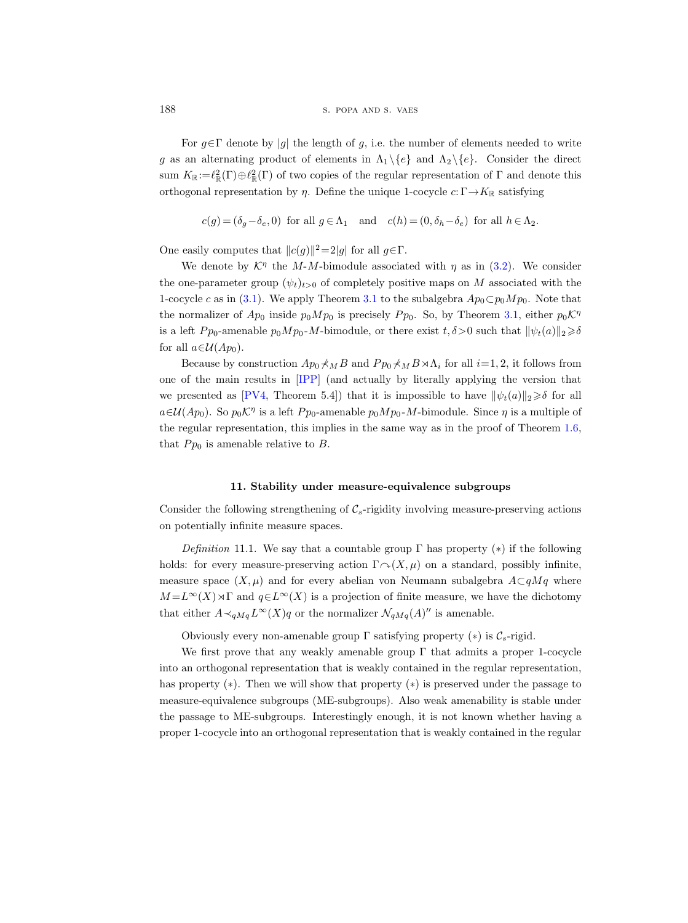188 s. popa and s. vaes

For  $g \in \Gamma$  denote by |g| the length of g, i.e. the number of elements needed to write g as an alternating product of elements in  $\Lambda_1 \setminus \{e\}$  and  $\Lambda_2 \setminus \{e\}$ . Consider the direct sum  $K_{\mathbb{R}}:=\ell_{\mathbb{R}}^2(\Gamma)\oplus\ell_{\mathbb{R}}^2(\Gamma)$  of two copies of the regular representation of  $\Gamma$  and denote this orthogonal representation by  $\eta$ . Define the unique 1-cocycle  $c: \Gamma \rightarrow K_{\mathbb{R}}$  satisfying

$$
c(g)=(\delta_g-\delta_e,0)\;\;\text{for all}\;g\in\Lambda_1\quad\text{and}\quad c(h)=(0,\delta_h-\delta_e)\;\;\text{for all}\;h\in\Lambda_2.
$$

One easily computes that  $||c(g)||^2 = 2|g|$  for all  $g \in \Gamma$ .

We denote by  $\mathcal{K}^{\eta}$  the M-M-bimodule associated with  $\eta$  as in [\(3.2\)](#page-21-1). We consider the one-parameter group  $(\psi_t)_{t>0}$  of completely positive maps on M associated with the 1-cocycle c as in [\(3.1\)](#page-21-2). We apply Theorem [3.1](#page-22-0) to the subalgebra  $Ap_0 \subset p_0Mp_0$ . Note that the normalizer of  $Ap_0$  inside  $p_0Mp_0$  is precisely  $P p_0$ . So, by Theorem [3.1,](#page-22-0) either  $p_0\mathcal{K}^{\eta}$ is a left  $P_{p_0}$ -amenable  $p_0Mp_0$ -M-bimodule, or there exist  $t, \delta > 0$  such that  $\|\psi_t(a)\|_2 \geq \delta$ for all  $a \in \mathcal{U}(Ap_0)$ .

Because by construction  $Ap_0 \nless_M B$  and  $P p_0 \nless_M B \rtimes \Lambda_i$  for all  $i=1, 2$ , it follows from one of the main results in [\[IPP\]](#page-56-19) (and actually by literally applying the version that we presented as [\[PV4,](#page-56-3) Theorem 5.4]) that it is impossible to have  $\|\psi_t(a)\|_2 \geq \delta$  for all  $a\in\mathcal{U}(Ap_0)$ . So  $p_0\mathcal{K}^\eta$  is a left  $Pp_0$ -amenable  $p_0Mp_0$ -*M*-bimodule. Since  $\eta$  is a multiple of the regular representation, this implies in the same way as in the proof of Theorem [1.6,](#page-5-0) that  $P p_0$  is amenable relative to B.

### 11. Stability under measure-equivalence subgroups

Consider the following strengthening of  $\mathcal{C}_s$ -rigidity involving measure-preserving actions on potentially infinite measure spaces.

<span id="page-47-0"></span>Definition 11.1. We say that a countable group  $\Gamma$  has property (\*) if the following holds: for every measure-preserving action  $\Gamma \cap (X, \mu)$  on a standard, possibly infinite, measure space  $(X, \mu)$  and for every abelian von Neumann subalgebra  $A\subset qMq$  where  $M = L^{\infty}(X) \rtimes \Gamma$  and  $q \in L^{\infty}(X)$  is a projection of finite measure, we have the dichotomy that either  $A \prec_{qMq} L^{\infty}(X)q$  or the normalizer  $\mathcal{N}_{qMq}(A)$ " is amenable.

Obviously every non-amenable group  $\Gamma$  satisfying property  $(*)$  is  $\mathcal{C}_s$ -rigid.

We first prove that any weakly amenable group  $\Gamma$  that admits a proper 1-cocycle into an orthogonal representation that is weakly contained in the regular representation, has property (∗). Then we will show that property (∗) is preserved under the passage to measure-equivalence subgroups (ME-subgroups). Also weak amenability is stable under the passage to ME-subgroups. Interestingly enough, it is not known whether having a proper 1-cocycle into an orthogonal representation that is weakly contained in the regular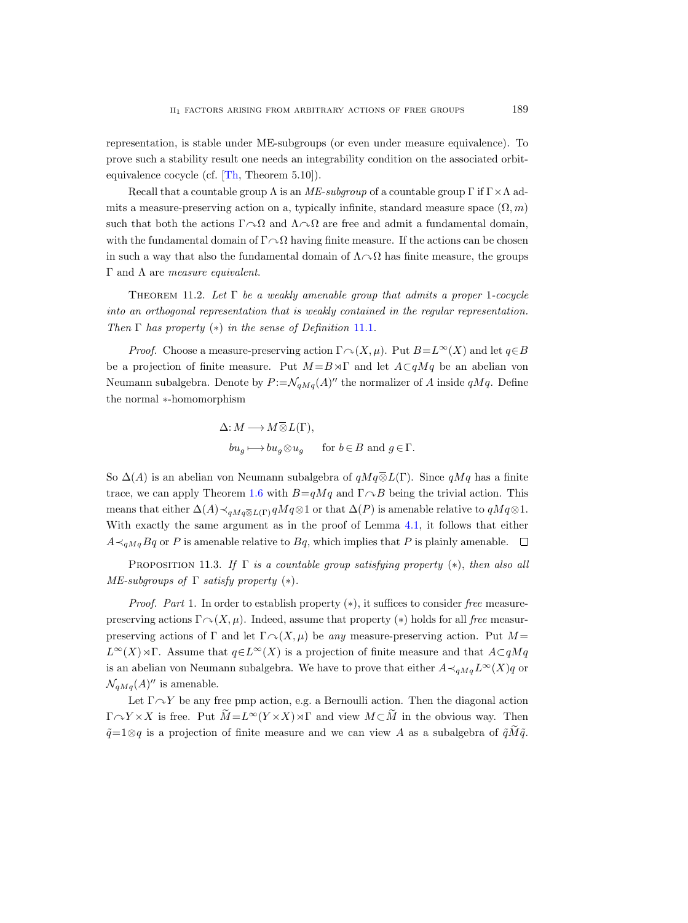representation, is stable under ME-subgroups (or even under measure equivalence). To prove such a stability result one needs an integrability condition on the associated orbitequivalence cocycle (cf. [\[Th,](#page-57-6) Theorem 5.10]).

Recall that a countable group  $\Lambda$  is an ME-subgroup of a countable group  $\Gamma$  if  $\Gamma \times \Lambda$  admits a measure-preserving action on a, typically infinite, standard measure space  $(\Omega, m)$ such that both the actions  $\Gamma \cap \Omega$  and  $\Lambda \cap \Omega$  are free and admit a fundamental domain, with the fundamental domain of  $\Gamma \cap \Omega$  having finite measure. If the actions can be chosen in such a way that also the fundamental domain of  $\Lambda \cap \Omega$  has finite measure, the groups Γ and  $Λ$  are *measure equivalent*.

THEOREM 11.2. Let  $\Gamma$  be a weakly amenable group that admits a proper 1-cocycle into an orthogonal representation that is weakly contained in the regular representation. Then  $\Gamma$  has property  $(*)$  in the sense of Definition [11.1](#page-47-0).

*Proof.* Choose a measure-preserving action  $\Gamma \cap (X, \mu)$ . Put  $B=L^{\infty}(X)$  and let  $q \in B$ be a projection of finite measure. Put  $M = B \rtimes \Gamma$  and let  $A \subset qMq$  be an abelian von Neumann subalgebra. Denote by  $P = \mathcal{N}_{qMq}(A)^{\prime\prime}$  the normalizer of A inside  $qMq$ . Define the normal ∗-homomorphism

$$
\Delta: M \longrightarrow M \overline{\otimes} L(\Gamma),
$$
  

$$
bu_g \longmapsto bu_g \otimes u_g \quad \text{for } b \in B \text{ and } g \in \Gamma.
$$

So  $\Delta(A)$  is an abelian von Neumann subalgebra of  $qMq\overline{\otimes}L(\Gamma)$ . Since  $qMq$  has a finite trace, we can apply Theorem [1.6](#page-5-0) with  $B=qMq$  and  $\Gamma\curvearrowright B$  being the trivial action. This  $\Delta: M -$ <br>  $bu_g$  ⊢<br>
So  $\Delta(A)$  is an abelian von Net<br>
trace, we can apply Theorem 1<br>
means that either  $\Delta(A) \prec_{qM q \overline{Q}}$ means that either  $\Delta(A) \prec_{aMq\overline{\otimes} L(\Gamma)} qMq\otimes 1$  or that  $\Delta(P)$  is amenable relative to  $qMq\otimes 1$ . With exactly the same argument as in the proof of Lemma [4.1,](#page-22-1) it follows that either  $A \prec_{qMq} Bq$  or P is amenable relative to  $Bq$ , which implies that P is plainly amenable.  $\Box$ 

PROPOSITION 11.3. If  $\Gamma$  is a countable group satisfying property (\*), then also all ME-subgroups of  $\Gamma$  satisfy property  $(*)$ .

*Proof.* Part 1. In order to establish property  $(*)$ , it suffices to consider free measurepreserving actions  $\Gamma \cap (X, \mu)$ . Indeed, assume that property (\*) holds for all free measurpreserving actions of Γ and let  $\Gamma \cap (X, \mu)$  be any measure-preserving action. Put M =  $L^{\infty}(X) \rtimes \Gamma$ . Assume that  $q \in L^{\infty}(X)$  is a projection of finite measure and that  $A \subset qMq$ is an abelian von Neumann subalgebra. We have to prove that either  $A \prec_{qMq} L^{\infty}(X)q$  or  $\mathcal{N}_{qMq}(A)$ " is amenable.

Let  $\Gamma \curvearrowright Y$  be any free pmp action, e.g. a Bernoulli action. Then the diagonal action  $\Gamma \curvearrowright Y \times X$  is free. Put  $\tilde{M} = L^{\infty}(Y \times X) \rtimes \Gamma$  and view  $M \subset \tilde{M}$  in the obvious way. Then  $\tilde{q}$ =1⊗q is a projection of finite measure and we can view A as a subalgebra of  $\tilde{q}M\tilde{q}$ .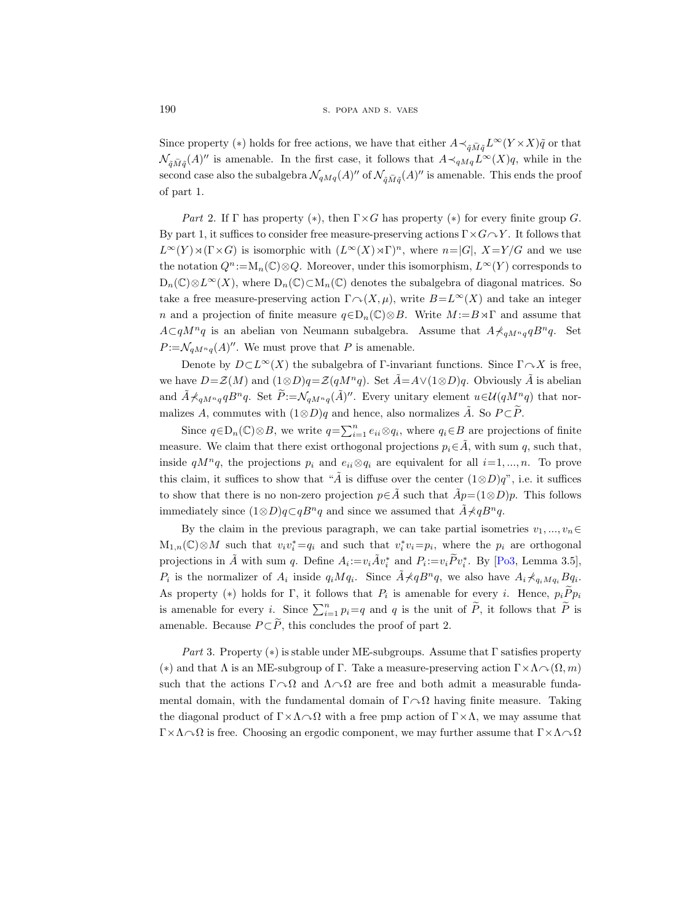Since property (∗) holds for free actions, we have that either  $A \prec_{\tilde{q} \tilde{M}\tilde{q}} L^{\infty}(Y \times X)\tilde{q}$  or that  $\mathcal{N}_{\tilde{q}\tilde{M}\tilde{q}}(A)''$  is amenable. In the first case, it follows that  $A \prec_{qMq} L^{\infty}(X)q$ , while in the second case also the subalgebra  $\mathcal{N}_{qMq}(A)''$  of  $\mathcal{N}_{\tilde{q}\tilde{M}\tilde{q}}(A)''$  is amenable. This ends the proof of part 1.

Part 2. If  $\Gamma$  has property (\*), then  $\Gamma \times G$  has property (\*) for every finite group G. By part 1, it suffices to consider free measure-preserving actions  $\Gamma \times G \cap Y$ . It follows that  $L^{\infty}(Y) \rtimes (\Gamma \times G)$  is isomorphic with  $(L^{\infty}(X) \rtimes \Gamma)^n$ , where  $n=|G|$ ,  $X=Y/G$  and we use the notation  $Q^n$ :=M<sub>n</sub>(C)⊗Q. Moreover, under this isomorphism,  $L^{\infty}(Y)$  corresponds to  $D_n(\mathbb{C})\otimes L^{\infty}(X)$ , where  $D_n(\mathbb{C})\subset M_n(\mathbb{C})$  denotes the subalgebra of diagonal matrices. So take a free measure-preserving action  $\Gamma \cap (X, \mu)$ , write  $B=L^{\infty}(X)$  and take an integer n and a projection of finite measure  $q \in D_n(\mathbb{C}) \otimes B$ . Write  $M := B \rtimes \Gamma$  and assume that  $A\subset qM^nq$  is an abelian von Neumann subalgebra. Assume that  $A\star_{qM^nq}B^nq$ . Set  $P:=\mathcal{N}_{qM^nq}(A)^{\prime\prime}$ . We must prove that P is amenable.

Denote by  $D\subset L^{\infty}(X)$  the subalgebra of Γ-invariant functions. Since  $\Gamma\curvearrowright X$  is free, we have  $D=\mathcal{Z}(M)$  and  $(1\otimes D)q=\mathcal{Z}(qM^nq)$ . Set  $\tilde{A}=\tilde{A}\vee(1\otimes D)q$ . Obviously  $\tilde{A}$  is abelian and  $\tilde{A} \nprec_{qM^nq} qB^nq$ . Set  $\tilde{P} := \mathcal{N}_{qM^nq}(\tilde{A})^{\prime\prime}$ . Every unitary element  $u \in \mathcal{U}(qM^nq)$  that normalizes A, commutes with  $(1 \otimes D)q$  and hence, also normalizes  $\tilde{A}$ . So  $P \subset \tilde{P}$ .

Since  $q \in D_n(\mathbb{C}) \otimes B$ , we write  $q = \sum_{i=1}^n e_{ii} \otimes q_i$ , where  $q_i \in B$  are projections of finite measure. We claim that there exist orthogonal projections  $p_i \in \tilde{A}$ , with sum q, such that, inside  $qM^nq$ , the projections  $p_i$  and  $e_{ii}\otimes q_i$  are equivalent for all  $i=1,\dots,n$ . To prove this claim, it suffices to show that " $\tilde{A}$  is diffuse over the center  $(1\otimes D)q$ ", i.e. it suffices to show that there is no non-zero projection  $p \in \hat{A}$  such that  $\hat{A}p = (1 \otimes D)p$ . This follows immediately since  $(1\otimes D)q\subset qB^nq$  and since we assumed that  $A\prec qB^nq$ .

By the claim in the previous paragraph, we can take partial isometries  $v_1, ..., v_n \in$  $M_{1,n}(\mathbb{C}) \otimes M$  such that  $v_i v_i^* = q_i$  and such that  $v_i^* v_i = p_i$ , where the  $p_i$  are orthogonal projections in  $\tilde{A}$  with sum q. Define  $A_i := v_i \tilde{A} v_i^*$  and  $P_i := v_i \tilde{P} v_i^*$ . By [\[Po3,](#page-56-14) Lemma 3.5],  $P_i$  is the normalizer of  $A_i$  inside  $q_i M q_i$ . Since  $\tilde{A} \nless q_0 B^n q$ , we also have  $A_i \nless q_i M q_i B q_i$ . As property (\*) holds for Γ, it follows that  $P_i$  is amenable for every *i*. Hence,  $p_i P p_i$ is amenable for every i. Since  $\sum_{i=1}^n p_i = q$  and q is the unit of  $\tilde{P}$ , it follows that  $\tilde{P}$  is amenable. Because  $P \subset \widetilde{P}$ , this concludes the proof of part 2.

Part 3. Property (\*) is stable under ME-subgroups. Assume that  $\Gamma$  satisfies property (\*) and that  $\Lambda$  is an ME-subgroup of Γ. Take a measure-preserving action  $\Gamma \times \Lambda \cap (\Omega, m)$ such that the actions  $\Gamma \cap \Omega$  and  $\Lambda \cap \Omega$  are free and both admit a measurable fundamental domain, with the fundamental domain of  $\Gamma \cap \Omega$  having finite measure. Taking the diagonal product of  $\Gamma \times \Lambda \cap \Omega$  with a free pmp action of  $\Gamma \times \Lambda$ , we may assume that  $\Gamma \times \Lambda \cap \Omega$  is free. Choosing an ergodic component, we may further assume that  $\Gamma \times \Lambda \cap \Omega$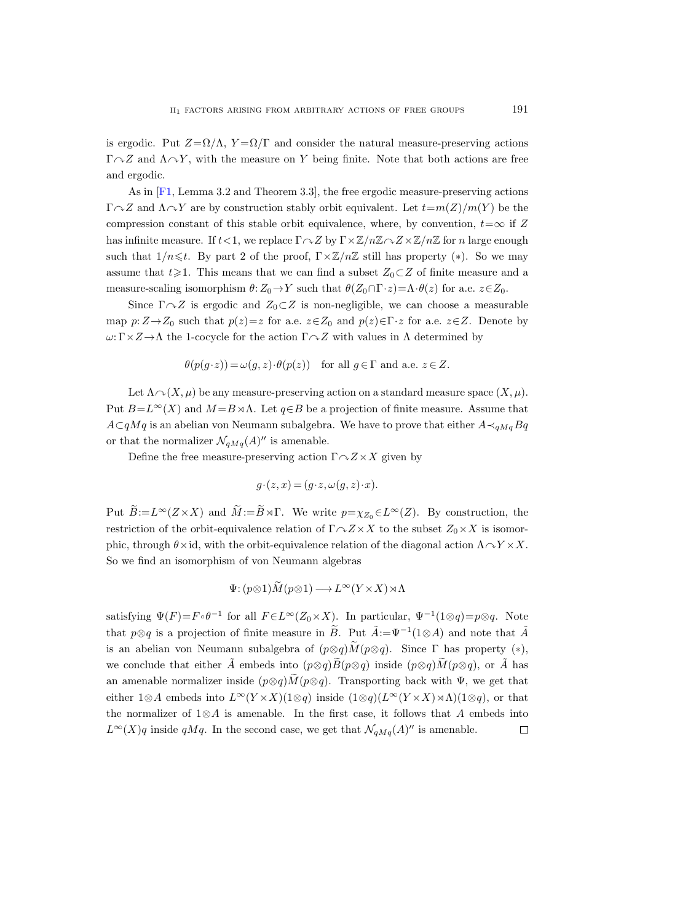is ergodic. Put  $Z = \Omega/\Lambda$ ,  $Y = \Omega/\Gamma$  and consider the natural measure-preserving actions  $\Gamma \cap Z$  and  $\Lambda \cap Y$ , with the measure on Y being finite. Note that both actions are free and ergodic.

As in [\[F1,](#page-55-17) Lemma 3.2 and Theorem 3.3], the free ergodic measure-preserving actions  $\Gamma \cap Z$  and  $\Lambda \cap Y$  are by construction stably orbit equivalent. Let  $t=m(Z)/m(Y)$  be the compression constant of this stable orbit equivalence, where, by convention,  $t=\infty$  if Z has infinite measure. If  $t < 1$ , we replace  $\Gamma \sim Z$  by  $\Gamma \times \mathbb{Z}/n\mathbb{Z} \sim Z \times \mathbb{Z}/n\mathbb{Z}$  for n large enough such that  $1/n \leq t$ . By part 2 of the proof,  $\Gamma \times \mathbb{Z}/n\mathbb{Z}$  still has property (\*). So we may assume that  $t\geqslant1$ . This means that we can find a subset  $Z_0\subset Z$  of finite measure and a measure-scaling isomorphism  $\theta: Z_0 \to Y$  such that  $\theta(Z_0 \cap \Gamma \cdot z) = \Lambda \cdot \theta(z)$  for a.e.  $z \in Z_0$ .

Since  $\Gamma \cap Z$  is ergodic and  $Z_0 \subset Z$  is non-negligible, we can choose a measurable map  $p:Z\rightarrow Z_0$  such that  $p(z)=z$  for a.e.  $z\in Z_0$  and  $p(z)\in\Gamma\cdot z$  for a.e.  $z\in Z$ . Denote by  $\omega: \Gamma \times Z \to \Lambda$  the 1-cocycle for the action  $\Gamma \sim Z$  with values in  $\Lambda$  determined by

$$
\theta(p(g \cdot z)) = \omega(g, z) \cdot \theta(p(z)) \quad \text{for all } g \in \Gamma \text{ and a.e. } z \in Z.
$$

Let  $\Lambda \cap (X, \mu)$  be any measure-preserving action on a standard measure space  $(X, \mu)$ . Put  $B=L^{\infty}(X)$  and  $M=B\rtimes\Lambda$ . Let  $q\in B$  be a projection of finite measure. Assume that  $A\subset qMq$  is an abelian von Neumann subalgebra. We have to prove that either  $A\prec_{qMq}Bq$ or that the normalizer  $\mathcal{N}_{qMq}(A)$ " is amenable.

Define the free measure-preserving action  $\Gamma \cap Z \times X$  given by

$$
g \cdot (z, x) = (g \cdot z, \omega(g, z) \cdot x).
$$

Put  $\widetilde{B}:=L^{\infty}(Z\times X)$  and  $\widetilde{M}:=\widetilde{B}\rtimes\Gamma$ . We write  $p=\chi_{Z_0}\in L^{\infty}(Z)$ . By construction, the restriction of the orbit-equivalence relation of  $\Gamma \cap Z \times X$  to the subset  $Z_0 \times X$  is isomorphic, through  $\theta \times id$ , with the orbit-equivalence relation of the diagonal action  $\Lambda \cap Y \times X$ . So we find an isomorphism of von Neumann algebras

$$
\Psi: (p \otimes 1) \widetilde{M}(p \otimes 1) \longrightarrow L^{\infty}(Y \times X) \rtimes \Lambda
$$

satisfying  $\Psi(F) = F \circ \theta^{-1}$  for all  $F \in L^{\infty}(Z_0 \times X)$ . In particular,  $\Psi^{-1}(1 \otimes q) = p \otimes q$ . Note that  $p \otimes q$  is a projection of finite measure in  $\widetilde{B}$ . Put  $\widetilde{A} := \Psi^{-1}(1 \otimes A)$  and note that  $\widetilde{A}$ is an abelian von Neumann subalgebra of  $(p \otimes q) \widetilde{M}(p \otimes q)$ . Since  $\Gamma$  has property  $(*)$ , we conclude that either  $\tilde{A}$  embeds into  $(p \otimes q) \tilde{B}(p \otimes q)$  inside  $(p \otimes q) \tilde{M}(p \otimes q)$ , or  $\tilde{A}$  has an amenable normalizer inside  $(p \otimes q) \tilde{M}(p \otimes q)$ . Transporting back with  $\Psi$ , we get that either 1⊗A embeds into  $L^{\infty}(Y \times X)(1\otimes q)$  inside  $(1\otimes q)(L^{\infty}(Y \times X) \rtimes \Lambda)(1\otimes q)$ , or that the normalizer of  $1\otimes A$  is amenable. In the first case, it follows that A embeds into  $L^{\infty}(X)$ q inside qMq. In the second case, we get that  $\mathcal{N}_{qMq}(A)$ " is amenable.  $\Box$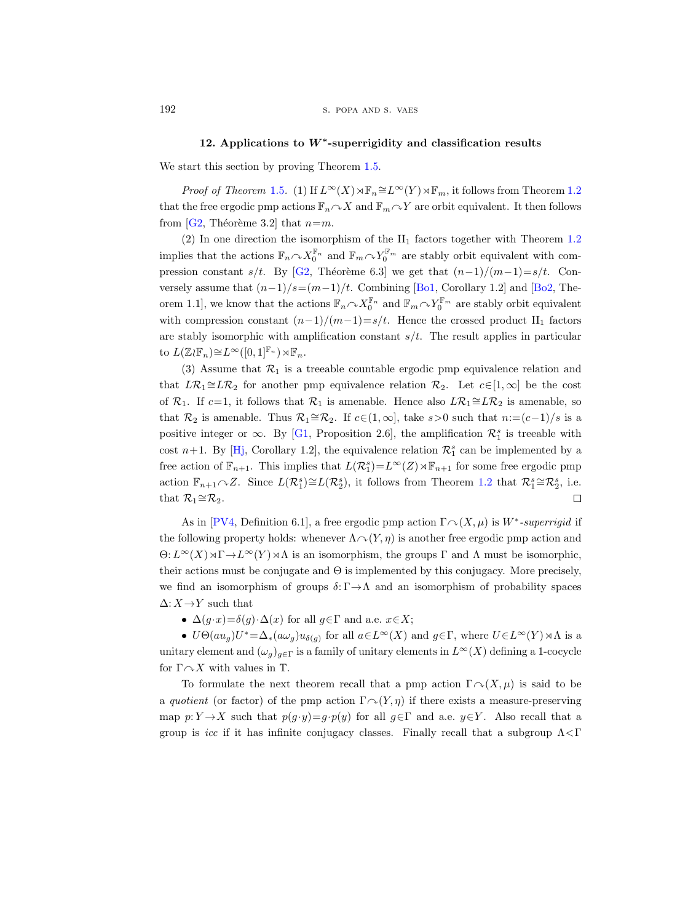# 12. Applications to W<sup>∗</sup> -superrigidity and classification results

<span id="page-51-0"></span>We start this section by proving Theorem [1.5.](#page-4-1)

*Proof of Theorem* [1.5](#page-4-1). (1) If  $L^{\infty}(X) \rtimes \mathbb{F}_n \cong L^{\infty}(Y) \rtimes \mathbb{F}_m$ , it follows from Theorem [1.2](#page-3-0) that the free ergodic pmp actions  $\mathbb{F}_n \cap X$  and  $\mathbb{F}_m \cap Y$  are orbit equivalent. It then follows from [\[G2,](#page-55-4) Théorème 3.2] that  $n=m$ .

(2) In one direction the isomorphism of the  $II_1$  factors together with Theorem [1.2](#page-3-0) implies that the actions  $\mathbb{F}_n \cap X_0^{\mathbb{F}_n}$  and  $\mathbb{F}_m \cap Y_0^{\mathbb{F}_m}$  are stably orbit equivalent with com-pression constant s/t. By [\[G2,](#page-55-4) Théorème 6.3] we get that  $(n-1)/(m-1)=s/t$ . Conversely assume that  $(n-1)/s=(m-1)/t$ . Combining [\[Bo1,](#page-55-5) Corollary 1.2] and [\[Bo2,](#page-55-6) Theorem 1.1], we know that the actions  $\mathbb{F}_n \cap X_0^{\mathbb{F}_n}$  and  $\mathbb{F}_m \cap Y_0^{\mathbb{F}_m}$  are stably orbit equivalent with compression constant  $(n-1)/(m-1)=s/t$ . Hence the crossed product II<sub>1</sub> factors are stably isomorphic with amplification constant  $s/t$ . The result applies in particular to  $L(\mathbb{Z}_{\ell} \mathbb{F}_n) \cong L^{\infty}([0,1]^{\mathbb{F}_n}) \rtimes \mathbb{F}_n$ .

(3) Assume that  $\mathcal{R}_1$  is a treeable countable ergodic pmp equivalence relation and that  $L\mathcal{R}_1 \cong L\mathcal{R}_2$  for another pmp equivalence relation  $\mathcal{R}_2$ . Let  $c \in [1,\infty]$  be the cost of  $\mathcal{R}_1$ . If  $c=1$ , it follows that  $\mathcal{R}_1$  is amenable. Hence also  $L\mathcal{R}_1 \cong L\mathcal{R}_2$  is amenable, so that  $\mathcal{R}_2$  is amenable. Thus  $\mathcal{R}_1 \cong \mathcal{R}_2$ . If  $c \in (1,\infty]$ , take s>0 such that  $n := (c-1)/s$  is a positive integer or  $\infty$ . By [\[G1,](#page-55-3) Proposition 2.6], the amplification  $\mathcal{R}_1^s$  is treeable with cost  $n+1$ . By [\[Hj,](#page-55-18) Corollary 1.2], the equivalence relation  $\mathcal{R}_1^s$  can be implemented by a free action of  $\mathbb{F}_{n+1}$ . This implies that  $L(\mathcal{R}_1^s) = L^{\infty}(Z) \rtimes \mathbb{F}_{n+1}$  for some free ergodic pmp action  $\mathbb{F}_{n+1}\cap Z$ . Since  $L(\mathcal{R}_1^s)\cong L(\mathcal{R}_2^s)$ , it follows from Theorem [1.2](#page-3-0) that  $\mathcal{R}_1^s\cong \mathcal{R}_2^s$ , i.e. that  $\mathcal{R}_1 \cong \mathcal{R}_2$ .  $\Box$ 

As in [\[PV4,](#page-56-3) Definition 6.1], a free ergodic pmp action  $\Gamma \sim (X, \mu)$  is  $W^*$ -superrigid if the following property holds: whenever  $\Lambda \sim (Y, \eta)$  is another free ergodic pmp action and  $\Theta: L^{\infty}(X) \rtimes \Gamma \to L^{\infty}(Y) \rtimes \Lambda$  is an isomorphism, the groups  $\Gamma$  and  $\Lambda$  must be isomorphic, their actions must be conjugate and  $\Theta$  is implemented by this conjugacy. More precisely, we find an isomorphism of groups  $\delta: \Gamma \to \Lambda$  and an isomorphism of probability spaces  $\Delta: X \rightarrow Y$  such that

•  $\Delta(q \cdot x) = \delta(q) \cdot \Delta(x)$  for all  $q \in \Gamma$  and a.e.  $x \in X$ ;

•  $U\Theta(au_g)U^* = \Delta_*(a\omega_g)u_{\delta(g)}$  for all  $a \in L^{\infty}(X)$  and  $g \in \Gamma$ , where  $U \in L^{\infty}(Y) \rtimes \Lambda$  is a unitary element and  $(\omega_g)_{g \in \Gamma}$  is a family of unitary elements in  $L^{\infty}(X)$  defining a 1-cocycle for  $\Gamma \curvearrowright X$  with values in T.

To formulate the next theorem recall that a pmp action  $\Gamma \cap (X, \mu)$  is said to be a quotient (or factor) of the pmp action  $\Gamma \cap (Y, \eta)$  if there exists a measure-preserving map  $p: Y \to X$  such that  $p(g \cdot y) = g \cdot p(y)$  for all  $g \in \Gamma$  and a.e.  $y \in Y$ . Also recall that a group is icc if it has infinite conjugacy classes. Finally recall that a subgroup  $\Lambda \leq \Gamma$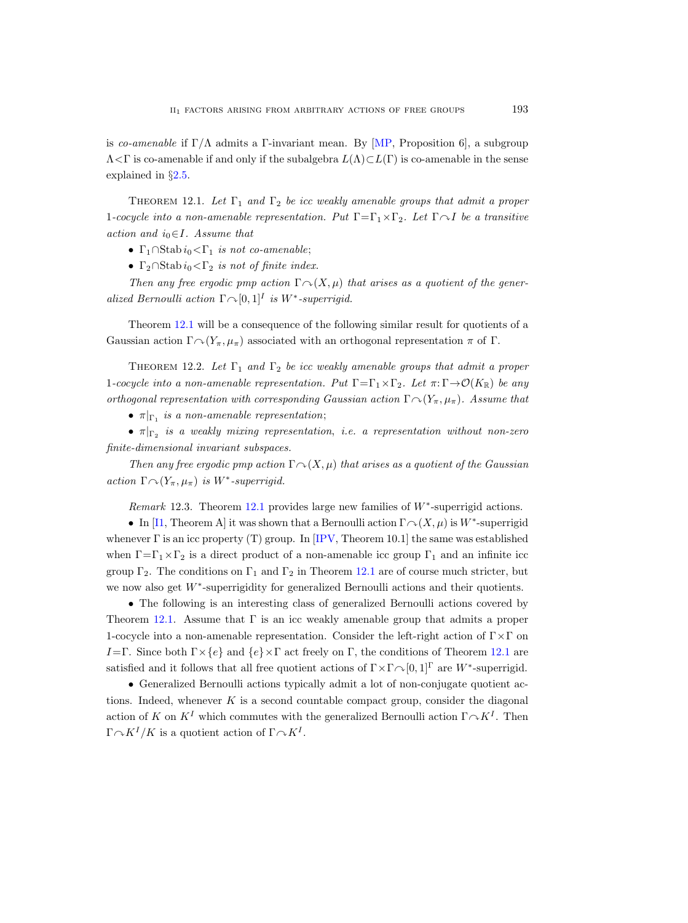is co-amenable if  $\Gamma/\Lambda$  admits a Γ-invariant mean. By [\[MP,](#page-56-20) Proposition 6], a subgroup  $\Lambda \leq \Gamma$  is co-amenable if and only if the subalgebra  $L(\Lambda) \subset L(\Gamma)$  is co-amenable in the sense explained in §[2.5.](#page-12-1)

<span id="page-52-0"></span>THEOREM 12.1. Let  $\Gamma_1$  and  $\Gamma_2$  be icc weakly amenable groups that admit a proper 1-cocycle into a non-amenable representation. Put  $\Gamma = \Gamma_1 \times \Gamma_2$ . Let  $\Gamma \cap I$  be a transitive action and  $i_0 \in I$ . Assume that

- Γ<sub>1</sub>∩Stab  $i_0$ <Γ<sub>1</sub> is not co-amenable;
- $\Gamma_2 \cap \text{Stab } i_0 < \Gamma_2$  is not of finite index.

Then any free ergodic pmp action  $\Gamma \cap (X, \mu)$  that arises as a quotient of the generalized Bernoulli action  $\Gamma \cap [0, 1]^I$  is W<sup>\*</sup>-superrigid.

Theorem [12.1](#page-52-0) will be a consequence of the following similar result for quotients of a Gaussian action  $\Gamma \cap (Y_\pi, \mu_\pi)$  associated with an orthogonal representation  $\pi$  of  $\Gamma$ .

<span id="page-52-2"></span>THEOREM 12.2. Let  $\Gamma_1$  and  $\Gamma_2$  be icc weakly amenable groups that admit a proper 1-cocycle into a non-amenable representation. Put  $\Gamma = \Gamma_1 \times \Gamma_2$ . Let  $\pi: \Gamma \to \mathcal{O}(K_\mathbb{R})$  be any orthogonal representation with corresponding Gaussian action  $\Gamma \cap (Y_\pi, \mu_\pi)$ . Assume that

•  $\pi|_{\Gamma_1}$  is a non-amenable representation;

 $\bullet$   $\pi|_{\Gamma_2}$  is a weakly mixing representation, i.e. a representation without non-zero finite-dimensional invariant subspaces.

Then any free ergodic pmp action  $\Gamma \cap (X, \mu)$  that arises as a quotient of the Gaussian action  $\Gamma \cap (Y_\pi, \mu_\pi)$  is W<sup>\*</sup>-superrigid.

Remark 12.3. Theorem [12.1](#page-52-0) provides large new families of  $W^*$ -superrigid actions.

<span id="page-52-1"></span>• In [\[I1,](#page-56-11) Theorem A] it was shown that a Bernoulli action  $\Gamma \cap (X, \mu)$  is W<sup>\*</sup>-superrigid whenever  $\Gamma$  is an icc property (T) group. In [\[IPV,](#page-56-21) Theorem 10.1] the same was established when  $\Gamma = \Gamma_1 \times \Gamma_2$  is a direct product of a non-amenable icc group  $\Gamma_1$  and an infinite icc group  $\Gamma_2$ . The conditions on  $\Gamma_1$  and  $\Gamma_2$  in Theorem [12.1](#page-52-0) are of course much stricter, but we now also get W<sup>∗</sup> -superrigidity for generalized Bernoulli actions and their quotients.

• The following is an interesting class of generalized Bernoulli actions covered by Theorem [12.1.](#page-52-0) Assume that  $\Gamma$  is an icc weakly amenable group that admits a proper 1-cocycle into a non-amenable representation. Consider the left-right action of  $\Gamma \times \Gamma$  on I=Γ. Since both  $\Gamma \times \{e\}$  and  $\{e\} \times \Gamma$  act freely on Γ, the conditions of Theorem [12.1](#page-52-0) are satisfied and it follows that all free quotient actions of  $\Gamma \times \Gamma \cap [0,1]^\Gamma$  are W<sup>\*</sup>-superrigid.

• Generalized Bernoulli actions typically admit a lot of non-conjugate quotient actions. Indeed, whenever  $K$  is a second countable compact group, consider the diagonal action of K on  $K^I$  which commutes with the generalized Bernoulli action  $\Gamma \curvearrowright K^I$ . Then  $\Gamma \cap K^I/K$  is a quotient action of  $\Gamma \cap K^I$ .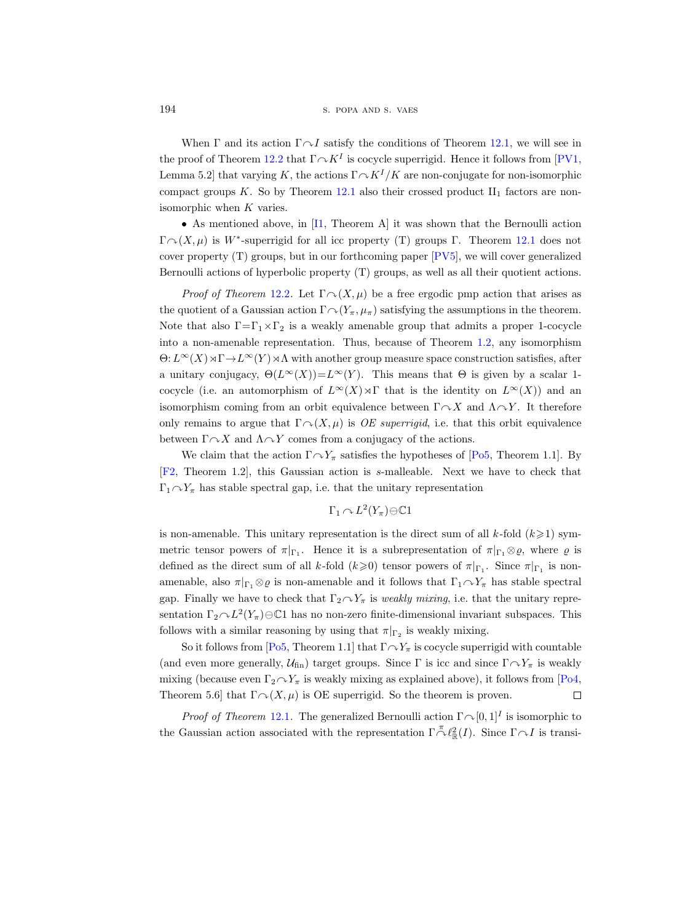When  $\Gamma$  and its action  $\Gamma \cap I$  satisfy the conditions of Theorem [12.1,](#page-52-0) we will see in the proof of Theorem [12.2](#page-52-2) that  $\Gamma \curvearrowright K^I$  is cocycle superrigid. Hence it follows from [\[PV1,](#page-56-22) Lemma 5.2 that varying K, the actions  $\Gamma \sim K^I/K$  are non-conjugate for non-isomorphic compact groups K. So by Theorem [12.1](#page-52-0) also their crossed product  $II_1$  factors are nonisomorphic when K varies.

• As mentioned above, in [\[I1,](#page-56-11) Theorem A] it was shown that the Bernoulli action  $\Gamma \cap (X, \mu)$  is W<sup>\*</sup>-superrigid for all icc property (T) groups  $\Gamma$ . Theorem [12.1](#page-52-0) does not cover property (T) groups, but in our forthcoming paper [\[PV5\]](#page-57-1), we will cover generalized Bernoulli actions of hyperbolic property (T) groups, as well as all their quotient actions.

*Proof of Theorem [12.2](#page-52-2).* Let  $\Gamma \cap (X, \mu)$  be a free ergodic pmp action that arises as the quotient of a Gaussian action  $\Gamma \cap (Y_\pi, \mu_\pi)$  satisfying the assumptions in the theorem. Note that also  $\Gamma = \Gamma_1 \times \Gamma_2$  is a weakly amenable group that admits a proper 1-cocycle into a non-amenable representation. Thus, because of Theorem [1.2,](#page-3-0) any isomorphism  $\Theta: L^{\infty}(X) \rtimes \Gamma \to L^{\infty}(Y) \rtimes \Lambda$  with another group measure space construction satisfies, after a unitary conjugacy,  $\Theta(L^{\infty}(X))=L^{\infty}(Y)$ . This means that  $\Theta$  is given by a scalar 1cocycle (i.e. an automorphism of  $L^{\infty}(X) \rtimes \Gamma$  that is the identity on  $L^{\infty}(X)$ ) and an isomorphism coming from an orbit equivalence between  $\Gamma \cap X$  and  $\Lambda \cap Y$ . It therefore only remains to argue that  $\Gamma \cap (X, \mu)$  is OE superrigid, i.e. that this orbit equivalence between  $\Gamma \cap X$  and  $\Lambda \cap Y$  comes from a conjugacy of the actions.

We claim that the action  $\Gamma \cap Y_\pi$  satisfies the hypotheses of [\[Po5,](#page-56-13) Theorem 1.1]. By [\[F2,](#page-55-19) Theorem 1.2], this Gaussian action is s-malleable. Next we have to check that  $\Gamma_1 \cap Y_\pi$  has stable spectral gap, i.e. that the unitary representation

$$
\Gamma_1 \curvearrowright L^2(Y_\pi) \ominus \mathbb{C} 1
$$

is non-amenable. This unitary representation is the direct sum of all  $k$ -fold  $(k \geq 1)$  symmetric tensor powers of  $\pi|_{\Gamma_1}$ . Hence it is a subrepresentation of  $\pi|_{\Gamma_1}\otimes \varrho$ , where  $\varrho$  is defined as the direct sum of all k-fold  $(k\geq 0)$  tensor powers of  $\pi|_{\Gamma_1}$ . Since  $\pi|_{\Gamma_1}$  is nonamenable, also  $\pi|_{\Gamma_1}\otimes\rho$  is non-amenable and it follows that  $\Gamma_1\curvearrowright Y_\pi$  has stable spectral gap. Finally we have to check that  $\Gamma_2 \cap Y_\pi$  is weakly mixing, i.e. that the unitary representation  $\Gamma_2 \cap L^2(Y_\pi) \ominus \mathbb{C}1$  has no non-zero finite-dimensional invariant subspaces. This follows with a similar reasoning by using that  $\pi|_{\Gamma_2}$  is weakly mixing.

So it follows from [\[Po5,](#page-56-13) Theorem 1.1] that  $\Gamma \cap Y_\pi$  is cocycle superrigid with countable (and even more generally,  $U_{fin}$ ) target groups. Since  $\Gamma$  is icc and since  $\Gamma \curvearrowright Y_\pi$  is weakly mixing (because even  $\Gamma_2 \sim Y_\pi$  is weakly mixing as explained above), it follows from [\[Po4,](#page-56-12) Theorem 5.6] that  $\Gamma \cap (X, \mu)$  is OE superrigid. So the theorem is proven.  $\Box$ 

*Proof of Theorem* [12.1](#page-52-0). The generalized Bernoulli action  $\Gamma \sim [0, 1]^I$  is isomorphic to the Gaussian action associated with the representation  $\Gamma \stackrel{\pi}{\sim} \ell_{\mathbb{R}}^2(I)$ . Since  $\Gamma \sim I$  is transi-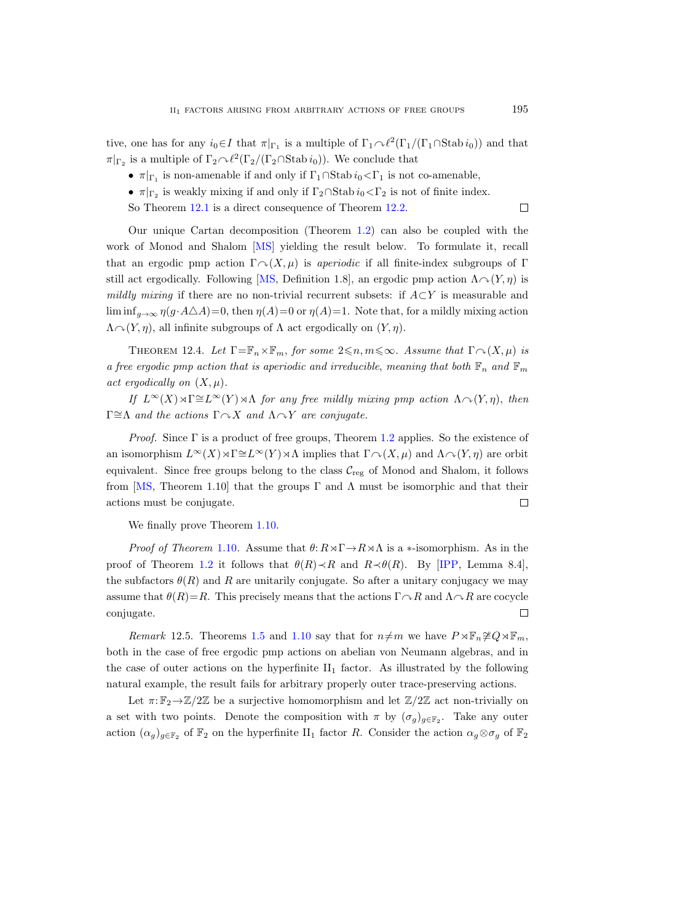tive, one has for any  $i_0 \in I$  that  $\pi|_{\Gamma_1}$  is a multiple of  $\Gamma_1 \cap \ell^2(\Gamma_1/(\Gamma_1 \cap \text{Stab } i_0))$  and that  $\pi|_{\Gamma_2}$  is a multiple of  $\Gamma_2 \sim \ell^2(\Gamma_2/(\Gamma_2 \cap \text{Stab } i_0)).$  We conclude that

- $\pi|_{\Gamma_1}$  is non-amenable if and only if  $\Gamma_1 \cap \text{Stab } i_0 \lt \Gamma_1$  is not co-amenable,
- $\pi|_{\Gamma_2}$  is weakly mixing if and only if  $\Gamma_2 \cap \text{Stab } i_0 \lt \Gamma_2$  is not of finite index.
- So Theorem [12.1](#page-52-0) is a direct consequence of Theorem [12.2.](#page-52-2)

Our unique Cartan decomposition (Theorem [1.2\)](#page-3-0) can also be coupled with the work of Monod and Shalom [\[MS\]](#page-56-23) yielding the result below. To formulate it, recall that an ergodic pmp action  $\Gamma \cap (X, \mu)$  is *aperiodic* if all finite-index subgroups of Γ still act ergodically. Following [\[MS,](#page-56-23) Definition 1.8], an ergodic pmp action  $\Lambda \sim (Y, \eta)$  is mildly mixing if there are no non-trivial recurrent subsets: if  $A\subset Y$  is measurable and lim inf<sub>g→∞</sub>  $\eta(g \cdot A\Delta A) = 0$ , then  $\eta(A)=0$  or  $\eta(A)=1$ . Note that, for a mildly mixing action  $\Lambda \sim (Y, \eta)$ , all infinite subgroups of  $\Lambda$  act ergodically on  $(Y, \eta)$ .

THEOREM 12.4. Let  $\Gamma = \mathbb{F}_n \times \mathbb{F}_m$ , for some  $2 \leq n, m \leq \infty$ . Assume that  $\Gamma \cap (X, \mu)$  is a free ergodic pmp action that is aperiodic and irreducible, meaning that both  $\mathbb{F}_n$  and  $\mathbb{F}_m$ act ergodically on  $(X, \mu)$ .

If  $L^{\infty}(X) \rtimes \Gamma \cong L^{\infty}(Y) \rtimes \Lambda$  for any free mildly mixing pmp action  $\Lambda \sim (Y, \eta)$ , then Γ≅ $Λ$  and the actions  $Γ \sim X$  and  $Λ \sim Y$  are conjugate.

*Proof.* Since  $\Gamma$  is a product of free groups, Theorem [1.2](#page-3-0) applies. So the existence of an isomorphism  $L^{\infty}(X) \rtimes \Gamma \cong L^{\infty}(Y) \rtimes \Lambda$  implies that  $\Gamma \curvearrowright (X, \mu)$  and  $\Lambda \curvearrowright (Y, \eta)$  are orbit equivalent. Since free groups belong to the class  $\mathcal{C}_{reg}$  of Monod and Shalom, it follows from [\[MS,](#page-56-23) Theorem 1.10] that the groups  $\Gamma$  and  $\Lambda$  must be isomorphic and that their actions must be conjugate.  $\Box$ 

We finally prove Theorem [1.10.](#page-7-0)

*Proof of Theorem* [1.10](#page-7-0). Assume that  $\theta: R \rtimes \Gamma \to R \rtimes \Lambda$  is a  $*$ -isomorphism. As in the proof of Theorem [1.2](#page-3-0) it follows that  $\theta(R) \prec R$  and  $R \prec \theta(R)$ . By [\[IPP,](#page-56-19) Lemma 8.4], the subfactors  $\theta(R)$  and R are unitarily conjugate. So after a unitary conjugacy we may assume that  $\theta(R)=R$ . This precisely means that the actions  $\Gamma \cap R$  and  $\Lambda \cap R$  are cocycle  $\Box$ conjugate.

Remark 12.5. Theorems [1.5](#page-4-1) and [1.10](#page-7-0) say that for  $n \neq m$  we have  $P \rtimes \mathbb{F}_n \not\cong Q \rtimes \mathbb{F}_m$ , both in the case of free ergodic pmp actions on abelian von Neumann algebras, and in the case of outer actions on the hyperfinite  $II_1$  factor. As illustrated by the following natural example, the result fails for arbitrary properly outer trace-preserving actions.

Let  $\pi: \mathbb{F}_2 \to \mathbb{Z}/2\mathbb{Z}$  be a surjective homomorphism and let  $\mathbb{Z}/2\mathbb{Z}$  act non-trivially on a set with two points. Denote the composition with  $\pi$  by  $(\sigma_g)_{g \in \mathbb{F}_2}$ . Take any outer action  $(\alpha_g)_{g\in\mathbb{F}_2}$  of  $\mathbb{F}_2$  on the hyperfinite II<sub>1</sub> factor R. Consider the action  $\alpha_g \otimes \sigma_g$  of  $\mathbb{F}_2$ 

 $\Box$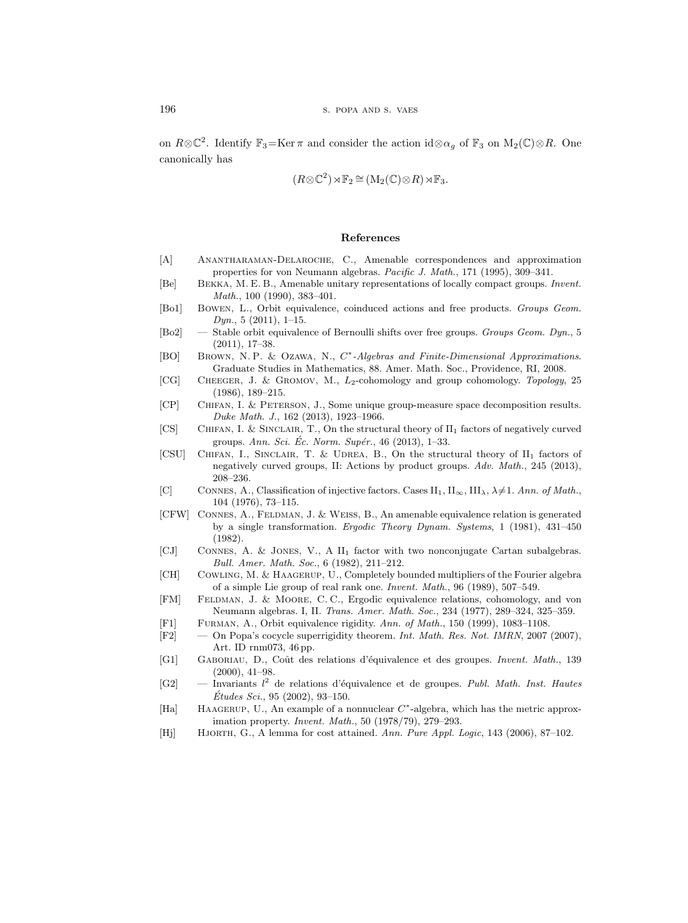on  $R\otimes\mathbb{C}^2$ . Identify  $\mathbb{F}_3 = \text{Ker }\pi$  and consider the action id $\otimes \alpha_g$  of  $\mathbb{F}_3$  on  $M_2(\mathbb{C})\otimes R$ . One canonically has

$$
(R \otimes \mathbb{C}^2) \rtimes \mathbb{F}_2 \cong (\mathbf{M}_2(\mathbb{C}) \otimes R) \rtimes \mathbb{F}_3.
$$

## References

- <span id="page-55-15"></span>[A] Anantharaman-Delaroche, C., Amenable correspondences and approximation properties for von Neumann algebras. Pacific J. Math., 171 (1995), 309–341.
- <span id="page-55-14"></span>[Be] Bekka, M. E. B., Amenable unitary representations of locally compact groups. Invent. Math., 100 (1990), 383–401.
- <span id="page-55-5"></span>[Bo1] Bowen, L., Orbit equivalence, coinduced actions and free products. Groups Geom.  $Dyn., 5 (2011), 1–15.$
- <span id="page-55-6"></span>[Bo2] — Stable orbit equivalence of Bernoulli shifts over free groups. Groups Geom. Dyn., 5 (2011), 17–38.
- <span id="page-55-16"></span>[BO] BROWN, N.P. & OZAWA, N., C<sup>\*</sup>-Algebras and Finite-Dimensional Approximations. Graduate Studies in Mathematics, 88. Amer. Math. Soc., Providence, RI, 2008.
- <span id="page-55-11"></span>[CG] Cheeger, J. & Gromov, M., L2-cohomology and group cohomology. Topology, 25 (1986), 189–215.
- <span id="page-55-7"></span>[CP] Chifan, I. & Peterson, J., Some unique group-measure space decomposition results. Duke Math. J., 162 (2013), 1923–1966.
- <span id="page-55-8"></span>[CS] CHIFAN, I. & SINCLAIR, T., On the structural theory of  $\Pi_1$  factors of negatively curved groups. Ann. Sci. Ec. Norm. Supér.,  $46$  (2013), 1–33.
- <span id="page-55-9"></span>[CSU] Chifan, I., Sinclair, T. & Udrea, B., On the structural theory of II<sup>1</sup> factors of negatively curved groups, II: Actions by product groups. Adv. Math., 245 (2013), 208–236.
- <span id="page-55-1"></span>[C] CONNES, A., Classification of injective factors. Cases  $II_1$ ,  $II_{\infty}$ ,  $III_{\lambda}$ ,  $\lambda \neq 1$ . Ann. of Math., 104 (1976), 73–115.
- <span id="page-55-2"></span>[CFW] CONNES, A., FELDMAN, J. & WEISS, B., An amenable equivalence relation is generated by a single transformation. Ergodic Theory Dynam. Systems, 1 (1981), 431–450 (1982).
- <span id="page-55-10"></span>[CJ] Connes, A. & Jones, V., A II<sup>1</sup> factor with two nonconjugate Cartan subalgebras. Bull. Amer. Math. Soc., 6 (1982), 211–212.
- <span id="page-55-12"></span>[CH] Cowling, M. & Haagerup, U., Completely bounded multipliers of the Fourier algebra of a simple Lie group of real rank one. Invent. Math., 96 (1989), 507–549.
- <span id="page-55-0"></span>[FM] Feldman, J. & Moore, C. C., Ergodic equivalence relations, cohomology, and von Neumann algebras. I, II. Trans. Amer. Math. Soc., 234 (1977), 289–324, 325–359.
- <span id="page-55-17"></span>[F1] Furman, A., Orbit equivalence rigidity. Ann. of Math., 150 (1999), 1083–1108.
- <span id="page-55-19"></span>[F2] — On Popa's cocycle superrigidity theorem. Int. Math. Res. Not. IMRN, 2007 (2007), Art. ID rnm073, 46 pp.
- <span id="page-55-3"></span>[G1] GABORIAU, D., Coût des relations d'équivalence et des groupes. Invent. Math., 139 (2000), 41–98.
- <span id="page-55-4"></span> $[G2]$  — Invariants l<sup>2</sup> de relations d'équivalence et de groupes. Publ. Math. Inst. Hautes  $\acute{E}tudes\; Sci.,\; 95\; (2002),\; 93\text{--}150.$
- <span id="page-55-13"></span>[Ha] HAAGERUP, U., An example of a nonnuclear  $C^*$ -algebra, which has the metric approximation property. Invent. Math., 50 (1978/79), 279–293.
- <span id="page-55-18"></span>[Hj] HJORTH, G., A lemma for cost attained. Ann. Pure Appl. Logic, 143 (2006), 87-102.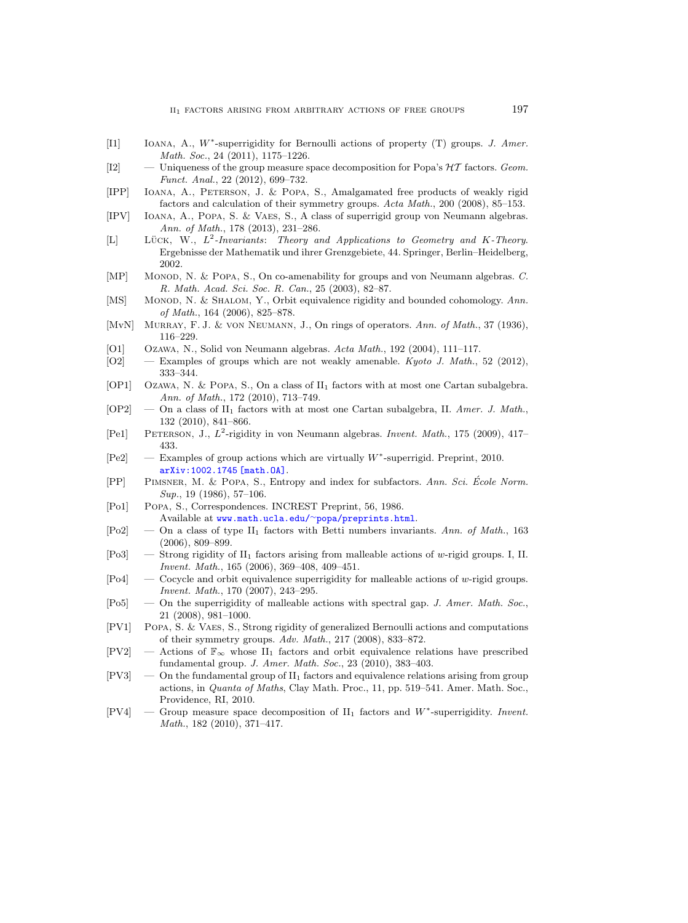- <span id="page-56-11"></span>[I1] IOANA, A., W\*-superrigidity for Bernoulli actions of property (T) groups. J. Amer. Math. Soc., 24 (2011), 1175–1226.
- <span id="page-56-4"></span>[I2]  $\blacksquare$  — Uniqueness of the group measure space decomposition for Popa's  $\mathcal{HT}$  factors. Geom. Funct. Anal., 22 (2012), 699–732.
- <span id="page-56-19"></span>[IPP] Ioana, A., Peterson, J. & Popa, S., Amalgamated free products of weakly rigid factors and calculation of their symmetry groups. Acta Math., 200 (2008), 85–153.
- <span id="page-56-21"></span>[IPV] Ioana, A., Popa, S. & Vaes, S., A class of superrigid group von Neumann algebras. Ann. of Math., 178 (2013), 231–286.
- <span id="page-56-6"></span>[L] LÜCK, W.,  $L^2$ -Invariants: Theory and Applications to Geometry and K-Theory. Ergebnisse der Mathematik und ihrer Grenzgebiete, 44. Springer, Berlin–Heidelberg, 2002.
- <span id="page-56-20"></span>[MP] MONOD, N. & POPA, S., On co-amenability for groups and von Neumann algebras. C. R. Math. Acad. Sci. Soc. R. Can., 25 (2003), 82–87.
- <span id="page-56-23"></span>[MS] MONOD, N. & SHALOM, Y., Orbit equivalence rigidity and bounded cohomology. Ann. of Math., 164 (2006), 825–878.
- <span id="page-56-0"></span>[MvN] MURRAY, F. J. & VON NEUMANN, J., On rings of operators. Ann. of Math., 37 (1936), 116–229.
- <span id="page-56-9"></span>[O1] Ozawa, N., Solid von Neumann algebras. Acta Math., 192 (2004), 111–117.
- <span id="page-56-16"></span>[O2] — Examples of groups which are not weakly amenable. Kyoto J. Math., 52 (2012), 333–344.
- <span id="page-56-2"></span>[OP1] Ozawa, N. & POPA, S., On a class of  $II_1$  factors with at most one Cartan subalgebra. Ann. of Math., 172 (2010), 713–749.
- <span id="page-56-5"></span> $[OP2]$  — On a class of  $II_1$  factors with at most one Cartan subalgebra, II. Amer. J. Math., 132 (2010), 841–866.
- <span id="page-56-17"></span>[Pe1] PETERSON, J.,  $L^2$ -rigidity in von Neumann algebras. Invent. Math., 175 (2009), 417– 433.
- <span id="page-56-10"></span>[Pe2] — Examples of group actions which are virtually W<sup>\*</sup>-superrigid. Preprint, 2010. [arXiv:1002.1745 \[math.OA\]](http://arxiv.org/abs/1002.1745).
- <span id="page-56-18"></span>[PP] PIMSNER, M. & POPA, S., Entropy and index for subfactors. Ann. Sci. École Norm. Sup., 19 (1986), 57-106.
- <span id="page-56-15"></span>[Po1] Popa, S., Correspondences. INCREST Preprint, 56, 1986. Available at www.math.ucla.edu/<sup>∼</sup>[popa/preprints.html](www.math.ucla.edu/~popa/preprints.html).
- <span id="page-56-1"></span>[Po2] — On a class of type II<sub>1</sub> factors with Betti numbers invariants. Ann. of Math., 163 (2006), 809–899.
- <span id="page-56-14"></span> $[P_03]$  — Strong rigidity of  $II_1$  factors arising from malleable actions of w-rigid groups. I, II. Invent. Math., 165 (2006), 369–408, 409–451.
- <span id="page-56-12"></span>[Po4] — Cocycle and orbit equivalence superrigidity for malleable actions of w-rigid groups. Invent. Math., 170 (2007), 243–295.
- <span id="page-56-13"></span> $[Po5]$  — On the superrigidity of malleable actions with spectral gap. J. Amer. Math. Soc., 21 (2008), 981–1000.
- <span id="page-56-22"></span>[PV1] Popa, S. & Vaes, S., Strong rigidity of generalized Bernoulli actions and computations of their symmetry groups. Adv. Math., 217 (2008), 833–872.
- <span id="page-56-8"></span> $[PV2]$  — Actions of  $\mathbb{F}_{\infty}$  whose  $II_1$  factors and orbit equivalence relations have prescribed fundamental group. J. Amer. Math. Soc., 23 (2010), 383–403.
- <span id="page-56-7"></span> $[PV3]$  — On the fundamental group of  $II_1$  factors and equivalence relations arising from group actions, in Quanta of Maths, Clay Math. Proc., 11, pp. 519–541. Amer. Math. Soc., Providence, RI, 2010.
- <span id="page-56-3"></span>[PV4] — Group measure space decomposition of  $II_1$  factors and  $W^*$ -superrigidity. Invent. Math., 182 (2010), 371–417.